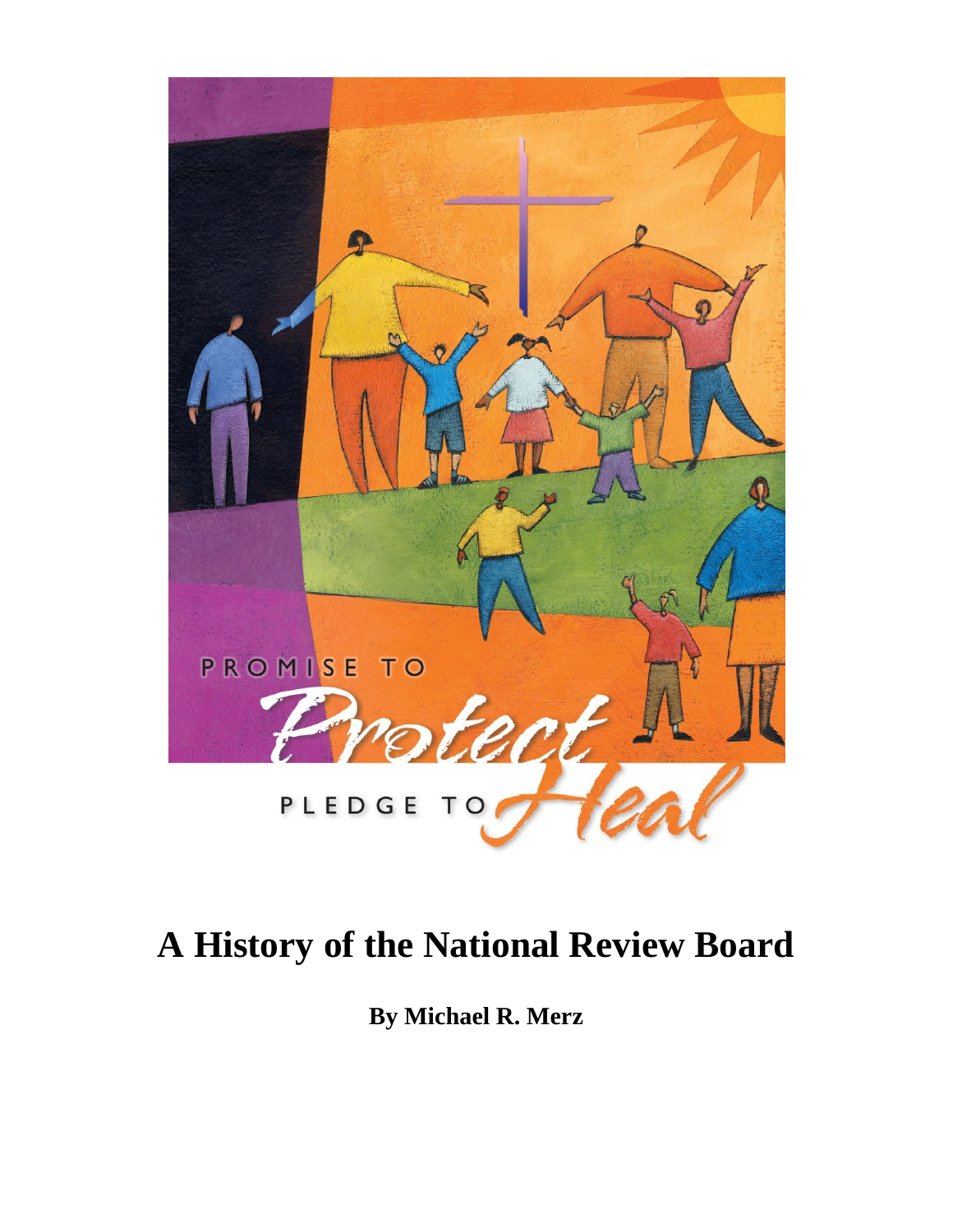

# **A History of the National Review Board**

**By Michael R. Merz**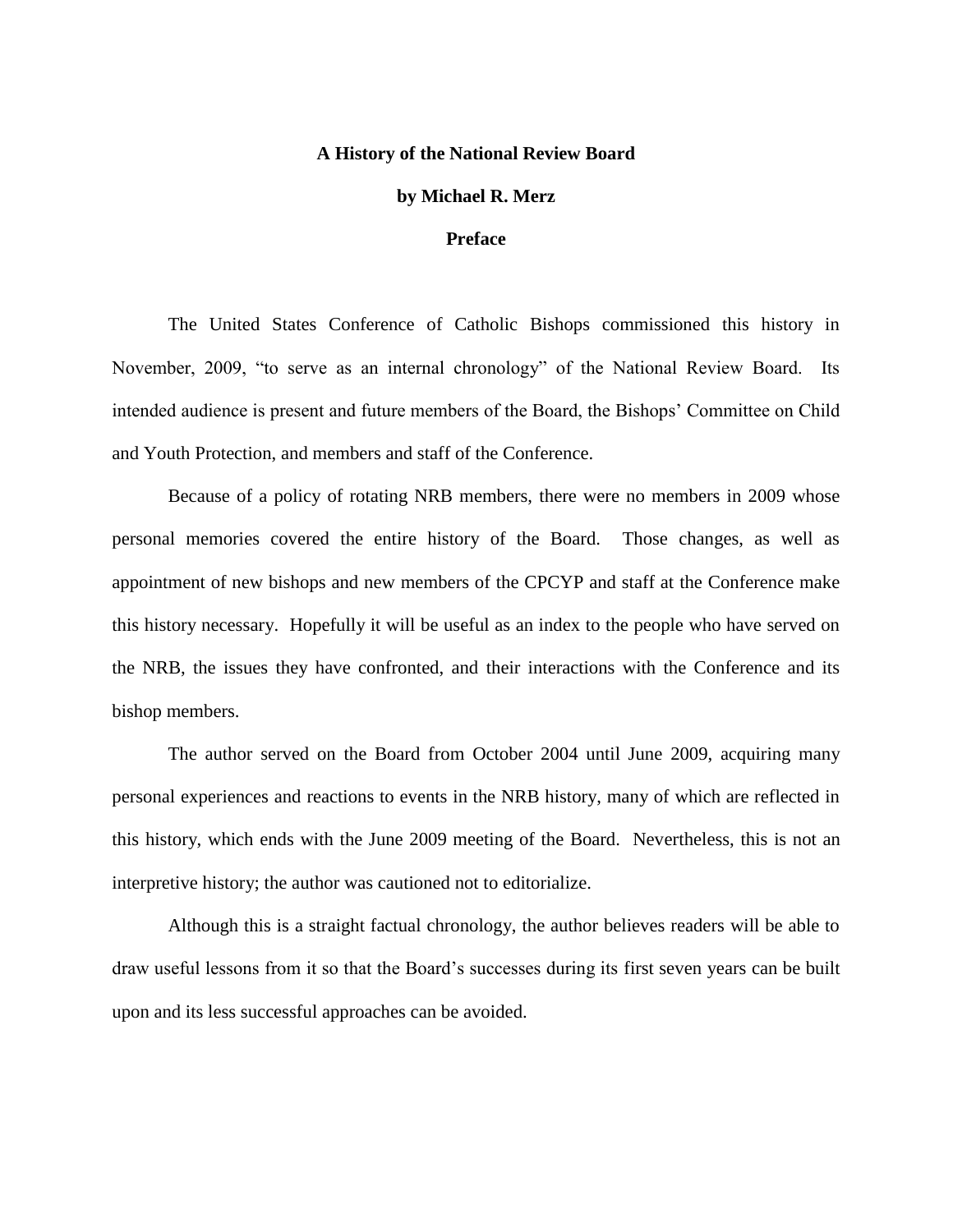#### **A History of the National Review Board**

#### **by Michael R. Merz**

#### **Preface**

The United States Conference of Catholic Bishops commissioned this history in November, 2009, "to serve as an internal chronology" of the National Review Board. Its intended audience is present and future members of the Board, the Bishops' Committee on Child and Youth Protection, and members and staff of the Conference.

Because of a policy of rotating NRB members, there were no members in 2009 whose personal memories covered the entire history of the Board. Those changes, as well as appointment of new bishops and new members of the CPCYP and staff at the Conference make this history necessary. Hopefully it will be useful as an index to the people who have served on the NRB, the issues they have confronted, and their interactions with the Conference and its bishop members.

The author served on the Board from October 2004 until June 2009, acquiring many personal experiences and reactions to events in the NRB history, many of which are reflected in this history, which ends with the June 2009 meeting of the Board. Nevertheless, this is not an interpretive history; the author was cautioned not to editorialize.

Although this is a straight factual chronology, the author believes readers will be able to draw useful lessons from it so that the Board's successes during its first seven years can be built upon and its less successful approaches can be avoided.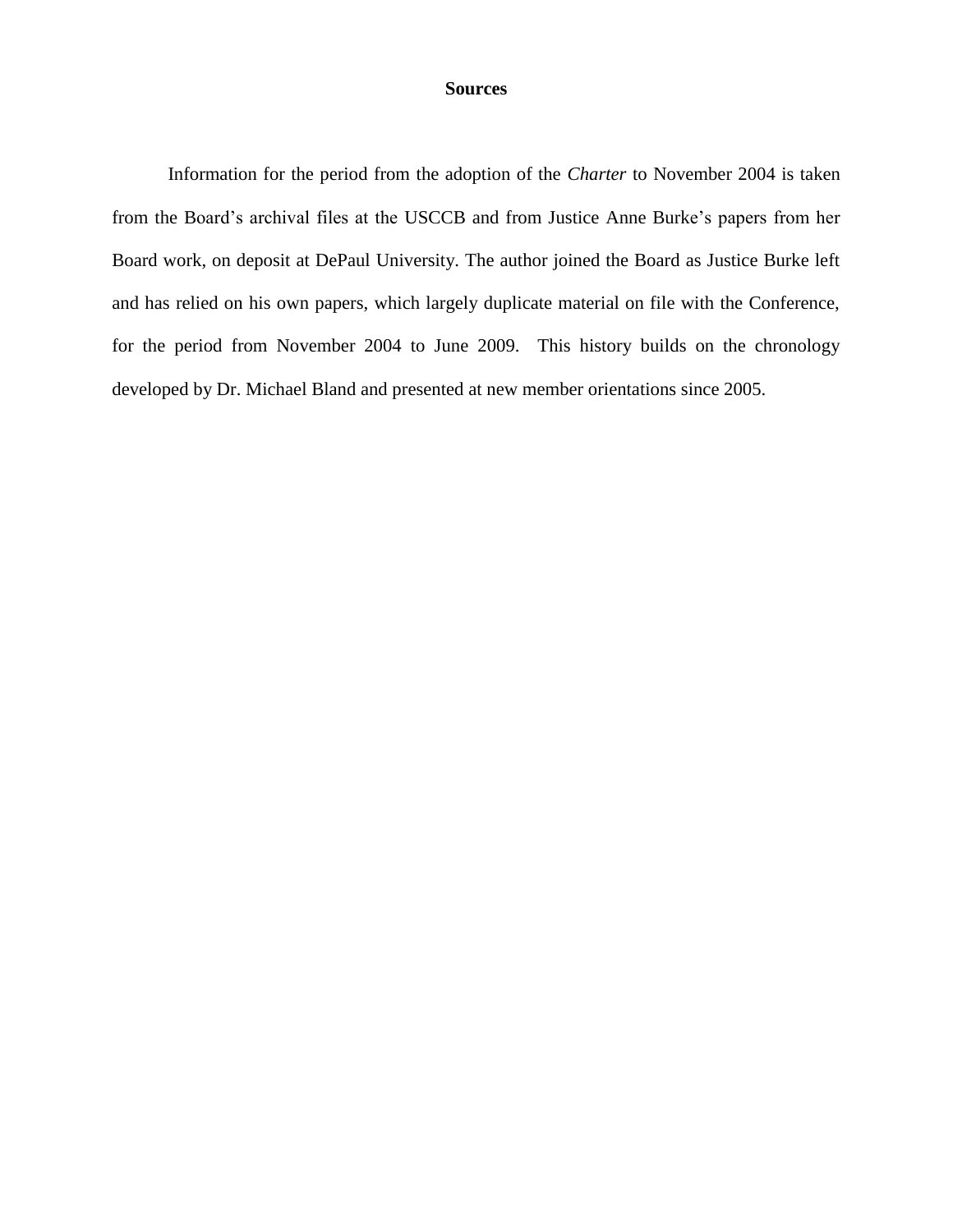# **Sources**

Information for the period from the adoption of the *Charter* to November 2004 is taken from the Board's archival files at the USCCB and from Justice Anne Burke's papers from her Board work, on deposit at DePaul University. The author joined the Board as Justice Burke left and has relied on his own papers, which largely duplicate material on file with the Conference, for the period from November 2004 to June 2009. This history builds on the chronology developed by Dr. Michael Bland and presented at new member orientations since 2005.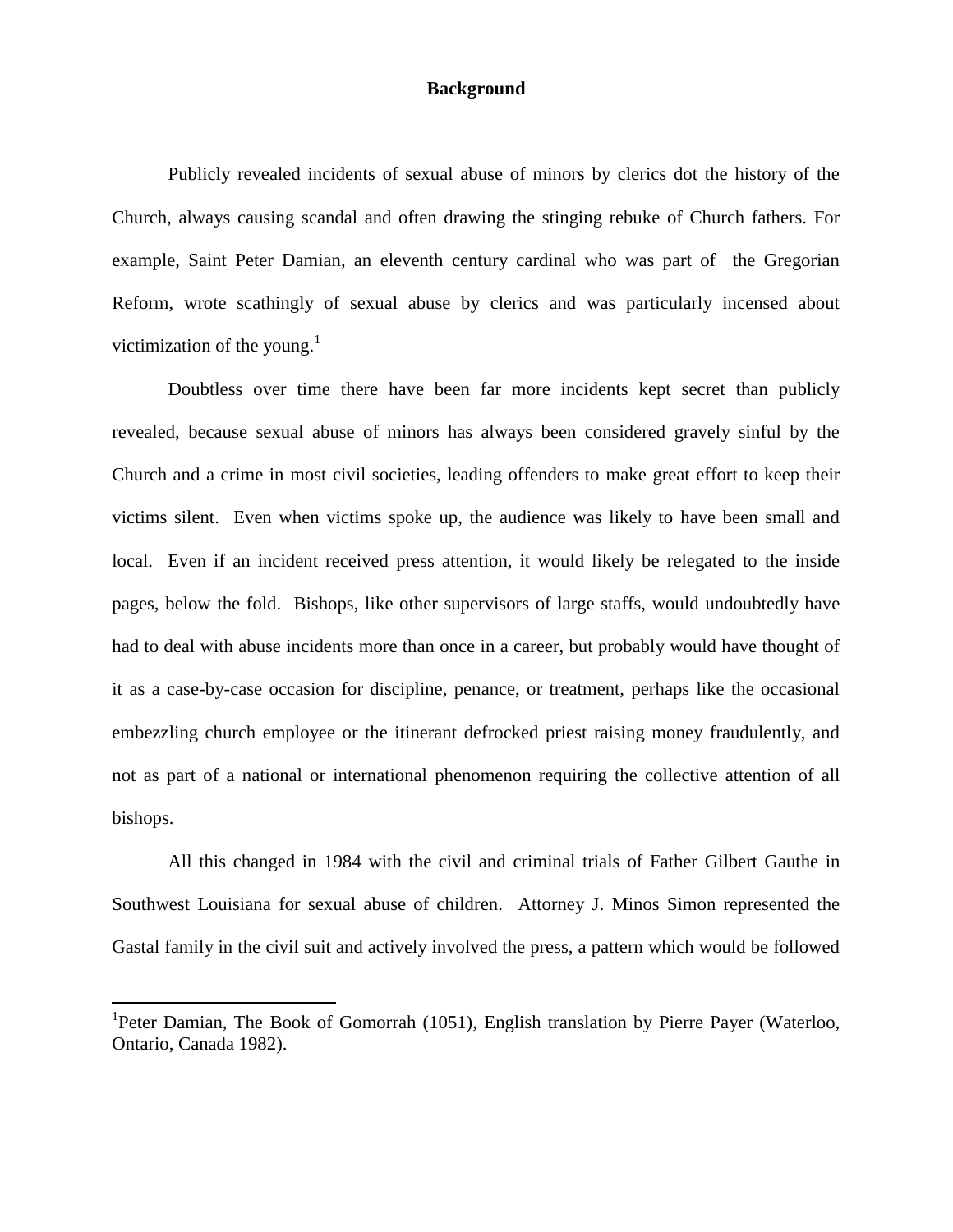# **Background**

Publicly revealed incidents of sexual abuse of minors by clerics dot the history of the Church, always causing scandal and often drawing the stinging rebuke of Church fathers. For example, Saint Peter Damian, an eleventh century cardinal who was part of the Gregorian Reform, wrote scathingly of sexual abuse by clerics and was particularly incensed about victimization of the young. $<sup>1</sup>$ </sup>

Doubtless over time there have been far more incidents kept secret than publicly revealed, because sexual abuse of minors has always been considered gravely sinful by the Church and a crime in most civil societies, leading offenders to make great effort to keep their victims silent. Even when victims spoke up, the audience was likely to have been small and local. Even if an incident received press attention, it would likely be relegated to the inside pages, below the fold. Bishops, like other supervisors of large staffs, would undoubtedly have had to deal with abuse incidents more than once in a career, but probably would have thought of it as a case-by-case occasion for discipline, penance, or treatment, perhaps like the occasional embezzling church employee or the itinerant defrocked priest raising money fraudulently, and not as part of a national or international phenomenon requiring the collective attention of all bishops.

All this changed in 1984 with the civil and criminal trials of Father Gilbert Gauthe in Southwest Louisiana for sexual abuse of children. Attorney J. Minos Simon represented the Gastal family in the civil suit and actively involved the press, a pattern which would be followed

 $\overline{a}$ 

<sup>&</sup>lt;sup>1</sup>Peter Damian, The Book of Gomorrah (1051), English translation by Pierre Payer (Waterloo, Ontario, Canada 1982).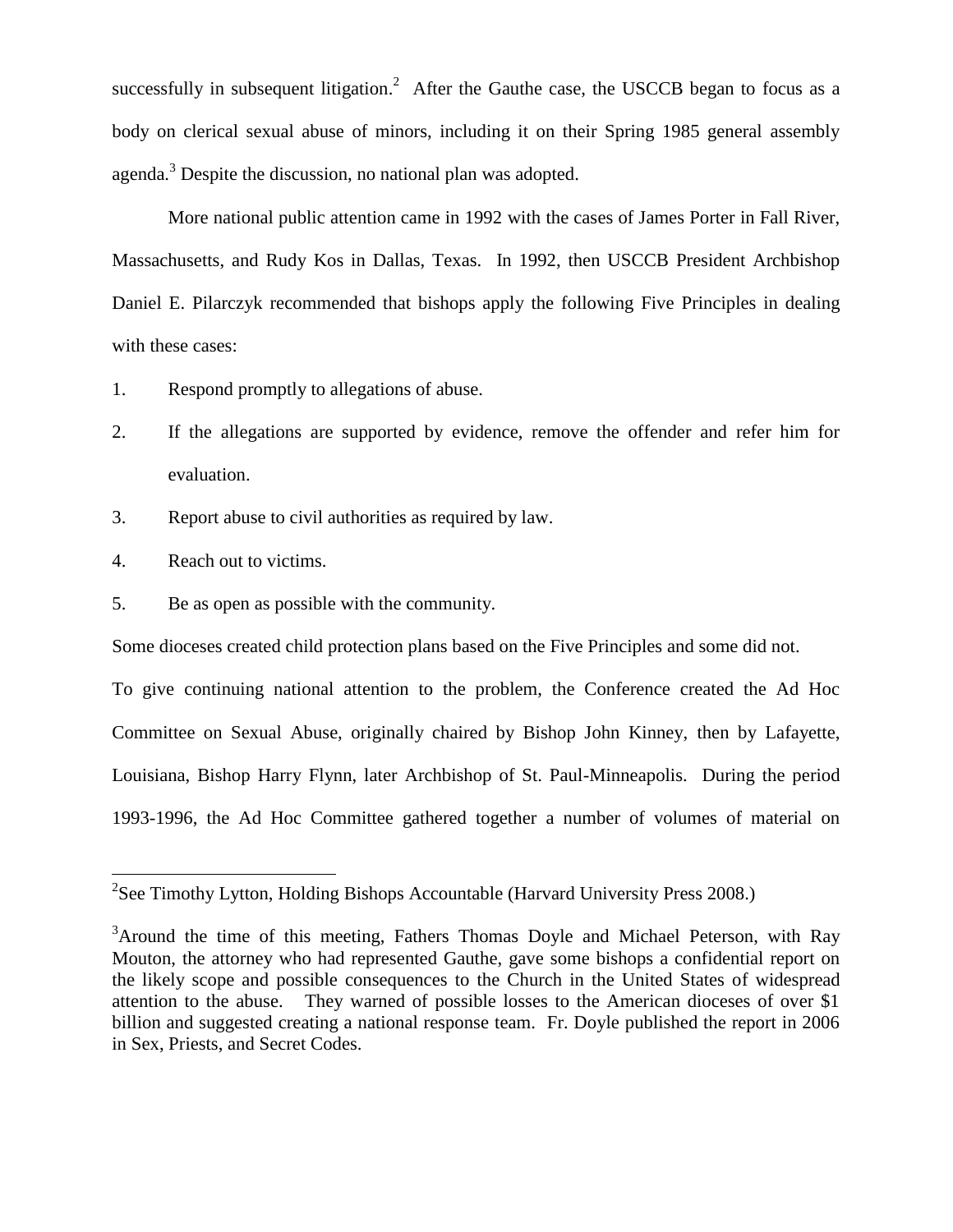successfully in subsequent litigation.<sup>2</sup> After the Gauthe case, the USCCB began to focus as a body on clerical sexual abuse of minors, including it on their Spring 1985 general assembly agenda.<sup>3</sup> Despite the discussion, no national plan was adopted.

More national public attention came in 1992 with the cases of James Porter in Fall River, Massachusetts, and Rudy Kos in Dallas, Texas. In 1992, then USCCB President Archbishop Daniel E. Pilarczyk recommended that bishops apply the following Five Principles in dealing with these cases:

- 1. Respond promptly to allegations of abuse.
- 2. If the allegations are supported by evidence, remove the offender and refer him for evaluation.
- 3. Report abuse to civil authorities as required by law.
- 4. Reach out to victims.
- 5. Be as open as possible with the community.

Some dioceses created child protection plans based on the Five Principles and some did not.

To give continuing national attention to the problem, the Conference created the Ad Hoc Committee on Sexual Abuse, originally chaired by Bishop John Kinney, then by Lafayette, Louisiana, Bishop Harry Flynn, later Archbishop of St. Paul-Minneapolis. During the period 1993-1996, the Ad Hoc Committee gathered together a number of volumes of material on

<sup>&</sup>lt;sup>2</sup><br>
<sup>2</sup> See Timothy Lytton, Holding Bishops Accountable (Harvard University Press 2008.)

<sup>&</sup>lt;sup>3</sup>Around the time of this meeting, Fathers Thomas Doyle and Michael Peterson, with Ray Mouton, the attorney who had represented Gauthe, gave some bishops a confidential report on the likely scope and possible consequences to the Church in the United States of widespread attention to the abuse. They warned of possible losses to the American dioceses of over \$1 billion and suggested creating a national response team. Fr. Doyle published the report in 2006 in Sex, Priests, and Secret Codes.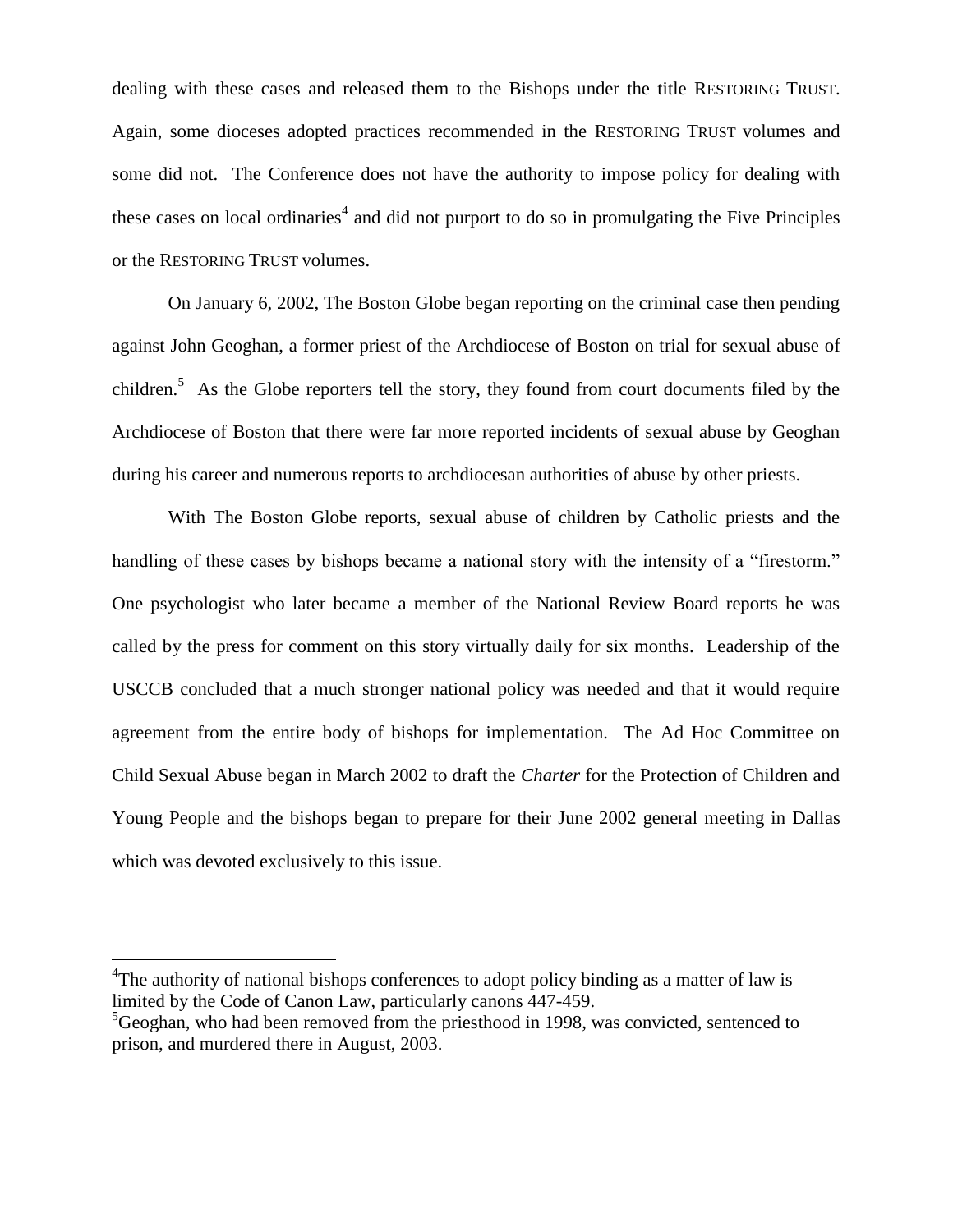dealing with these cases and released them to the Bishops under the title RESTORING TRUST. Again, some dioceses adopted practices recommended in the RESTORING TRUST volumes and some did not. The Conference does not have the authority to impose policy for dealing with these cases on local ordinaries<sup>4</sup> and did not purport to do so in promulgating the Five Principles or the RESTORING TRUST volumes.

On January 6, 2002, The Boston Globe began reporting on the criminal case then pending against John Geoghan, a former priest of the Archdiocese of Boston on trial for sexual abuse of children.<sup>5</sup> As the Globe reporters tell the story, they found from court documents filed by the Archdiocese of Boston that there were far more reported incidents of sexual abuse by Geoghan during his career and numerous reports to archdiocesan authorities of abuse by other priests.

With The Boston Globe reports, sexual abuse of children by Catholic priests and the handling of these cases by bishops became a national story with the intensity of a "firestorm." One psychologist who later became a member of the National Review Board reports he was called by the press for comment on this story virtually daily for six months. Leadership of the USCCB concluded that a much stronger national policy was needed and that it would require agreement from the entire body of bishops for implementation. The Ad Hoc Committee on Child Sexual Abuse began in March 2002 to draft the *Charter* for the Protection of Children and Young People and the bishops began to prepare for their June 2002 general meeting in Dallas which was devoted exclusively to this issue.

 $\overline{a}$ 

<sup>&</sup>lt;sup>4</sup>The authority of national bishops conferences to adopt policy binding as a matter of law is limited by the Code of Canon Law, particularly canons 447-459.

 ${}^{5}$ Geoghan, who had been removed from the priesthood in 1998, was convicted, sentenced to prison, and murdered there in August, 2003.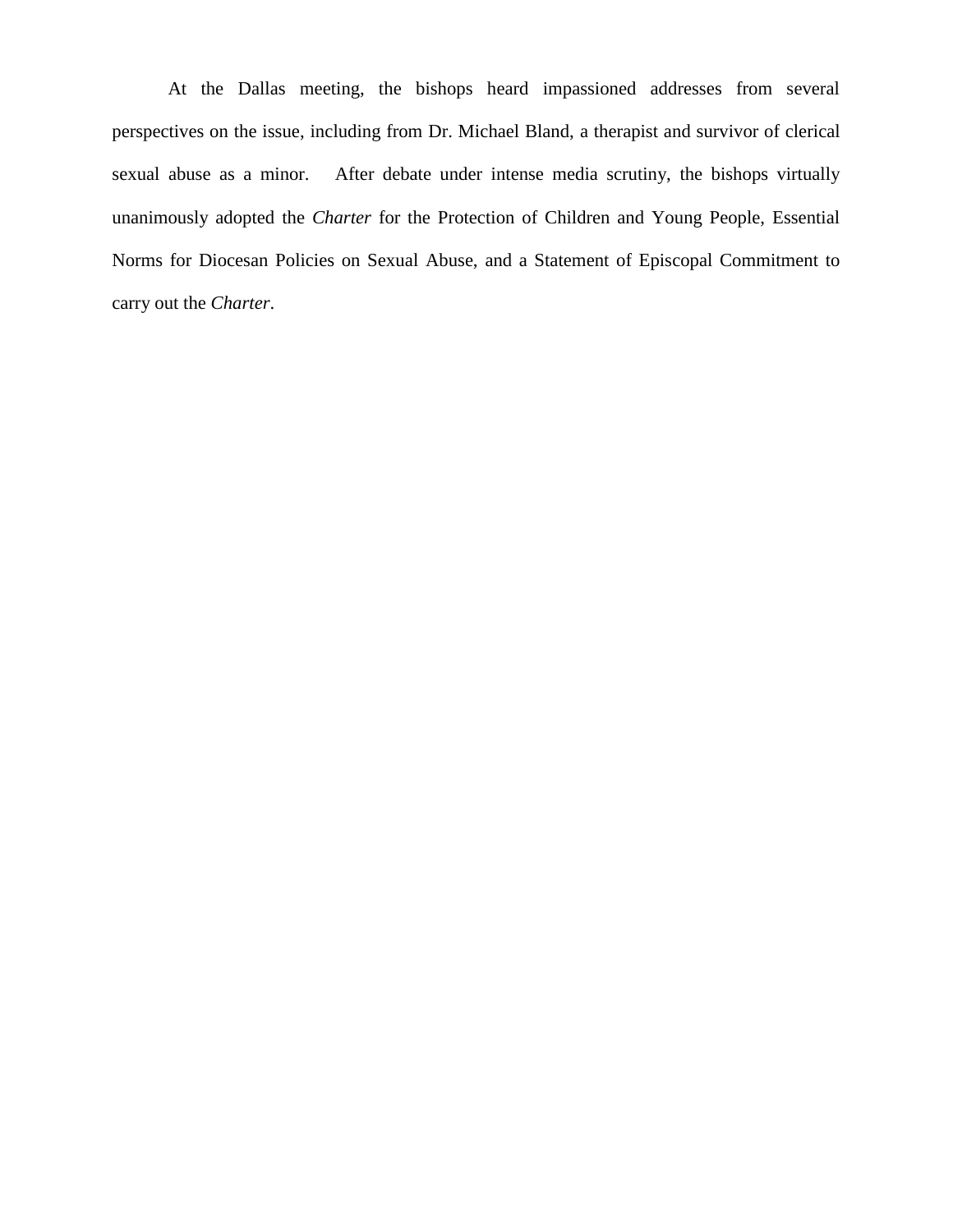At the Dallas meeting, the bishops heard impassioned addresses from several perspectives on the issue, including from Dr. Michael Bland, a therapist and survivor of clerical sexual abuse as a minor. After debate under intense media scrutiny, the bishops virtually unanimously adopted the *Charter* for the Protection of Children and Young People, Essential Norms for Diocesan Policies on Sexual Abuse, and a Statement of Episcopal Commitment to carry out the *Charter*.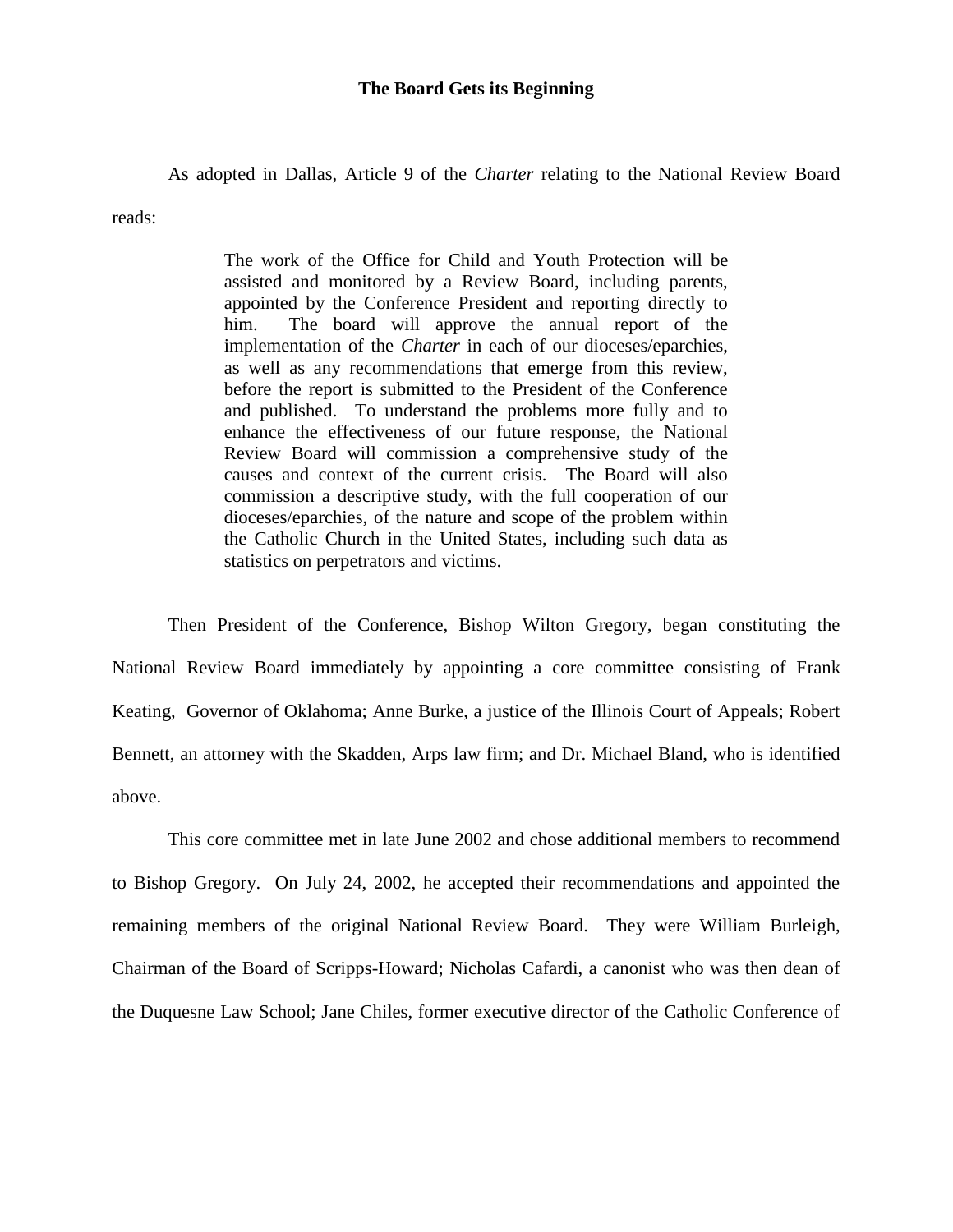#### **The Board Gets its Beginning**

As adopted in Dallas, Article 9 of the *Charter* relating to the National Review Board

reads:

The work of the Office for Child and Youth Protection will be assisted and monitored by a Review Board, including parents, appointed by the Conference President and reporting directly to him. The board will approve the annual report of the implementation of the *Charter* in each of our dioceses/eparchies, as well as any recommendations that emerge from this review, before the report is submitted to the President of the Conference and published. To understand the problems more fully and to enhance the effectiveness of our future response, the National Review Board will commission a comprehensive study of the causes and context of the current crisis. The Board will also commission a descriptive study, with the full cooperation of our dioceses/eparchies, of the nature and scope of the problem within the Catholic Church in the United States, including such data as statistics on perpetrators and victims.

Then President of the Conference, Bishop Wilton Gregory, began constituting the National Review Board immediately by appointing a core committee consisting of Frank Keating, Governor of Oklahoma; Anne Burke, a justice of the Illinois Court of Appeals; Robert Bennett, an attorney with the Skadden, Arps law firm; and Dr. Michael Bland, who is identified above.

This core committee met in late June 2002 and chose additional members to recommend to Bishop Gregory. On July 24, 2002, he accepted their recommendations and appointed the remaining members of the original National Review Board. They were William Burleigh, Chairman of the Board of Scripps-Howard; Nicholas Cafardi, a canonist who was then dean of the Duquesne Law School; Jane Chiles, former executive director of the Catholic Conference of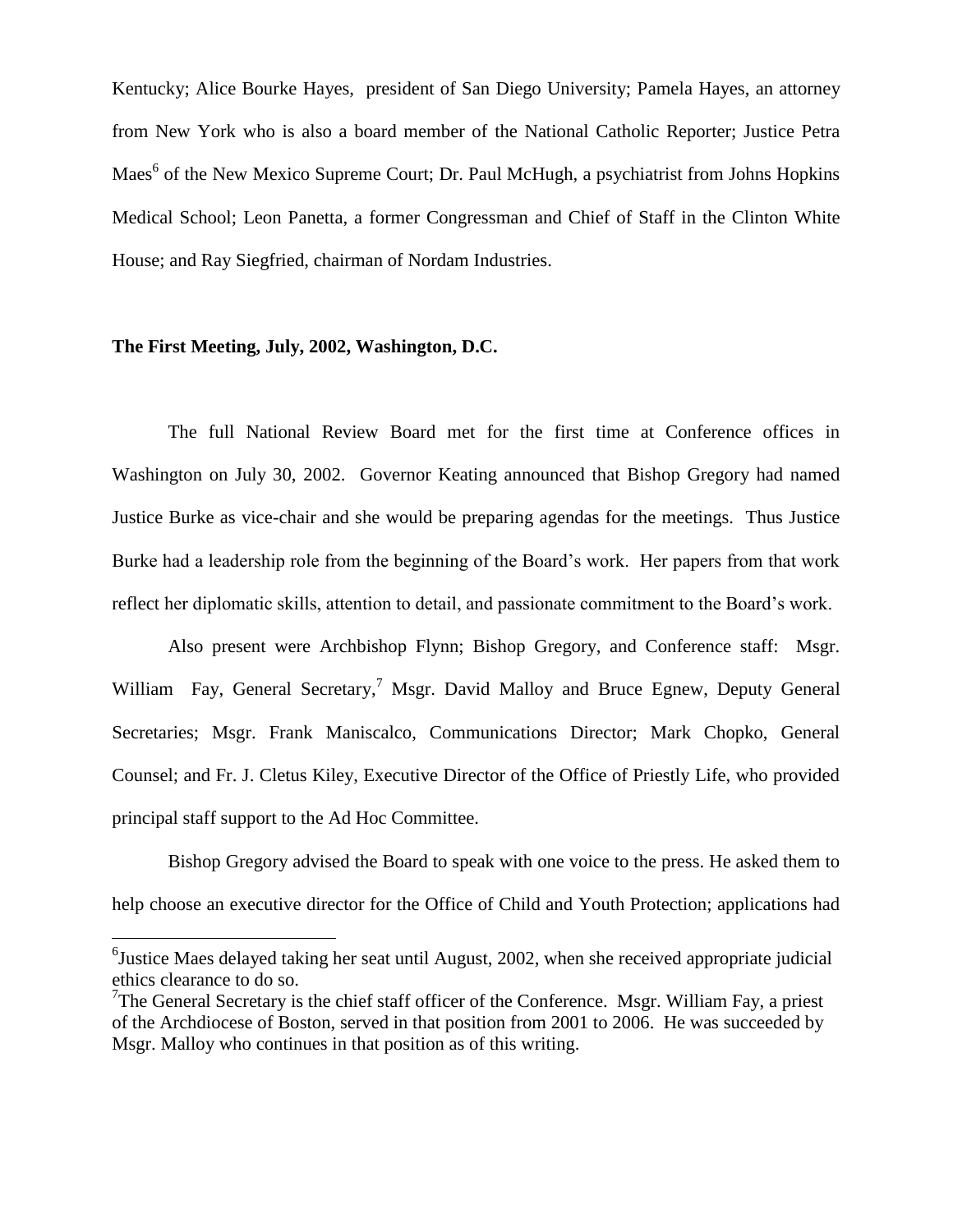Kentucky; Alice Bourke Hayes, president of San Diego University; Pamela Hayes, an attorney from New York who is also a board member of the National Catholic Reporter; Justice Petra Maes<sup>6</sup> of the New Mexico Supreme Court; Dr. Paul McHugh, a psychiatrist from Johns Hopkins Medical School; Leon Panetta, a former Congressman and Chief of Staff in the Clinton White House; and Ray Siegfried, chairman of Nordam Industries.

# **The First Meeting, July, 2002, Washington, D.C.**

 $\overline{a}$ 

The full National Review Board met for the first time at Conference offices in Washington on July 30, 2002. Governor Keating announced that Bishop Gregory had named Justice Burke as vice-chair and she would be preparing agendas for the meetings. Thus Justice Burke had a leadership role from the beginning of the Board's work. Her papers from that work reflect her diplomatic skills, attention to detail, and passionate commitment to the Board's work.

Also present were Archbishop Flynn; Bishop Gregory, and Conference staff: Msgr. William Fay, General Secretary,<sup>7</sup> Msgr. David Malloy and Bruce Egnew, Deputy General Secretaries; Msgr. Frank Maniscalco, Communications Director; Mark Chopko, General Counsel; and Fr. J. Cletus Kiley, Executive Director of the Office of Priestly Life, who provided principal staff support to the Ad Hoc Committee.

Bishop Gregory advised the Board to speak with one voice to the press. He asked them to help choose an executive director for the Office of Child and Youth Protection; applications had

<sup>&</sup>lt;sup>6</sup>Justice Maes delayed taking her seat until August, 2002, when she received appropriate judicial ethics clearance to do so.

<sup>&</sup>lt;sup>7</sup>The General Secretary is the chief staff officer of the Conference. Msgr. William Fay, a priest of the Archdiocese of Boston, served in that position from 2001 to 2006. He was succeeded by Msgr. Malloy who continues in that position as of this writing.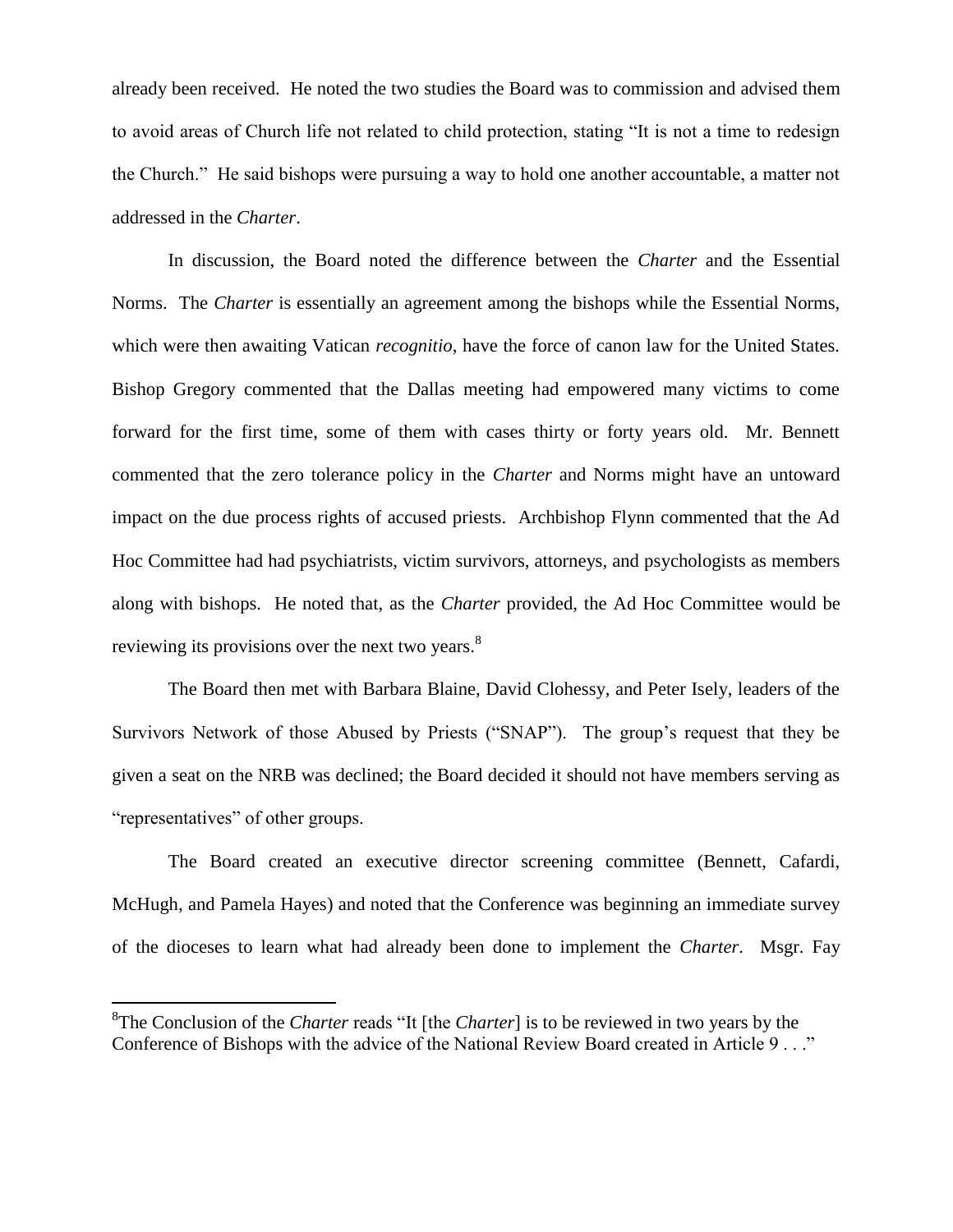already been received. He noted the two studies the Board was to commission and advised them to avoid areas of Church life not related to child protection, stating "It is not a time to redesign the Church." He said bishops were pursuing a way to hold one another accountable, a matter not addressed in the *Charter*.

In discussion, the Board noted the difference between the *Charter* and the Essential Norms. The *Charter* is essentially an agreement among the bishops while the Essential Norms, which were then awaiting Vatican *recognitio*, have the force of canon law for the United States. Bishop Gregory commented that the Dallas meeting had empowered many victims to come forward for the first time, some of them with cases thirty or forty years old. Mr. Bennett commented that the zero tolerance policy in the *Charter* and Norms might have an untoward impact on the due process rights of accused priests. Archbishop Flynn commented that the Ad Hoc Committee had had psychiatrists, victim survivors, attorneys, and psychologists as members along with bishops. He noted that, as the *Charter* provided, the Ad Hoc Committee would be reviewing its provisions over the next two years.<sup>8</sup>

The Board then met with Barbara Blaine, David Clohessy, and Peter Isely, leaders of the Survivors Network of those Abused by Priests ("SNAP"). The group's request that they be given a seat on the NRB was declined; the Board decided it should not have members serving as "representatives" of other groups.

The Board created an executive director screening committee (Bennett, Cafardi, McHugh, and Pamela Hayes) and noted that the Conference was beginning an immediate survey of the dioceses to learn what had already been done to implement the *Charter*. Msgr. Fay

 $\overline{a}$ 

<sup>8</sup> The Conclusion of the *Charter* reads "It [the *Charter*] is to be reviewed in two years by the Conference of Bishops with the advice of the National Review Board created in Article 9 . . ."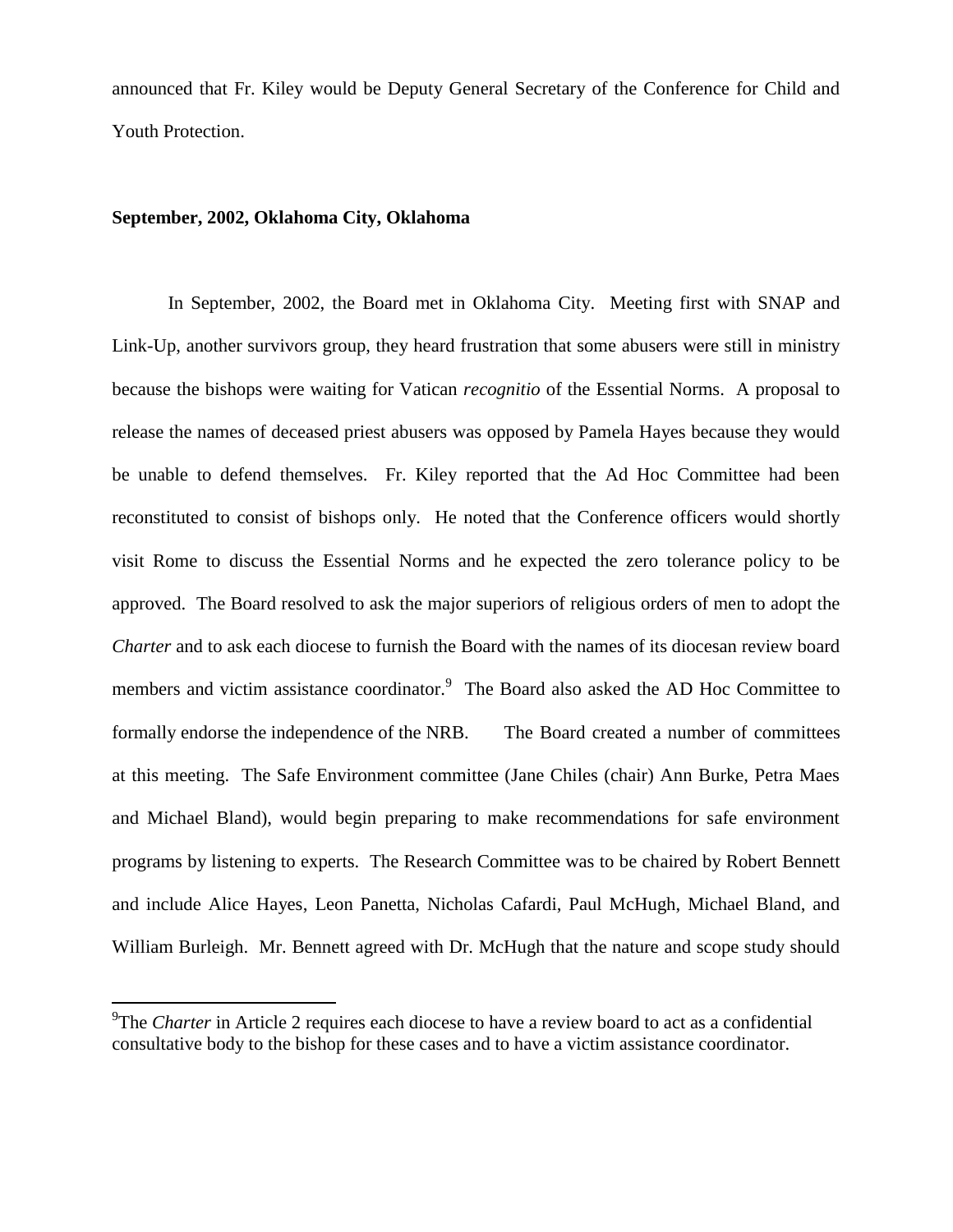announced that Fr. Kiley would be Deputy General Secretary of the Conference for Child and Youth Protection.

# **September, 2002, Oklahoma City, Oklahoma**

 $\overline{a}$ 

In September, 2002, the Board met in Oklahoma City. Meeting first with SNAP and Link-Up, another survivors group, they heard frustration that some abusers were still in ministry because the bishops were waiting for Vatican *recognitio* of the Essential Norms. A proposal to release the names of deceased priest abusers was opposed by Pamela Hayes because they would be unable to defend themselves. Fr. Kiley reported that the Ad Hoc Committee had been reconstituted to consist of bishops only. He noted that the Conference officers would shortly visit Rome to discuss the Essential Norms and he expected the zero tolerance policy to be approved. The Board resolved to ask the major superiors of religious orders of men to adopt the *Charter* and to ask each diocese to furnish the Board with the names of its diocesan review board members and victim assistance coordinator.<sup>9</sup> The Board also asked the AD Hoc Committee to formally endorse the independence of the NRB. The Board created a number of committees at this meeting. The Safe Environment committee (Jane Chiles (chair) Ann Burke, Petra Maes and Michael Bland), would begin preparing to make recommendations for safe environment programs by listening to experts. The Research Committee was to be chaired by Robert Bennett and include Alice Hayes, Leon Panetta, Nicholas Cafardi, Paul McHugh, Michael Bland, and William Burleigh. Mr. Bennett agreed with Dr. McHugh that the nature and scope study should

<sup>&</sup>lt;sup>9</sup>The *Charter* in Article 2 requires each diocese to have a review board to act as a confidential consultative body to the bishop for these cases and to have a victim assistance coordinator.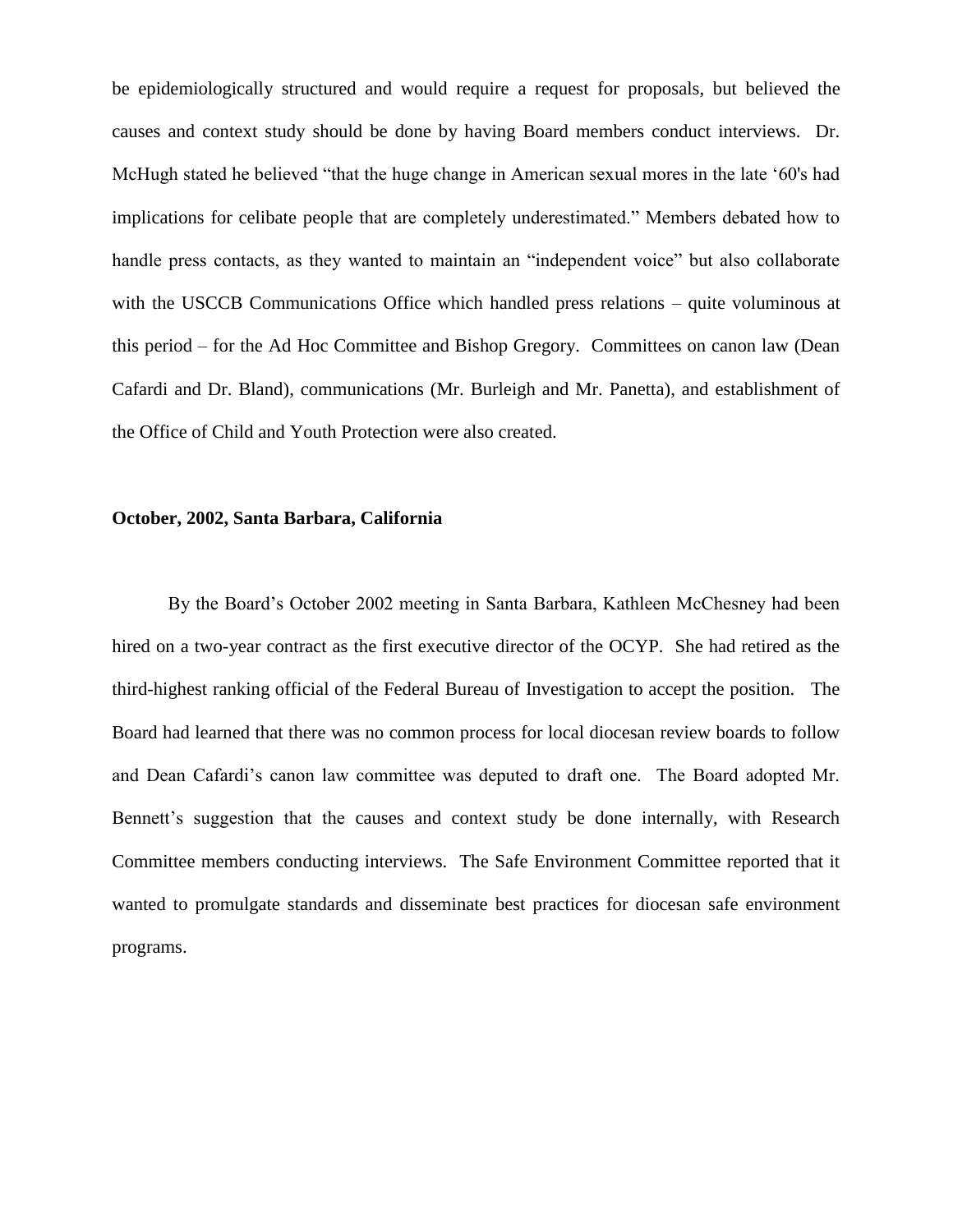be epidemiologically structured and would require a request for proposals, but believed the causes and context study should be done by having Board members conduct interviews. Dr. McHugh stated he believed "that the huge change in American sexual mores in the late '60's had implications for celibate people that are completely underestimated." Members debated how to handle press contacts, as they wanted to maintain an "independent voice" but also collaborate with the USCCB Communications Office which handled press relations – quite voluminous at this period – for the Ad Hoc Committee and Bishop Gregory. Committees on canon law (Dean Cafardi and Dr. Bland), communications (Mr. Burleigh and Mr. Panetta), and establishment of the Office of Child and Youth Protection were also created.

# **October, 2002, Santa Barbara, California**

By the Board's October 2002 meeting in Santa Barbara, Kathleen McChesney had been hired on a two-year contract as the first executive director of the OCYP. She had retired as the third-highest ranking official of the Federal Bureau of Investigation to accept the position. The Board had learned that there was no common process for local diocesan review boards to follow and Dean Cafardi's canon law committee was deputed to draft one. The Board adopted Mr. Bennett's suggestion that the causes and context study be done internally, with Research Committee members conducting interviews. The Safe Environment Committee reported that it wanted to promulgate standards and disseminate best practices for diocesan safe environment programs.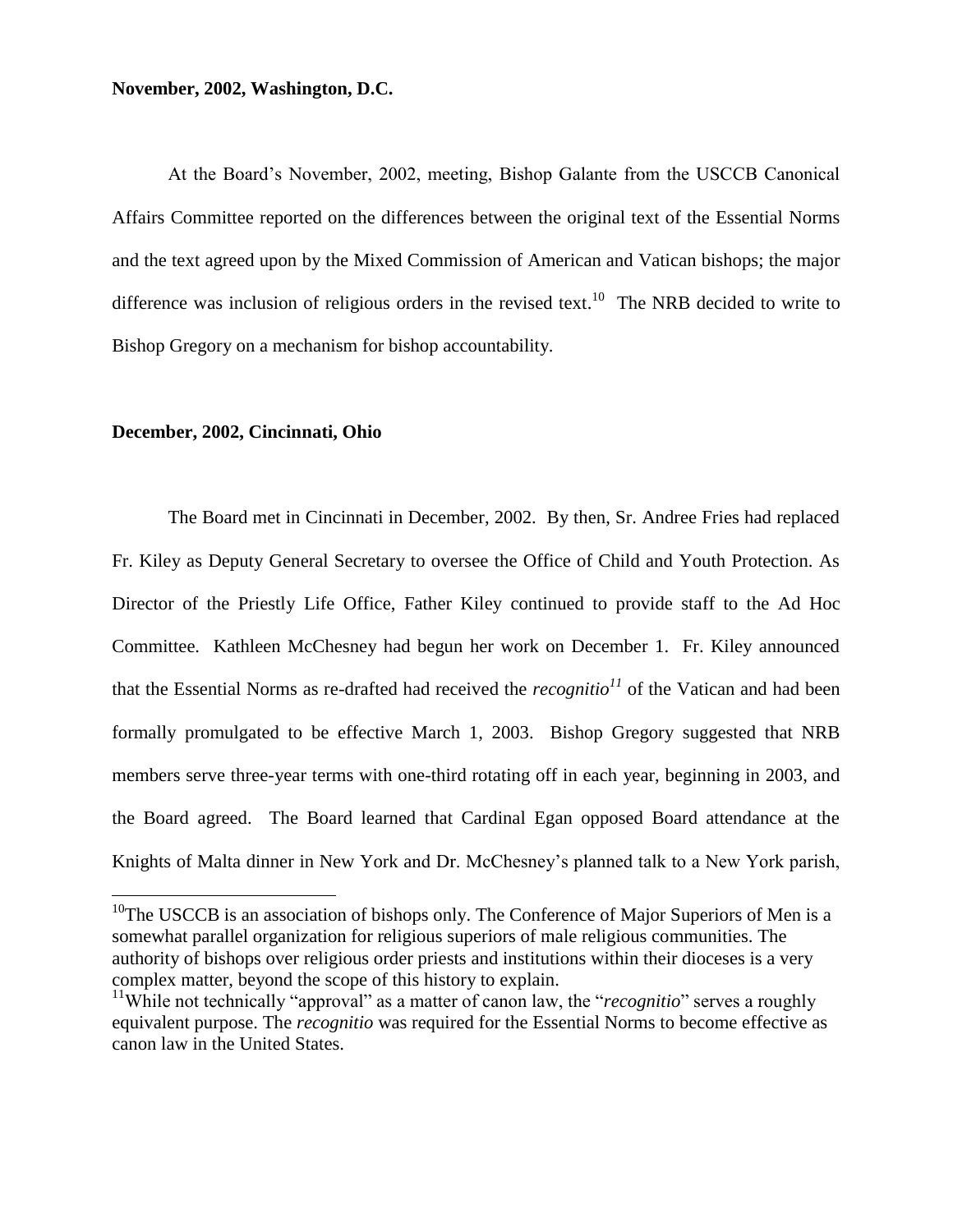# **November, 2002, Washington, D.C.**

At the Board's November, 2002, meeting, Bishop Galante from the USCCB Canonical Affairs Committee reported on the differences between the original text of the Essential Norms and the text agreed upon by the Mixed Commission of American and Vatican bishops; the major difference was inclusion of religious orders in the revised text.<sup>10</sup> The NRB decided to write to Bishop Gregory on a mechanism for bishop accountability.

#### **December, 2002, Cincinnati, Ohio**

 $\overline{a}$ 

The Board met in Cincinnati in December, 2002. By then, Sr. Andree Fries had replaced Fr. Kiley as Deputy General Secretary to oversee the Office of Child and Youth Protection. As Director of the Priestly Life Office, Father Kiley continued to provide staff to the Ad Hoc Committee. Kathleen McChesney had begun her work on December 1. Fr. Kiley announced that the Essential Norms as re-drafted had received the *recognitio<sup>11</sup>* of the Vatican and had been formally promulgated to be effective March 1, 2003. Bishop Gregory suggested that NRB members serve three-year terms with one-third rotating off in each year, beginning in 2003, and the Board agreed. The Board learned that Cardinal Egan opposed Board attendance at the Knights of Malta dinner in New York and Dr. McChesney's planned talk to a New York parish,

<sup>&</sup>lt;sup>10</sup>The USCCB is an association of bishops only. The Conference of Major Superiors of Men is a somewhat parallel organization for religious superiors of male religious communities. The authority of bishops over religious order priests and institutions within their dioceses is a very complex matter, beyond the scope of this history to explain.

<sup>&</sup>lt;sup>11</sup>While not technically "approval" as a matter of canon law, the "*recognitio*" serves a roughly equivalent purpose. The *recognitio* was required for the Essential Norms to become effective as canon law in the United States.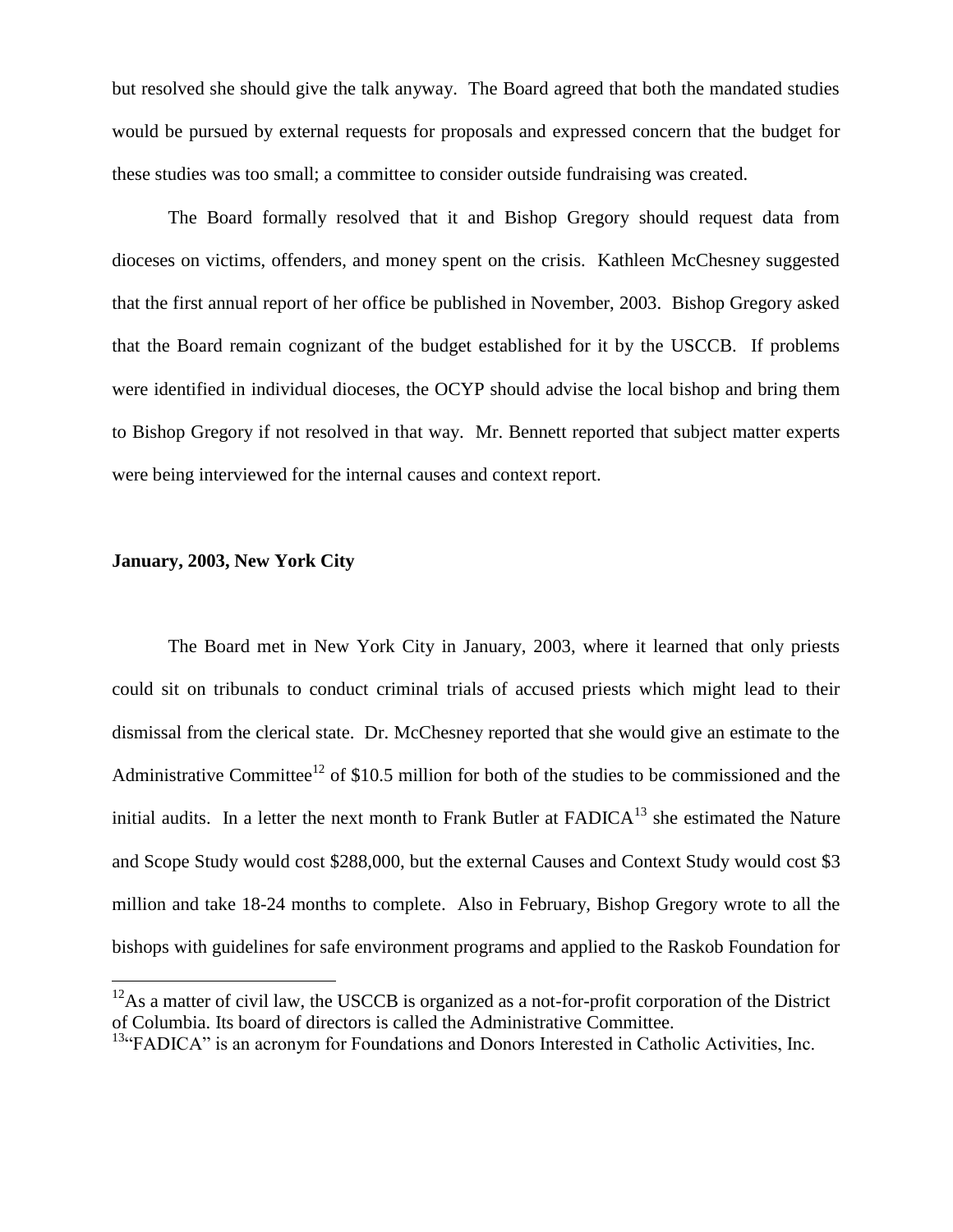but resolved she should give the talk anyway. The Board agreed that both the mandated studies would be pursued by external requests for proposals and expressed concern that the budget for these studies was too small; a committee to consider outside fundraising was created.

The Board formally resolved that it and Bishop Gregory should request data from dioceses on victims, offenders, and money spent on the crisis. Kathleen McChesney suggested that the first annual report of her office be published in November, 2003. Bishop Gregory asked that the Board remain cognizant of the budget established for it by the USCCB. If problems were identified in individual dioceses, the OCYP should advise the local bishop and bring them to Bishop Gregory if not resolved in that way. Mr. Bennett reported that subject matter experts were being interviewed for the internal causes and context report.

# **January, 2003, New York City**

 $\overline{a}$ 

The Board met in New York City in January, 2003, where it learned that only priests could sit on tribunals to conduct criminal trials of accused priests which might lead to their dismissal from the clerical state. Dr. McChesney reported that she would give an estimate to the Administrative Committee<sup>12</sup> of \$10.5 million for both of the studies to be commissioned and the initial audits. In a letter the next month to Frank Butler at  $FADICA^{13}$  she estimated the Nature and Scope Study would cost \$288,000, but the external Causes and Context Study would cost \$3 million and take 18-24 months to complete. Also in February, Bishop Gregory wrote to all the bishops with guidelines for safe environment programs and applied to the Raskob Foundation for

 $12$ As a matter of civil law, the USCCB is organized as a not-for-profit corporation of the District of Columbia. Its board of directors is called the Administrative Committee.

<sup>&</sup>lt;sup>13</sup>"FADICA" is an acronym for Foundations and Donors Interested in Catholic Activities, Inc.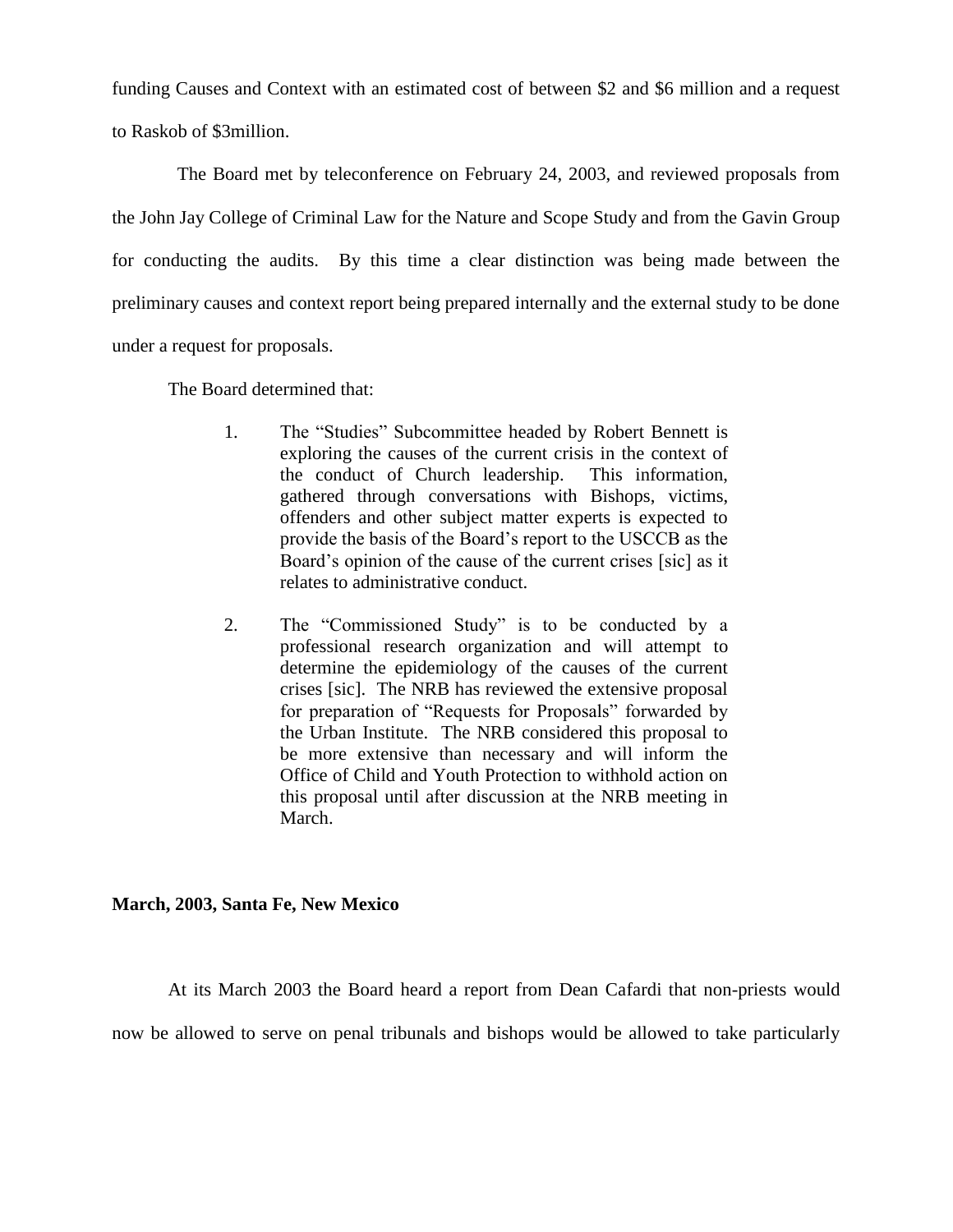funding Causes and Context with an estimated cost of between \$2 and \$6 million and a request to Raskob of \$3million.

 The Board met by teleconference on February 24, 2003, and reviewed proposals from the John Jay College of Criminal Law for the Nature and Scope Study and from the Gavin Group for conducting the audits. By this time a clear distinction was being made between the preliminary causes and context report being prepared internally and the external study to be done under a request for proposals.

The Board determined that:

- 1. The "Studies" Subcommittee headed by Robert Bennett is exploring the causes of the current crisis in the context of the conduct of Church leadership. This information, gathered through conversations with Bishops, victims, offenders and other subject matter experts is expected to provide the basis of the Board's report to the USCCB as the Board's opinion of the cause of the current crises [sic] as it relates to administrative conduct.
- 2. The "Commissioned Study" is to be conducted by a professional research organization and will attempt to determine the epidemiology of the causes of the current crises [sic]. The NRB has reviewed the extensive proposal for preparation of "Requests for Proposals" forwarded by the Urban Institute. The NRB considered this proposal to be more extensive than necessary and will inform the Office of Child and Youth Protection to withhold action on this proposal until after discussion at the NRB meeting in March.

# **March, 2003, Santa Fe, New Mexico**

At its March 2003 the Board heard a report from Dean Cafardi that non-priests would

now be allowed to serve on penal tribunals and bishops would be allowed to take particularly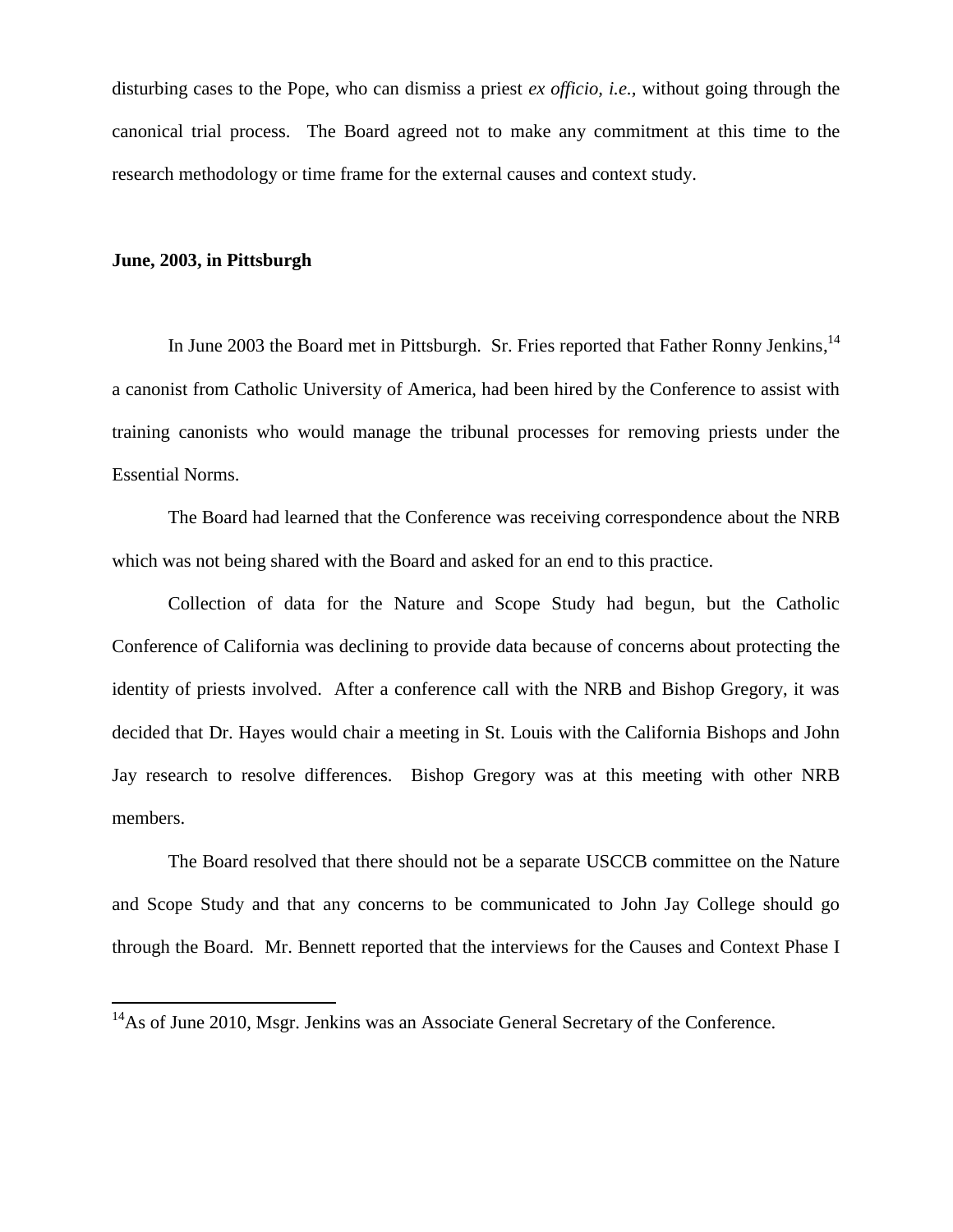disturbing cases to the Pope, who can dismiss a priest *ex officio, i.e.,* without going through the canonical trial process. The Board agreed not to make any commitment at this time to the research methodology or time frame for the external causes and context study.

## **June, 2003, in Pittsburgh**

 $\overline{a}$ 

In June 2003 the Board met in Pittsburgh. Sr. Fries reported that Father Ronny Jenkins,<sup>14</sup> a canonist from Catholic University of America, had been hired by the Conference to assist with training canonists who would manage the tribunal processes for removing priests under the Essential Norms.

The Board had learned that the Conference was receiving correspondence about the NRB which was not being shared with the Board and asked for an end to this practice.

Collection of data for the Nature and Scope Study had begun, but the Catholic Conference of California was declining to provide data because of concerns about protecting the identity of priests involved. After a conference call with the NRB and Bishop Gregory, it was decided that Dr. Hayes would chair a meeting in St. Louis with the California Bishops and John Jay research to resolve differences. Bishop Gregory was at this meeting with other NRB members.

The Board resolved that there should not be a separate USCCB committee on the Nature and Scope Study and that any concerns to be communicated to John Jay College should go through the Board. Mr. Bennett reported that the interviews for the Causes and Context Phase I

 $14$ As of June 2010, Msgr. Jenkins was an Associate General Secretary of the Conference.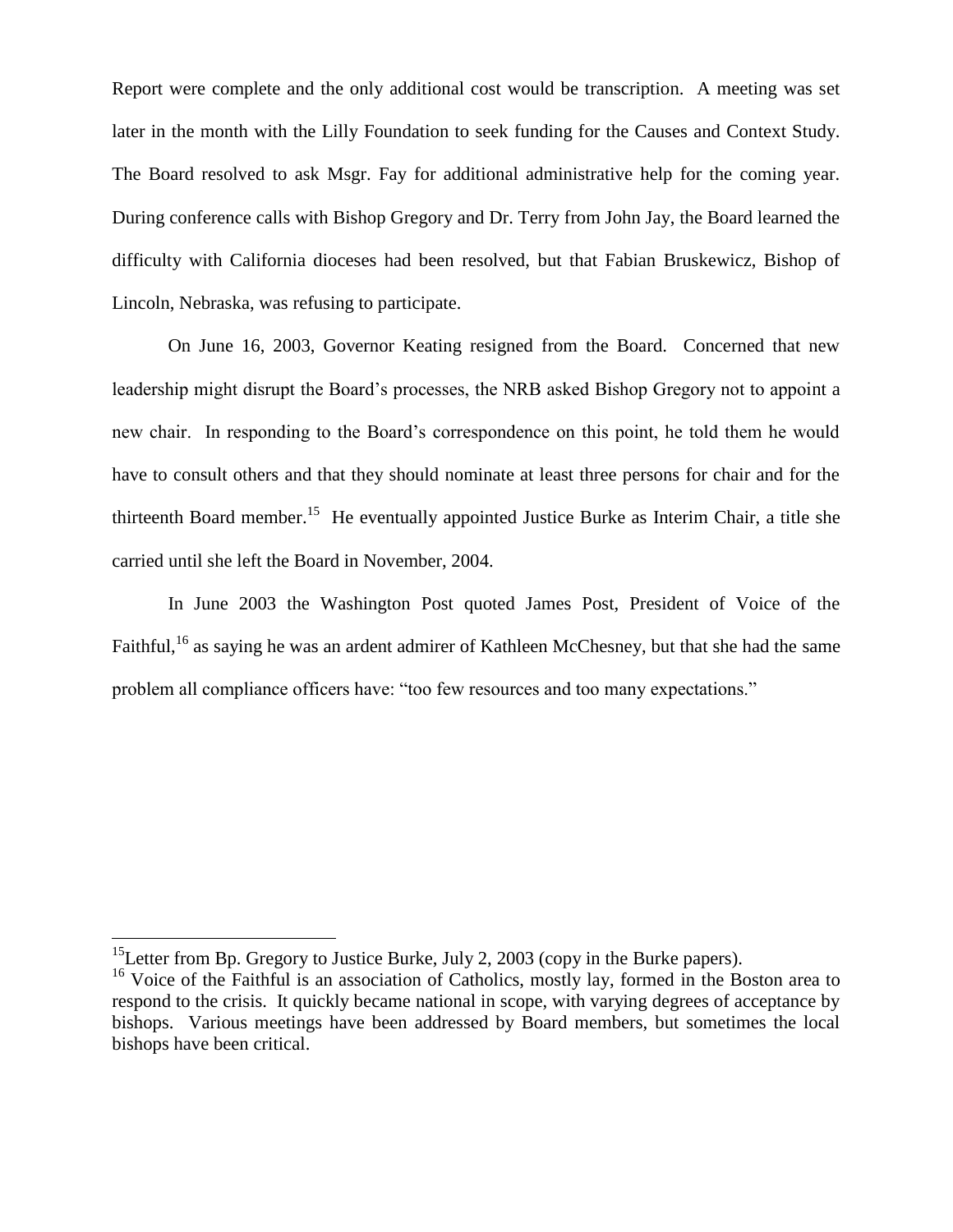Report were complete and the only additional cost would be transcription. A meeting was set later in the month with the Lilly Foundation to seek funding for the Causes and Context Study. The Board resolved to ask Msgr. Fay for additional administrative help for the coming year. During conference calls with Bishop Gregory and Dr. Terry from John Jay, the Board learned the difficulty with California dioceses had been resolved, but that Fabian Bruskewicz, Bishop of Lincoln, Nebraska, was refusing to participate.

On June 16, 2003, Governor Keating resigned from the Board. Concerned that new leadership might disrupt the Board's processes, the NRB asked Bishop Gregory not to appoint a new chair. In responding to the Board's correspondence on this point, he told them he would have to consult others and that they should nominate at least three persons for chair and for the thirteenth Board member.<sup>15</sup> He eventually appointed Justice Burke as Interim Chair, a title she carried until she left the Board in November, 2004.

In June 2003 the Washington Post quoted James Post, President of Voice of the Faithful, <sup>16</sup> as saying he was an ardent admirer of Kathleen McChesney, but that she had the same problem all compliance officers have: "too few resources and too many expectations."

 $\overline{a}$ 

<sup>&</sup>lt;sup>15</sup>Letter from Bp. Gregory to Justice Burke, July 2, 2003 (copy in the Burke papers).

<sup>&</sup>lt;sup>16</sup> Voice of the Faithful is an association of Catholics, mostly lay, formed in the Boston area to respond to the crisis. It quickly became national in scope, with varying degrees of acceptance by bishops. Various meetings have been addressed by Board members, but sometimes the local bishops have been critical.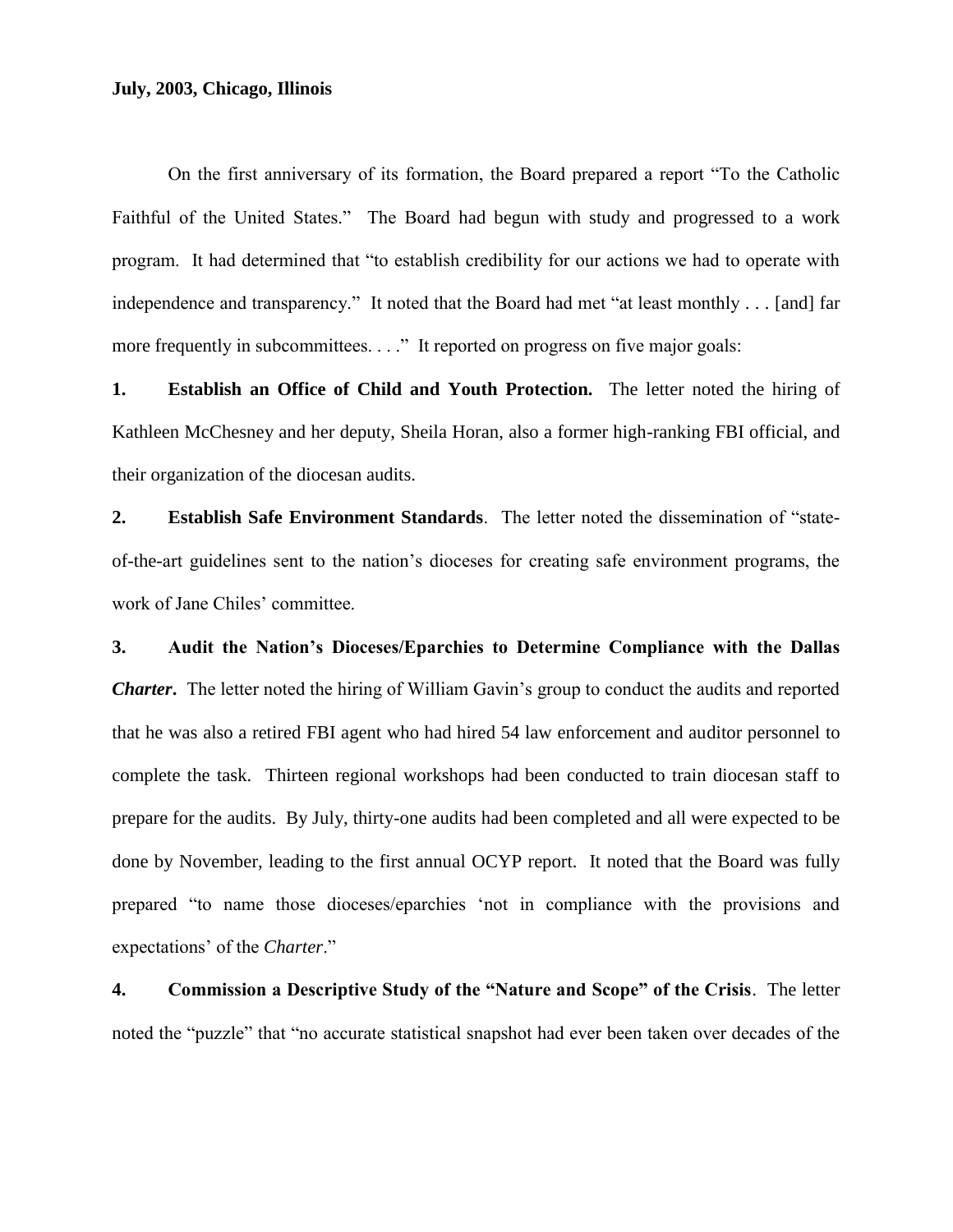# **July, 2003, Chicago, Illinois**

On the first anniversary of its formation, the Board prepared a report "To the Catholic Faithful of the United States." The Board had begun with study and progressed to a work program. It had determined that "to establish credibility for our actions we had to operate with independence and transparency." It noted that the Board had met "at least monthly . . . [and] far more frequently in subcommittees. . . ." It reported on progress on five major goals:

**1. Establish an Office of Child and Youth Protection.** The letter noted the hiring of Kathleen McChesney and her deputy, Sheila Horan, also a former high-ranking FBI official, and their organization of the diocesan audits.

**2. Establish Safe Environment Standards**. The letter noted the dissemination of "stateof-the-art guidelines sent to the nation's dioceses for creating safe environment programs, the work of Jane Chiles' committee.

**3. Audit the Nation's Dioceses/Eparchies to Determine Compliance with the Dallas**  *Charter***.** The letter noted the hiring of William Gavin's group to conduct the audits and reported that he was also a retired FBI agent who had hired 54 law enforcement and auditor personnel to complete the task. Thirteen regional workshops had been conducted to train diocesan staff to prepare for the audits. By July, thirty-one audits had been completed and all were expected to be done by November, leading to the first annual OCYP report. It noted that the Board was fully prepared "to name those dioceses/eparchies 'not in compliance with the provisions and expectations' of the *Charter*."

**4. Commission a Descriptive Study of the "Nature and Scope" of the Crisis**. The letter noted the "puzzle" that "no accurate statistical snapshot had ever been taken over decades of the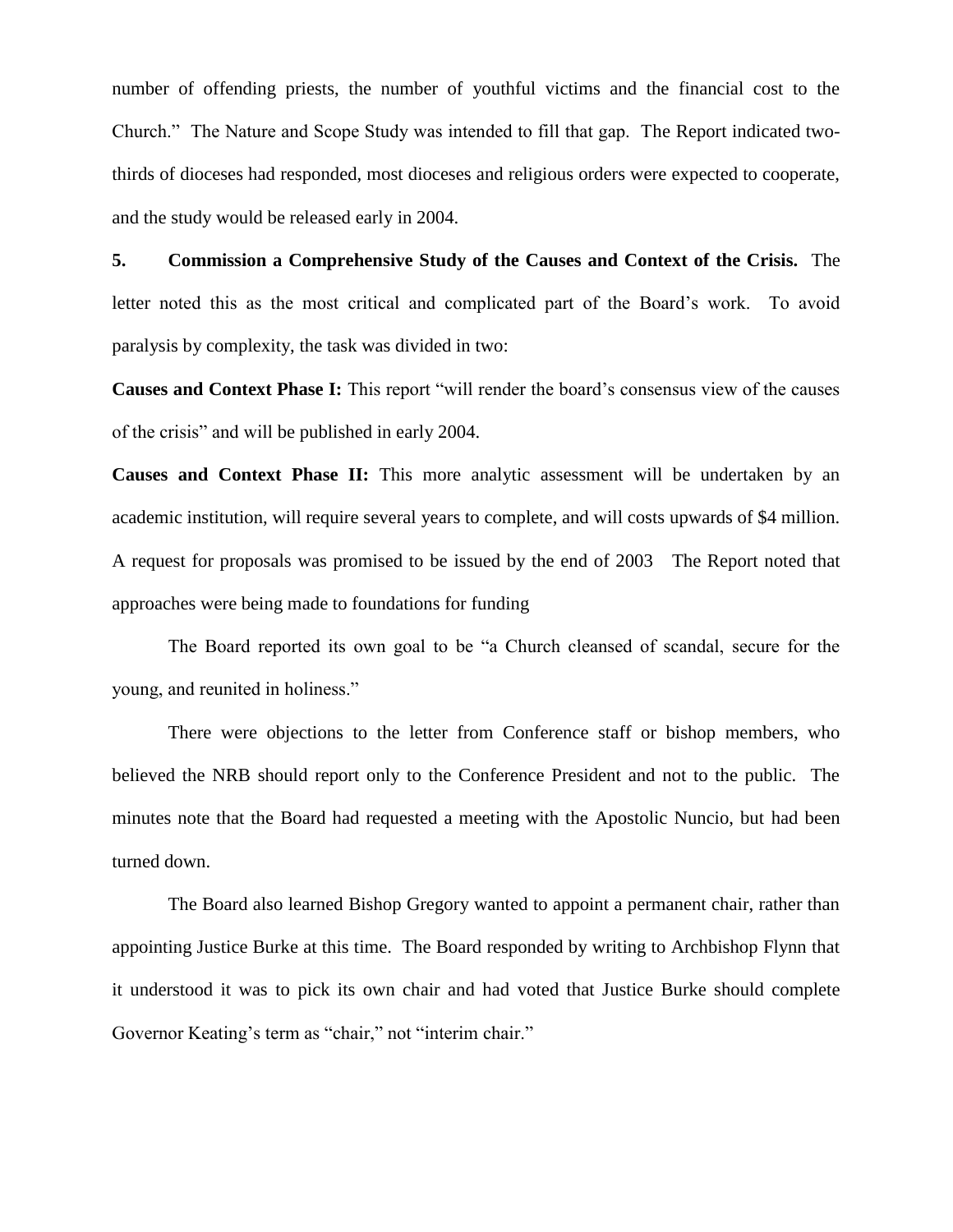number of offending priests, the number of youthful victims and the financial cost to the Church." The Nature and Scope Study was intended to fill that gap. The Report indicated twothirds of dioceses had responded, most dioceses and religious orders were expected to cooperate, and the study would be released early in 2004.

**5. Commission a Comprehensive Study of the Causes and Context of the Crisis.** The letter noted this as the most critical and complicated part of the Board's work. To avoid paralysis by complexity, the task was divided in two:

**Causes and Context Phase I:** This report "will render the board's consensus view of the causes of the crisis" and will be published in early 2004.

**Causes and Context Phase II:** This more analytic assessment will be undertaken by an academic institution, will require several years to complete, and will costs upwards of \$4 million. A request for proposals was promised to be issued by the end of 2003 The Report noted that approaches were being made to foundations for funding

The Board reported its own goal to be "a Church cleansed of scandal, secure for the young, and reunited in holiness."

There were objections to the letter from Conference staff or bishop members, who believed the NRB should report only to the Conference President and not to the public. The minutes note that the Board had requested a meeting with the Apostolic Nuncio, but had been turned down.

The Board also learned Bishop Gregory wanted to appoint a permanent chair, rather than appointing Justice Burke at this time. The Board responded by writing to Archbishop Flynn that it understood it was to pick its own chair and had voted that Justice Burke should complete Governor Keating's term as "chair," not "interim chair."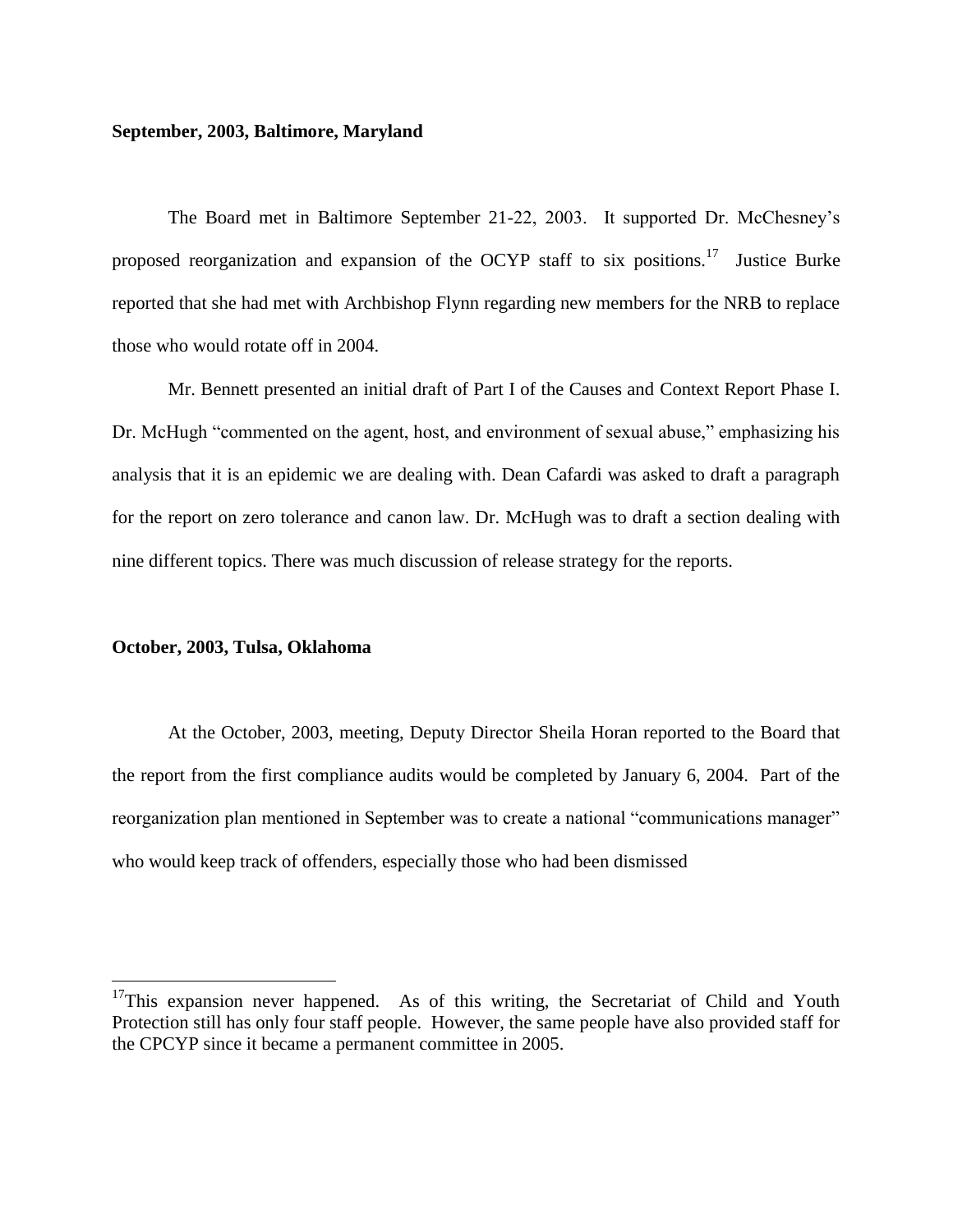#### **September, 2003, Baltimore, Maryland**

The Board met in Baltimore September 21-22, 2003. It supported Dr. McChesney's proposed reorganization and expansion of the OCYP staff to six positions.<sup>17</sup> Justice Burke reported that she had met with Archbishop Flynn regarding new members for the NRB to replace those who would rotate off in 2004.

Mr. Bennett presented an initial draft of Part I of the Causes and Context Report Phase I. Dr. McHugh "commented on the agent, host, and environment of sexual abuse," emphasizing his analysis that it is an epidemic we are dealing with. Dean Cafardi was asked to draft a paragraph for the report on zero tolerance and canon law. Dr. McHugh was to draft a section dealing with nine different topics. There was much discussion of release strategy for the reports.

#### **October, 2003, Tulsa, Oklahoma**

 $\overline{a}$ 

At the October, 2003, meeting, Deputy Director Sheila Horan reported to the Board that the report from the first compliance audits would be completed by January 6, 2004. Part of the reorganization plan mentioned in September was to create a national "communications manager" who would keep track of offenders, especially those who had been dismissed

 $17$ This expansion never happened. As of this writing, the Secretariat of Child and Youth Protection still has only four staff people. However, the same people have also provided staff for the CPCYP since it became a permanent committee in 2005.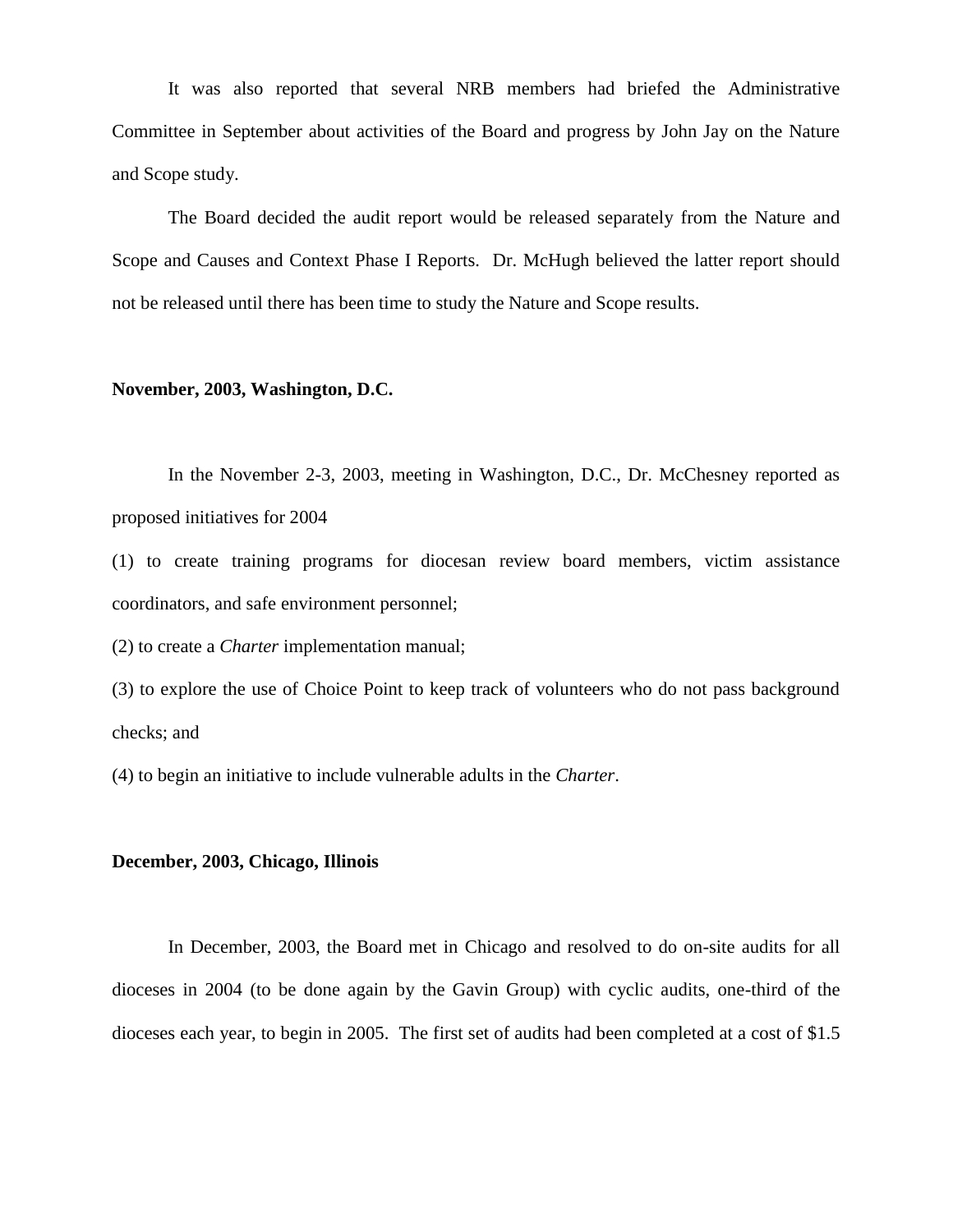It was also reported that several NRB members had briefed the Administrative Committee in September about activities of the Board and progress by John Jay on the Nature and Scope study.

The Board decided the audit report would be released separately from the Nature and Scope and Causes and Context Phase I Reports. Dr. McHugh believed the latter report should not be released until there has been time to study the Nature and Scope results.

# **November, 2003, Washington, D.C.**

In the November 2-3, 2003, meeting in Washington, D.C., Dr. McChesney reported as proposed initiatives for 2004

(1) to create training programs for diocesan review board members, victim assistance coordinators, and safe environment personnel;

(2) to create a *Charter* implementation manual;

(3) to explore the use of Choice Point to keep track of volunteers who do not pass background checks; and

(4) to begin an initiative to include vulnerable adults in the *Charter*.

#### **December, 2003, Chicago, Illinois**

In December, 2003, the Board met in Chicago and resolved to do on-site audits for all dioceses in 2004 (to be done again by the Gavin Group) with cyclic audits, one-third of the dioceses each year, to begin in 2005. The first set of audits had been completed at a cost of \$1.5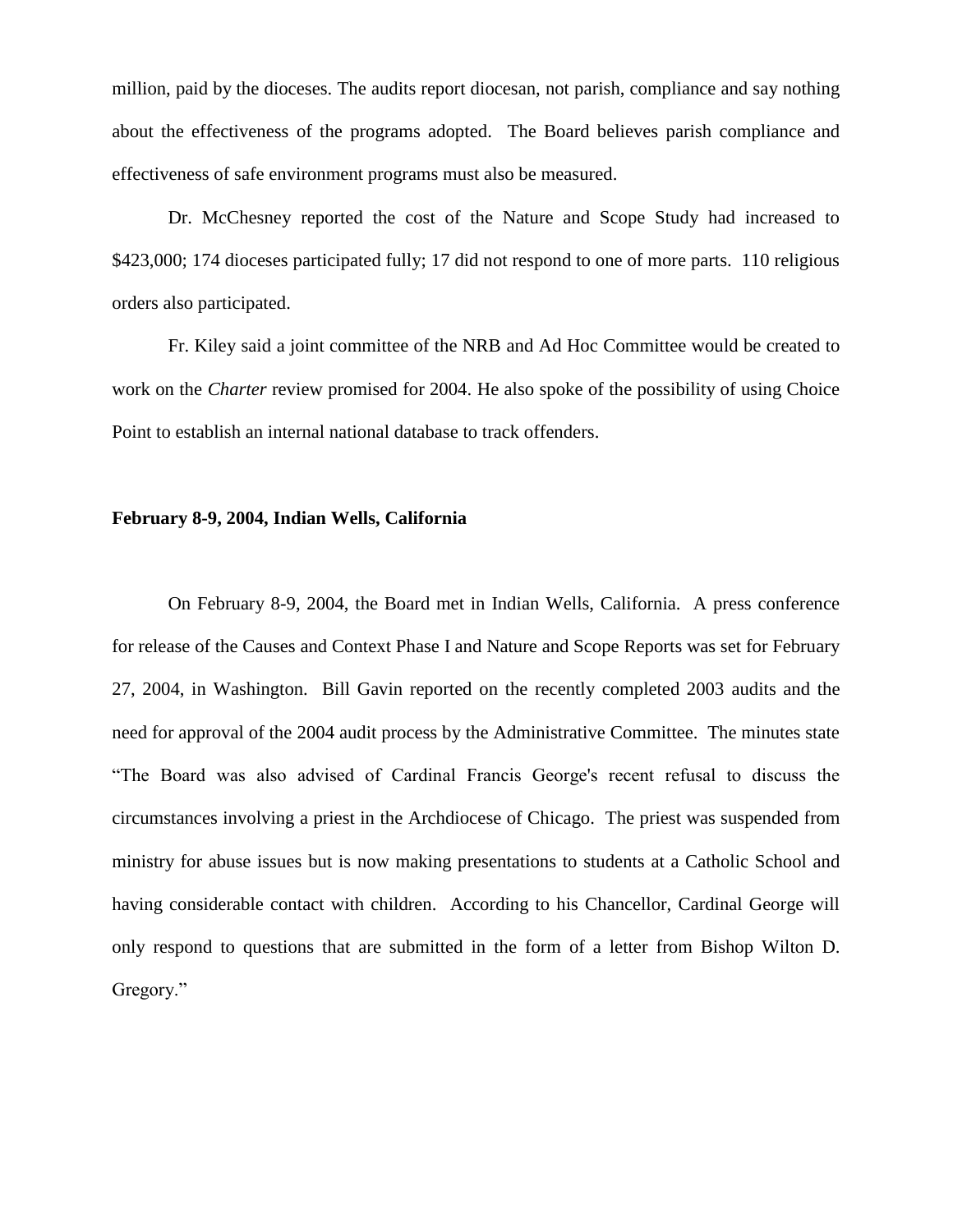million, paid by the dioceses. The audits report diocesan, not parish, compliance and say nothing about the effectiveness of the programs adopted. The Board believes parish compliance and effectiveness of safe environment programs must also be measured.

Dr. McChesney reported the cost of the Nature and Scope Study had increased to \$423,000; 174 dioceses participated fully; 17 did not respond to one of more parts. 110 religious orders also participated.

Fr. Kiley said a joint committee of the NRB and Ad Hoc Committee would be created to work on the *Charter* review promised for 2004. He also spoke of the possibility of using Choice Point to establish an internal national database to track offenders.

# **February 8-9, 2004, Indian Wells, California**

On February 8-9, 2004, the Board met in Indian Wells, California. A press conference for release of the Causes and Context Phase I and Nature and Scope Reports was set for February 27, 2004, in Washington. Bill Gavin reported on the recently completed 2003 audits and the need for approval of the 2004 audit process by the Administrative Committee. The minutes state "The Board was also advised of Cardinal Francis George's recent refusal to discuss the circumstances involving a priest in the Archdiocese of Chicago. The priest was suspended from ministry for abuse issues but is now making presentations to students at a Catholic School and having considerable contact with children. According to his Chancellor, Cardinal George will only respond to questions that are submitted in the form of a letter from Bishop Wilton D. Gregory."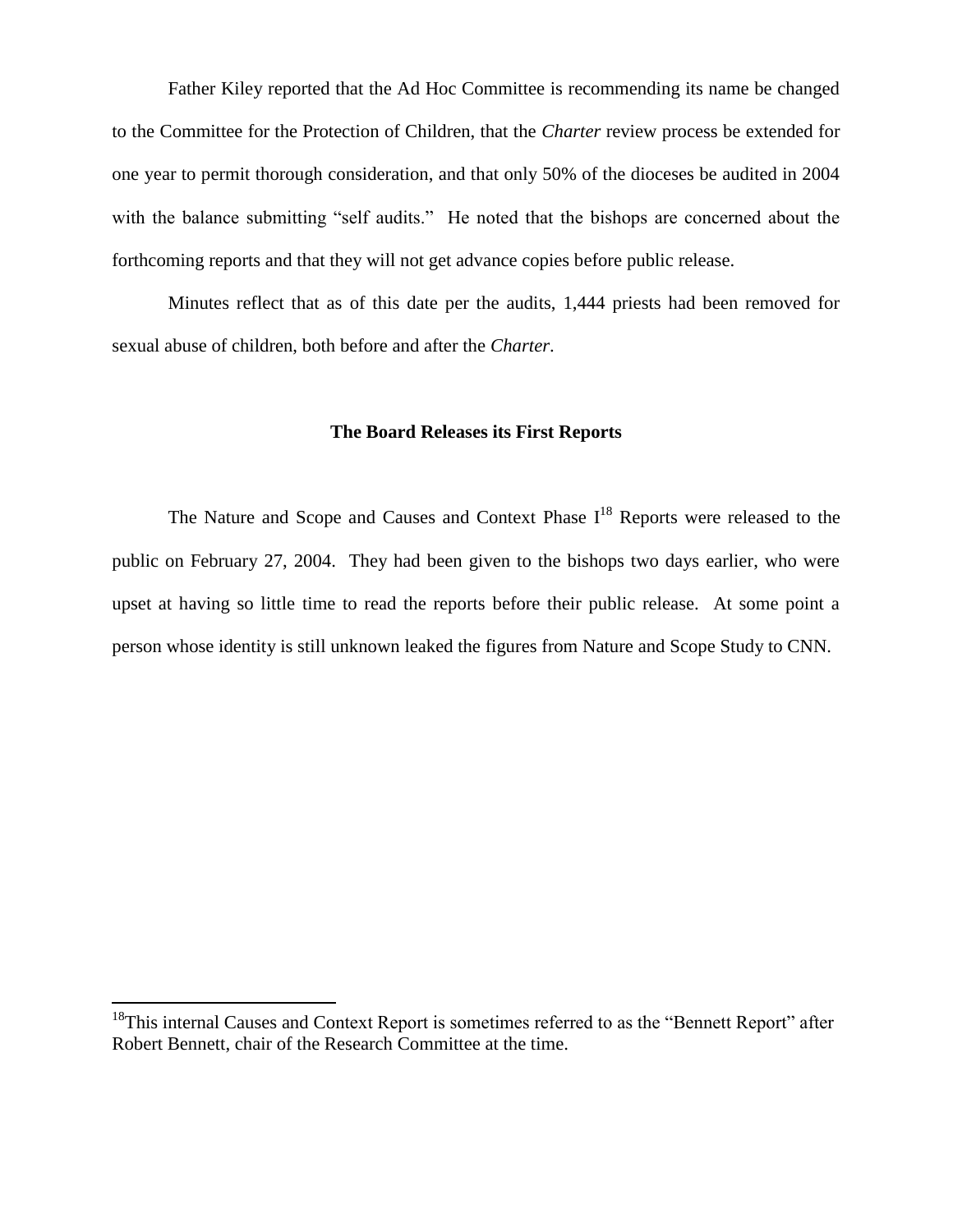Father Kiley reported that the Ad Hoc Committee is recommending its name be changed to the Committee for the Protection of Children, that the *Charter* review process be extended for one year to permit thorough consideration, and that only 50% of the dioceses be audited in 2004 with the balance submitting "self audits." He noted that the bishops are concerned about the forthcoming reports and that they will not get advance copies before public release.

Minutes reflect that as of this date per the audits, 1,444 priests had been removed for sexual abuse of children, both before and after the *Charter*.

#### **The Board Releases its First Reports**

The Nature and Scope and Causes and Context Phase  $I<sup>18</sup>$  Reports were released to the public on February 27, 2004. They had been given to the bishops two days earlier, who were upset at having so little time to read the reports before their public release. At some point a person whose identity is still unknown leaked the figures from Nature and Scope Study to CNN.

 $\overline{a}$ 

<sup>&</sup>lt;sup>18</sup>This internal Causes and Context Report is sometimes referred to as the "Bennett Report" after Robert Bennett, chair of the Research Committee at the time.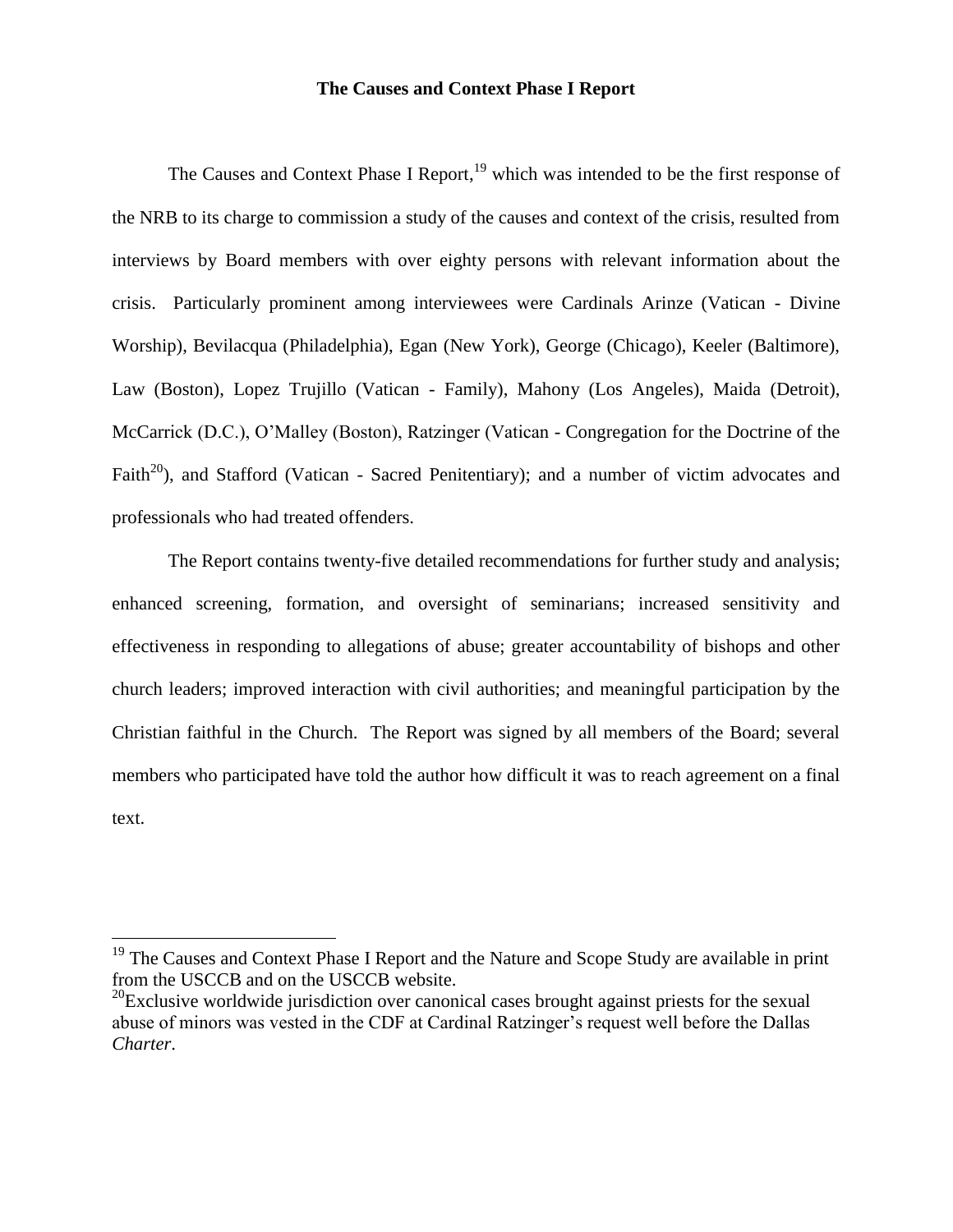# **The Causes and Context Phase I Report**

The Causes and Context Phase I Report,<sup>19</sup> which was intended to be the first response of the NRB to its charge to commission a study of the causes and context of the crisis, resulted from interviews by Board members with over eighty persons with relevant information about the crisis. Particularly prominent among interviewees were Cardinals Arinze (Vatican - Divine Worship), Bevilacqua (Philadelphia), Egan (New York), George (Chicago), Keeler (Baltimore), Law (Boston), Lopez Trujillo (Vatican - Family), Mahony (Los Angeles), Maida (Detroit), McCarrick (D.C.), O'Malley (Boston), Ratzinger (Vatican - Congregation for the Doctrine of the Faith<sup>20</sup>), and Stafford (Vatican - Sacred Penitentiary); and a number of victim advocates and professionals who had treated offenders.

The Report contains twenty-five detailed recommendations for further study and analysis; enhanced screening, formation, and oversight of seminarians; increased sensitivity and effectiveness in responding to allegations of abuse; greater accountability of bishops and other church leaders; improved interaction with civil authorities; and meaningful participation by the Christian faithful in the Church. The Report was signed by all members of the Board; several members who participated have told the author how difficult it was to reach agreement on a final text.

 $\overline{a}$ 

<sup>&</sup>lt;sup>19</sup> The Causes and Context Phase I Report and the Nature and Scope Study are available in print from the USCCB and on the USCCB website.

 $^{20}$ Exclusive worldwide jurisdiction over canonical cases brought against priests for the sexual abuse of minors was vested in the CDF at Cardinal Ratzinger's request well before the Dallas *Charter*.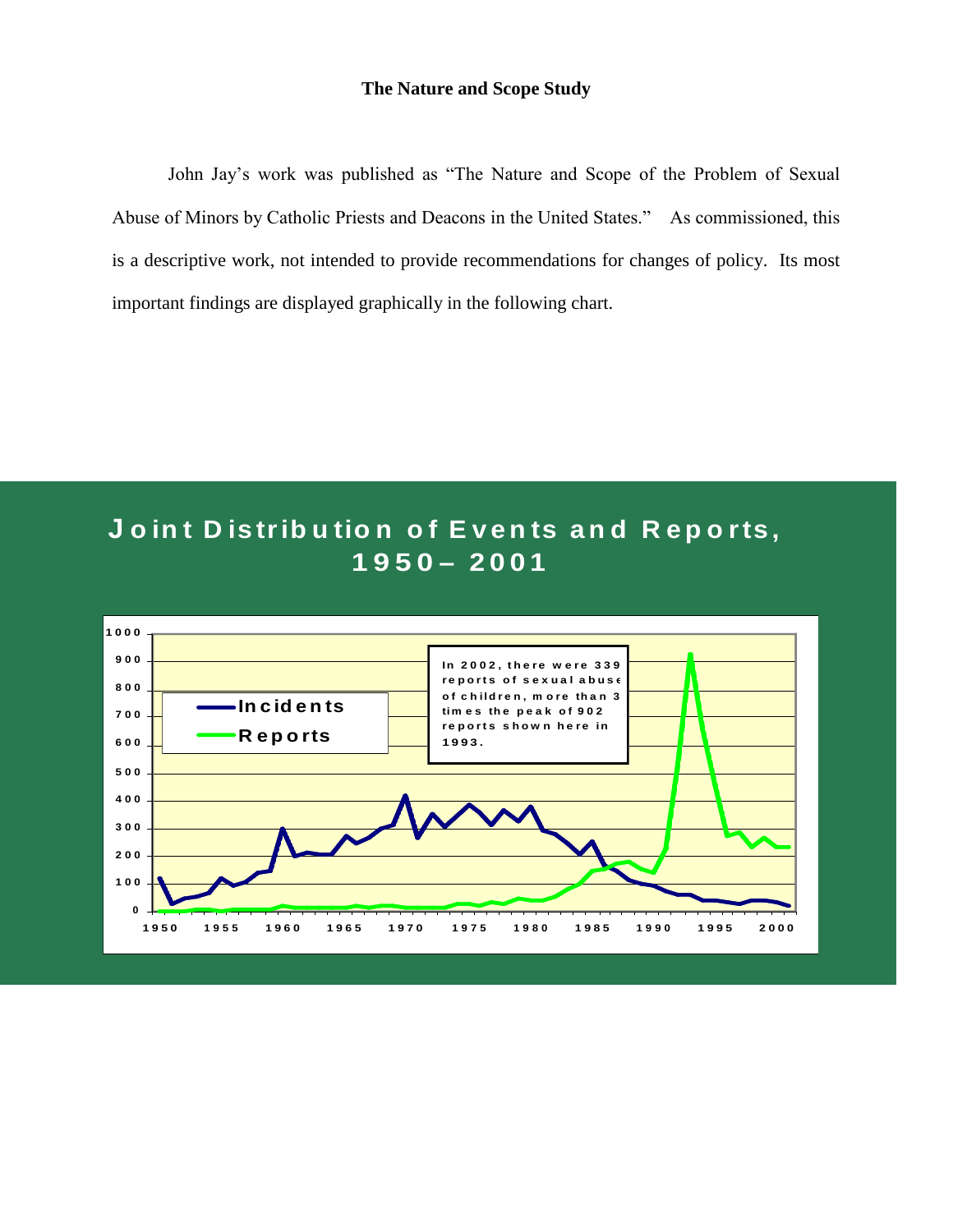# **The Nature and Scope Study**

John Jay's work was published as "The Nature and Scope of the Problem of Sexual Abuse of Minors by Catholic Priests and Deacons in the United States." As commissioned, this is a descriptive work, not intended to provide recommendations for changes of policy. Its most important findings are displayed graphically in the following chart.

# **<sup>J</sup> o in t D is tr ib u tio n o f E v e n ts a n d R e p o r ts , 1950 – 2 0 0 1**

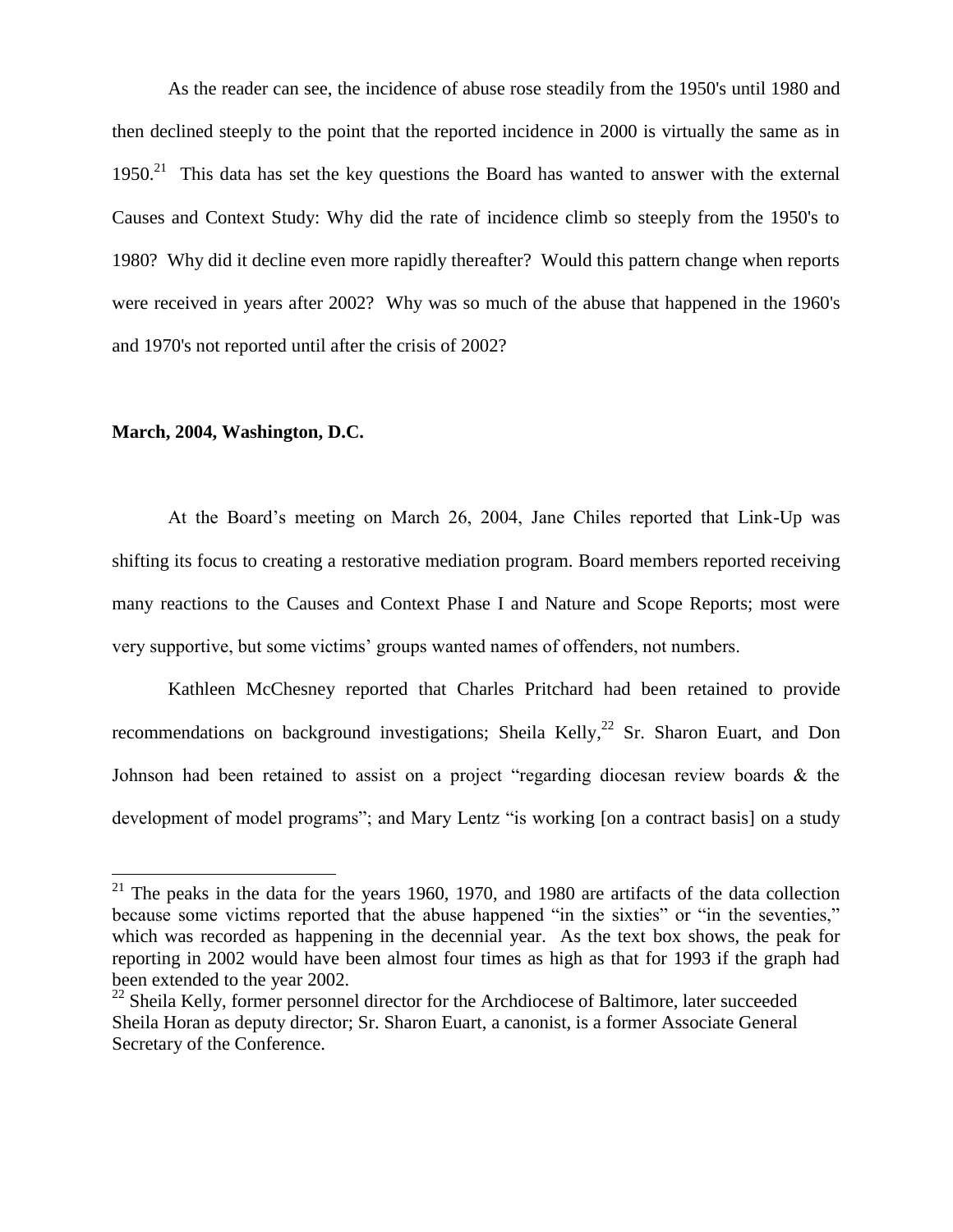As the reader can see, the incidence of abuse rose steadily from the 1950's until 1980 and then declined steeply to the point that the reported incidence in 2000 is virtually the same as in  $1950.<sup>21</sup>$  This data has set the key questions the Board has wanted to answer with the external Causes and Context Study: Why did the rate of incidence climb so steeply from the 1950's to 1980? Why did it decline even more rapidly thereafter? Would this pattern change when reports were received in years after 2002? Why was so much of the abuse that happened in the 1960's and 1970's not reported until after the crisis of 2002?

#### **March, 2004, Washington, D.C.**

 $\overline{a}$ 

At the Board's meeting on March 26, 2004, Jane Chiles reported that Link-Up was shifting its focus to creating a restorative mediation program. Board members reported receiving many reactions to the Causes and Context Phase I and Nature and Scope Reports; most were very supportive, but some victims' groups wanted names of offenders, not numbers.

Kathleen McChesney reported that Charles Pritchard had been retained to provide recommendations on background investigations; Sheila Kelly, $^{22}$  Sr. Sharon Euart, and Don Johnson had been retained to assist on a project "regarding diocesan review boards & the development of model programs"; and Mary Lentz "is working [on a contract basis] on a study

<sup>&</sup>lt;sup>21</sup> The peaks in the data for the years 1960, 1970, and 1980 are artifacts of the data collection because some victims reported that the abuse happened "in the sixties" or "in the seventies," which was recorded as happening in the decennial year. As the text box shows, the peak for reporting in 2002 would have been almost four times as high as that for 1993 if the graph had been extended to the year 2002.

 $22$  Sheila Kelly, former personnel director for the Archdiocese of Baltimore, later succeeded Sheila Horan as deputy director; Sr. Sharon Euart, a canonist, is a former Associate General Secretary of the Conference.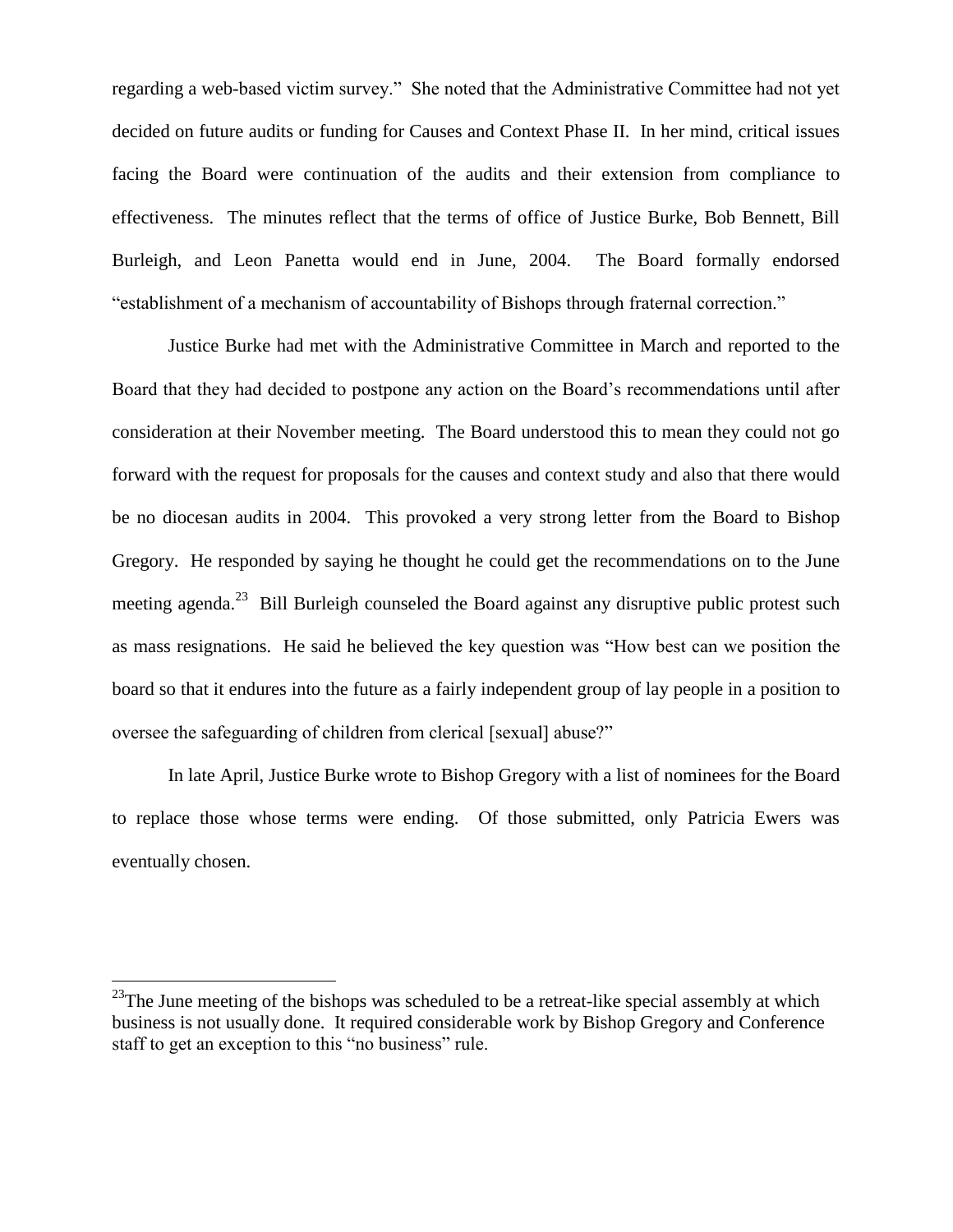regarding a web-based victim survey." She noted that the Administrative Committee had not yet decided on future audits or funding for Causes and Context Phase II. In her mind, critical issues facing the Board were continuation of the audits and their extension from compliance to effectiveness. The minutes reflect that the terms of office of Justice Burke, Bob Bennett, Bill Burleigh, and Leon Panetta would end in June, 2004. The Board formally endorsed "establishment of a mechanism of accountability of Bishops through fraternal correction."

Justice Burke had met with the Administrative Committee in March and reported to the Board that they had decided to postpone any action on the Board's recommendations until after consideration at their November meeting. The Board understood this to mean they could not go forward with the request for proposals for the causes and context study and also that there would be no diocesan audits in 2004. This provoked a very strong letter from the Board to Bishop Gregory. He responded by saying he thought he could get the recommendations on to the June meeting agenda.<sup>23</sup> Bill Burleigh counseled the Board against any disruptive public protest such as mass resignations. He said he believed the key question was "How best can we position the board so that it endures into the future as a fairly independent group of lay people in a position to oversee the safeguarding of children from clerical [sexual] abuse?"

In late April, Justice Burke wrote to Bishop Gregory with a list of nominees for the Board to replace those whose terms were ending. Of those submitted, only Patricia Ewers was eventually chosen.

 $\overline{a}$ 

<sup>&</sup>lt;sup>23</sup>The June meeting of the bishops was scheduled to be a retreat-like special assembly at which business is not usually done. It required considerable work by Bishop Gregory and Conference staff to get an exception to this "no business" rule.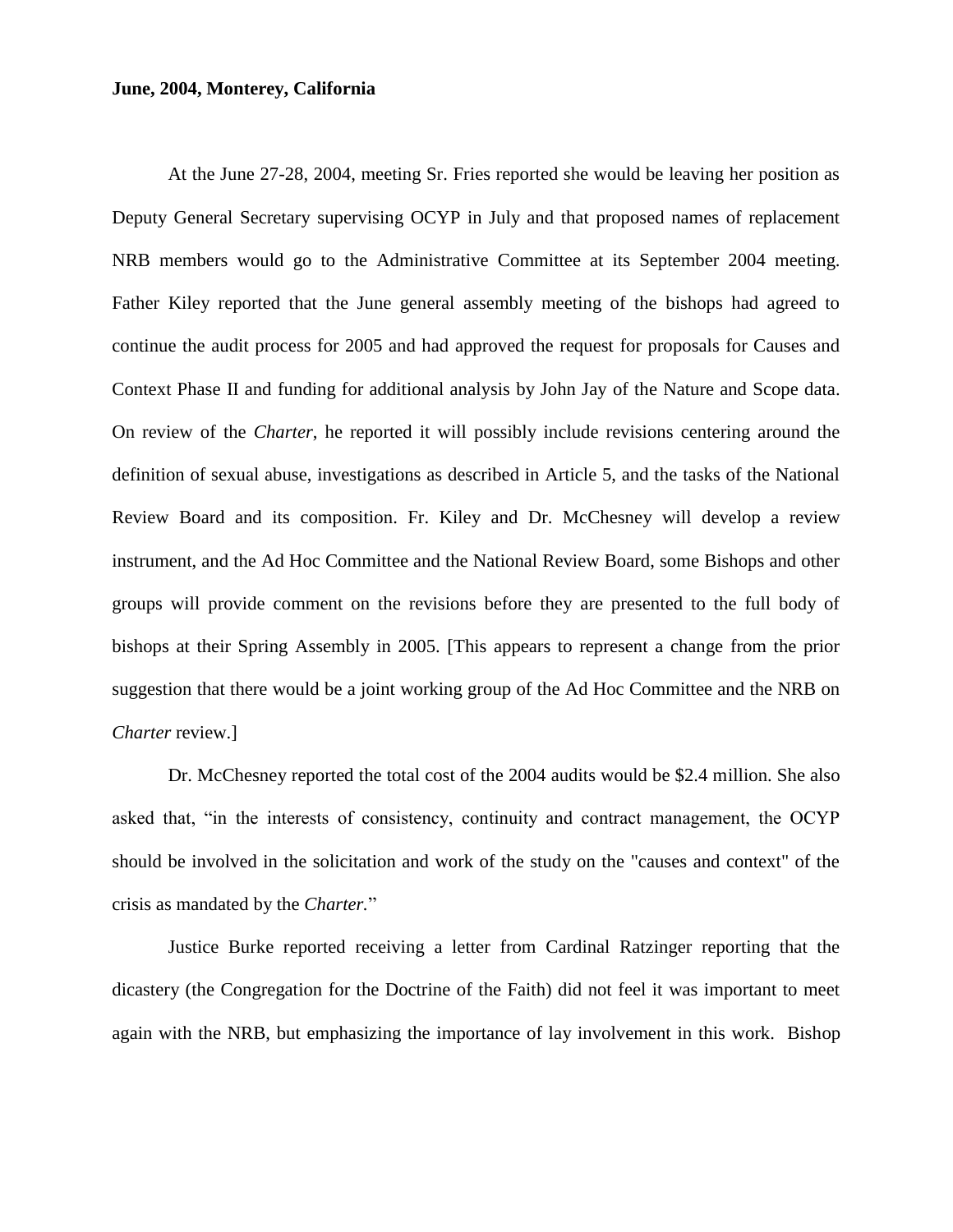#### **June, 2004, Monterey, California**

At the June 27-28, 2004, meeting Sr. Fries reported she would be leaving her position as Deputy General Secretary supervising OCYP in July and that proposed names of replacement NRB members would go to the Administrative Committee at its September 2004 meeting. Father Kiley reported that the June general assembly meeting of the bishops had agreed to continue the audit process for 2005 and had approved the request for proposals for Causes and Context Phase II and funding for additional analysis by John Jay of the Nature and Scope data. On review of the *Charter*, he reported it will possibly include revisions centering around the definition of sexual abuse, investigations as described in Article 5, and the tasks of the National Review Board and its composition. Fr. Kiley and Dr. McChesney will develop a review instrument, and the Ad Hoc Committee and the National Review Board, some Bishops and other groups will provide comment on the revisions before they are presented to the full body of bishops at their Spring Assembly in 2005. [This appears to represent a change from the prior suggestion that there would be a joint working group of the Ad Hoc Committee and the NRB on *Charter* review.]

Dr. McChesney reported the total cost of the 2004 audits would be \$2.4 million. She also asked that, "in the interests of consistency, continuity and contract management, the OCYP should be involved in the solicitation and work of the study on the "causes and context" of the crisis as mandated by the *Charter.*"

Justice Burke reported receiving a letter from Cardinal Ratzinger reporting that the dicastery (the Congregation for the Doctrine of the Faith) did not feel it was important to meet again with the NRB, but emphasizing the importance of lay involvement in this work. Bishop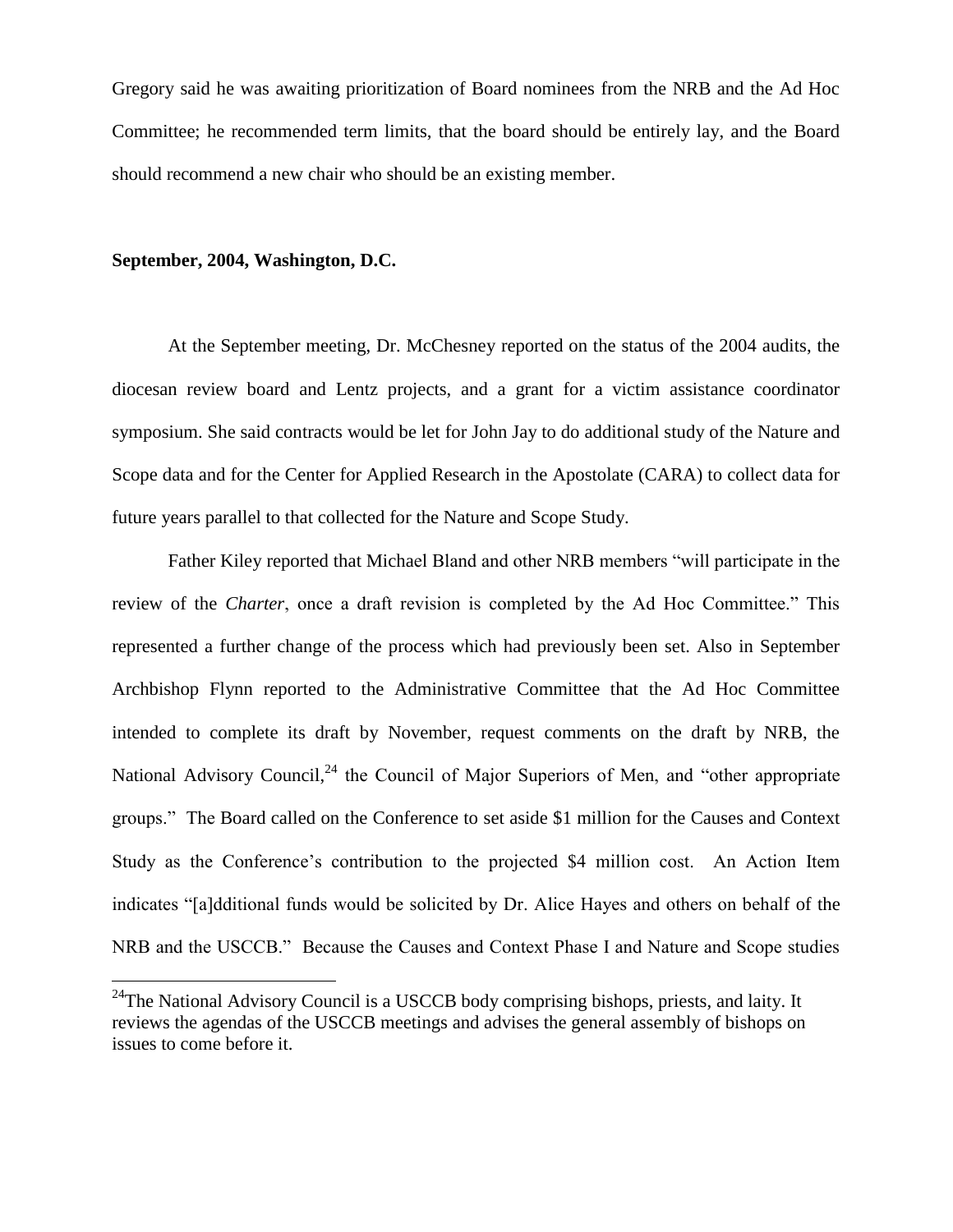Gregory said he was awaiting prioritization of Board nominees from the NRB and the Ad Hoc Committee; he recommended term limits, that the board should be entirely lay, and the Board should recommend a new chair who should be an existing member.

#### **September, 2004, Washington, D.C.**

 $\overline{a}$ 

At the September meeting, Dr. McChesney reported on the status of the 2004 audits, the diocesan review board and Lentz projects, and a grant for a victim assistance coordinator symposium. She said contracts would be let for John Jay to do additional study of the Nature and Scope data and for the Center for Applied Research in the Apostolate (CARA) to collect data for future years parallel to that collected for the Nature and Scope Study.

Father Kiley reported that Michael Bland and other NRB members "will participate in the review of the *Charter*, once a draft revision is completed by the Ad Hoc Committee." This represented a further change of the process which had previously been set. Also in September Archbishop Flynn reported to the Administrative Committee that the Ad Hoc Committee intended to complete its draft by November, request comments on the draft by NRB, the National Advisory Council,<sup>24</sup> the Council of Major Superiors of Men, and "other appropriate groups." The Board called on the Conference to set aside \$1 million for the Causes and Context Study as the Conference's contribution to the projected \$4 million cost. An Action Item indicates "[a]dditional funds would be solicited by Dr. Alice Hayes and others on behalf of the NRB and the USCCB." Because the Causes and Context Phase I and Nature and Scope studies

<sup>&</sup>lt;sup>24</sup>The National Advisory Council is a USCCB body comprising bishops, priests, and laity. It reviews the agendas of the USCCB meetings and advises the general assembly of bishops on issues to come before it.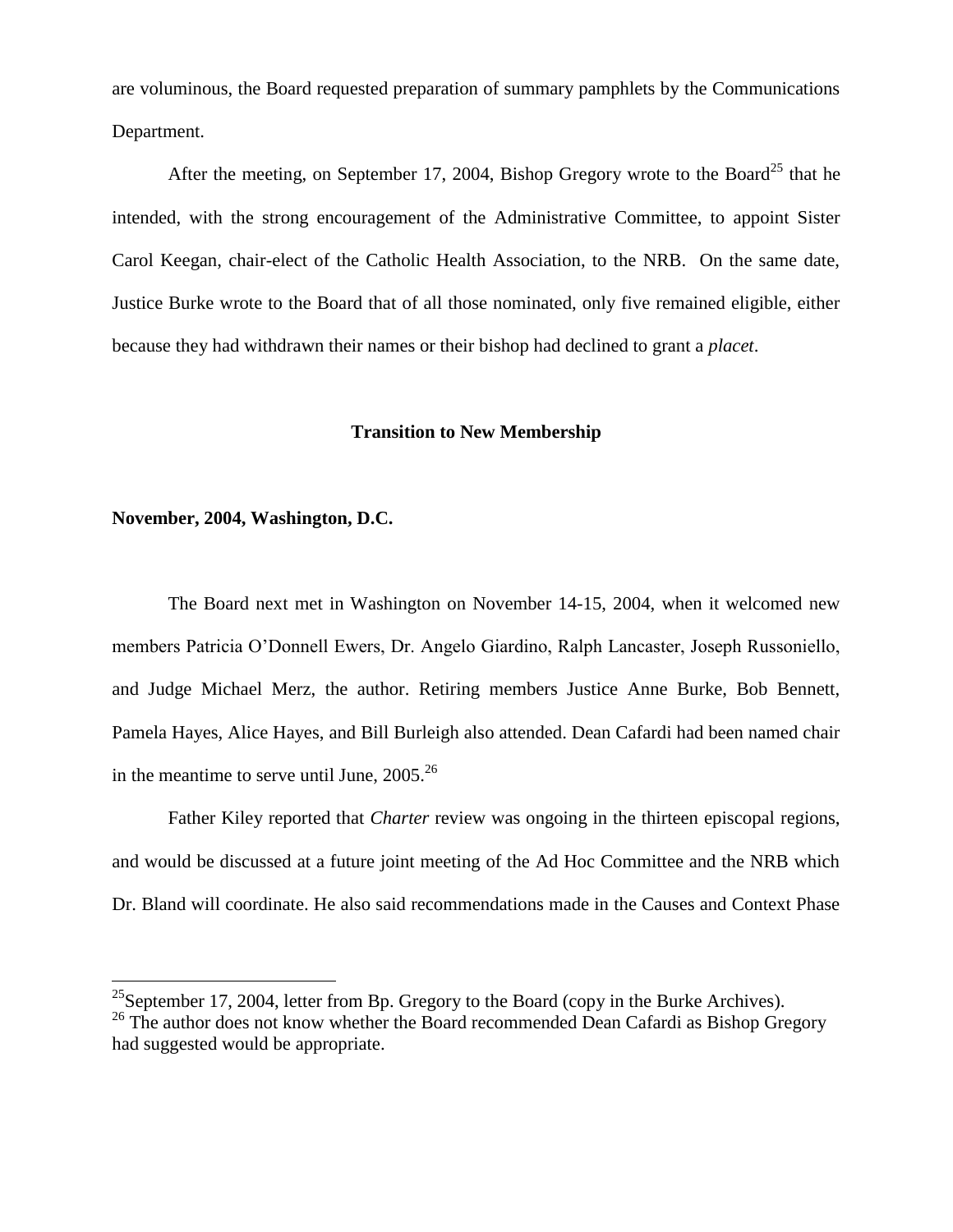are voluminous, the Board requested preparation of summary pamphlets by the Communications Department.

After the meeting, on September 17, 2004, Bishop Gregory wrote to the Board<sup>25</sup> that he intended, with the strong encouragement of the Administrative Committee, to appoint Sister Carol Keegan, chair-elect of the Catholic Health Association, to the NRB. On the same date, Justice Burke wrote to the Board that of all those nominated, only five remained eligible, either because they had withdrawn their names or their bishop had declined to grant a *placet*.

#### **Transition to New Membership**

#### **November, 2004, Washington, D.C.**

 $\overline{a}$ 

The Board next met in Washington on November 14-15, 2004, when it welcomed new members Patricia O'Donnell Ewers, Dr. Angelo Giardino, Ralph Lancaster, Joseph Russoniello, and Judge Michael Merz, the author. Retiring members Justice Anne Burke, Bob Bennett, Pamela Hayes, Alice Hayes, and Bill Burleigh also attended. Dean Cafardi had been named chair in the meantime to serve until June, 2005.<sup>26</sup>

Father Kiley reported that *Charter* review was ongoing in the thirteen episcopal regions, and would be discussed at a future joint meeting of the Ad Hoc Committee and the NRB which Dr. Bland will coordinate. He also said recommendations made in the Causes and Context Phase

<sup>&</sup>lt;sup>25</sup>September 17, 2004, letter from Bp. Gregory to the Board (copy in the Burke Archives).

<sup>&</sup>lt;sup>26</sup> The author does not know whether the Board recommended Dean Cafardi as Bishop Gregory had suggested would be appropriate.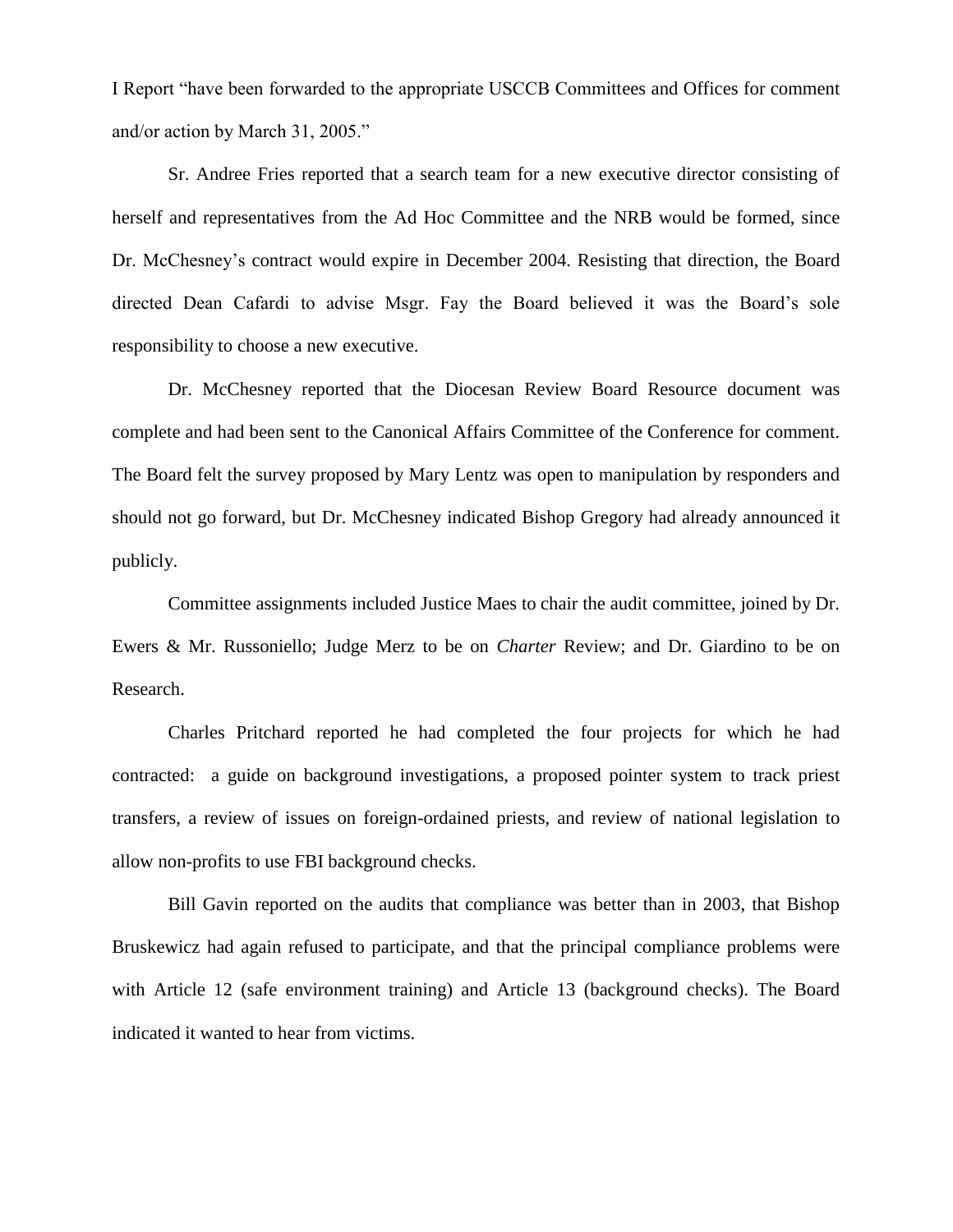I Report "have been forwarded to the appropriate USCCB Committees and Offices for comment and/or action by March 31, 2005."

Sr. Andree Fries reported that a search team for a new executive director consisting of herself and representatives from the Ad Hoc Committee and the NRB would be formed, since Dr. McChesney's contract would expire in December 2004. Resisting that direction, the Board directed Dean Cafardi to advise Msgr. Fay the Board believed it was the Board's sole responsibility to choose a new executive.

Dr. McChesney reported that the Diocesan Review Board Resource document was complete and had been sent to the Canonical Affairs Committee of the Conference for comment. The Board felt the survey proposed by Mary Lentz was open to manipulation by responders and should not go forward, but Dr. McChesney indicated Bishop Gregory had already announced it publicly.

Committee assignments included Justice Maes to chair the audit committee, joined by Dr. Ewers & Mr. Russoniello; Judge Merz to be on *Charter* Review; and Dr. Giardino to be on Research.

Charles Pritchard reported he had completed the four projects for which he had contracted: a guide on background investigations, a proposed pointer system to track priest transfers, a review of issues on foreign-ordained priests, and review of national legislation to allow non-profits to use FBI background checks.

Bill Gavin reported on the audits that compliance was better than in 2003, that Bishop Bruskewicz had again refused to participate, and that the principal compliance problems were with Article 12 (safe environment training) and Article 13 (background checks). The Board indicated it wanted to hear from victims.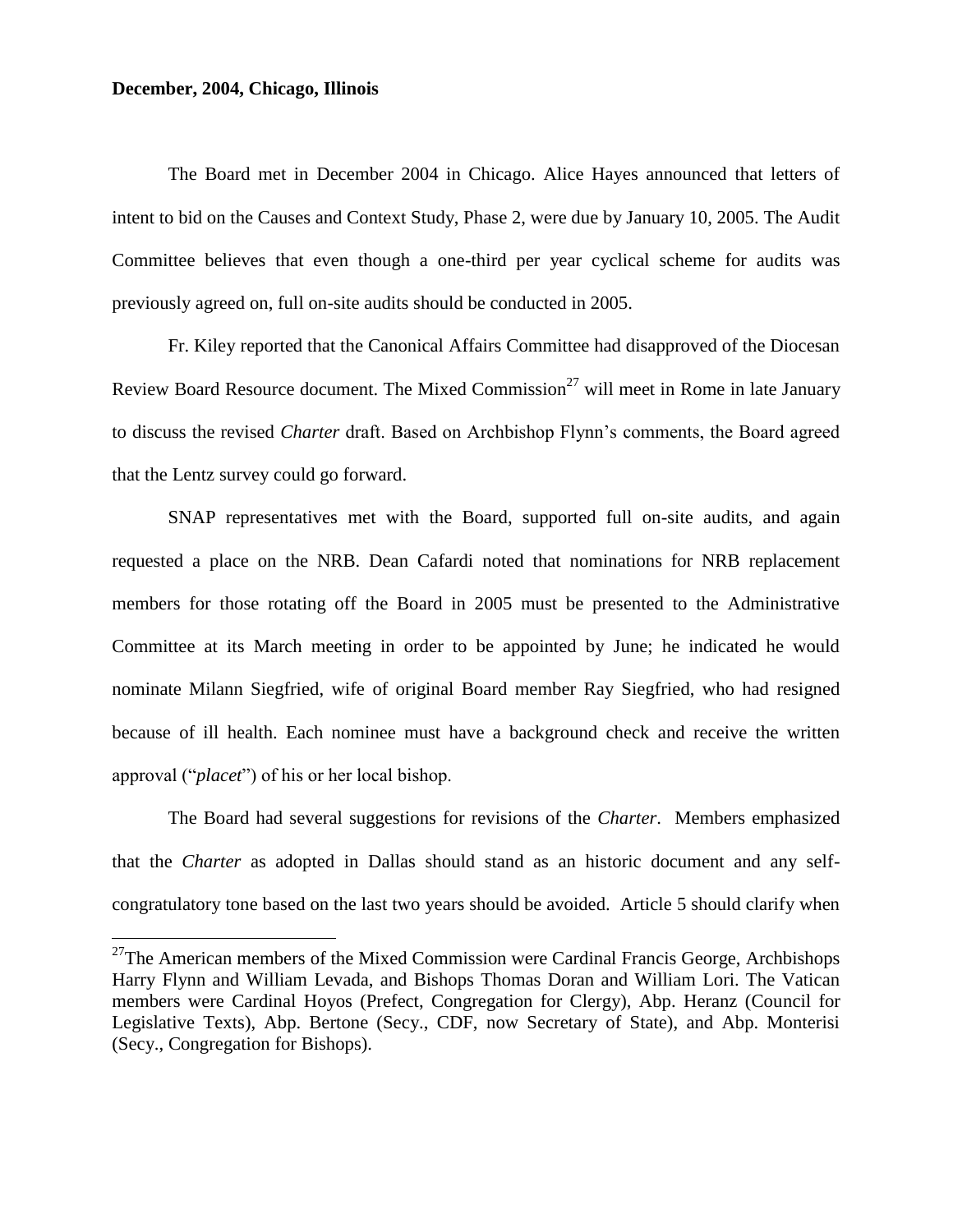#### **December, 2004, Chicago, Illinois**

 $\overline{a}$ 

The Board met in December 2004 in Chicago. Alice Hayes announced that letters of intent to bid on the Causes and Context Study, Phase 2, were due by January 10, 2005. The Audit Committee believes that even though a one-third per year cyclical scheme for audits was previously agreed on, full on-site audits should be conducted in 2005.

Fr. Kiley reported that the Canonical Affairs Committee had disapproved of the Diocesan Review Board Resource document. The Mixed Commission<sup>27</sup> will meet in Rome in late January to discuss the revised *Charter* draft. Based on Archbishop Flynn's comments, the Board agreed that the Lentz survey could go forward.

SNAP representatives met with the Board, supported full on-site audits, and again requested a place on the NRB. Dean Cafardi noted that nominations for NRB replacement members for those rotating off the Board in 2005 must be presented to the Administrative Committee at its March meeting in order to be appointed by June; he indicated he would nominate Milann Siegfried, wife of original Board member Ray Siegfried, who had resigned because of ill health. Each nominee must have a background check and receive the written approval ("*placet*") of his or her local bishop.

The Board had several suggestions for revisions of the *Charter*. Members emphasized that the *Charter* as adopted in Dallas should stand as an historic document and any selfcongratulatory tone based on the last two years should be avoided. Article 5 should clarify when

 $27$ The American members of the Mixed Commission were Cardinal Francis George, Archbishops Harry Flynn and William Levada, and Bishops Thomas Doran and William Lori. The Vatican members were Cardinal Hoyos (Prefect, Congregation for Clergy), Abp. Heranz (Council for Legislative Texts), Abp. Bertone (Secy., CDF, now Secretary of State), and Abp. Monterisi (Secy., Congregation for Bishops).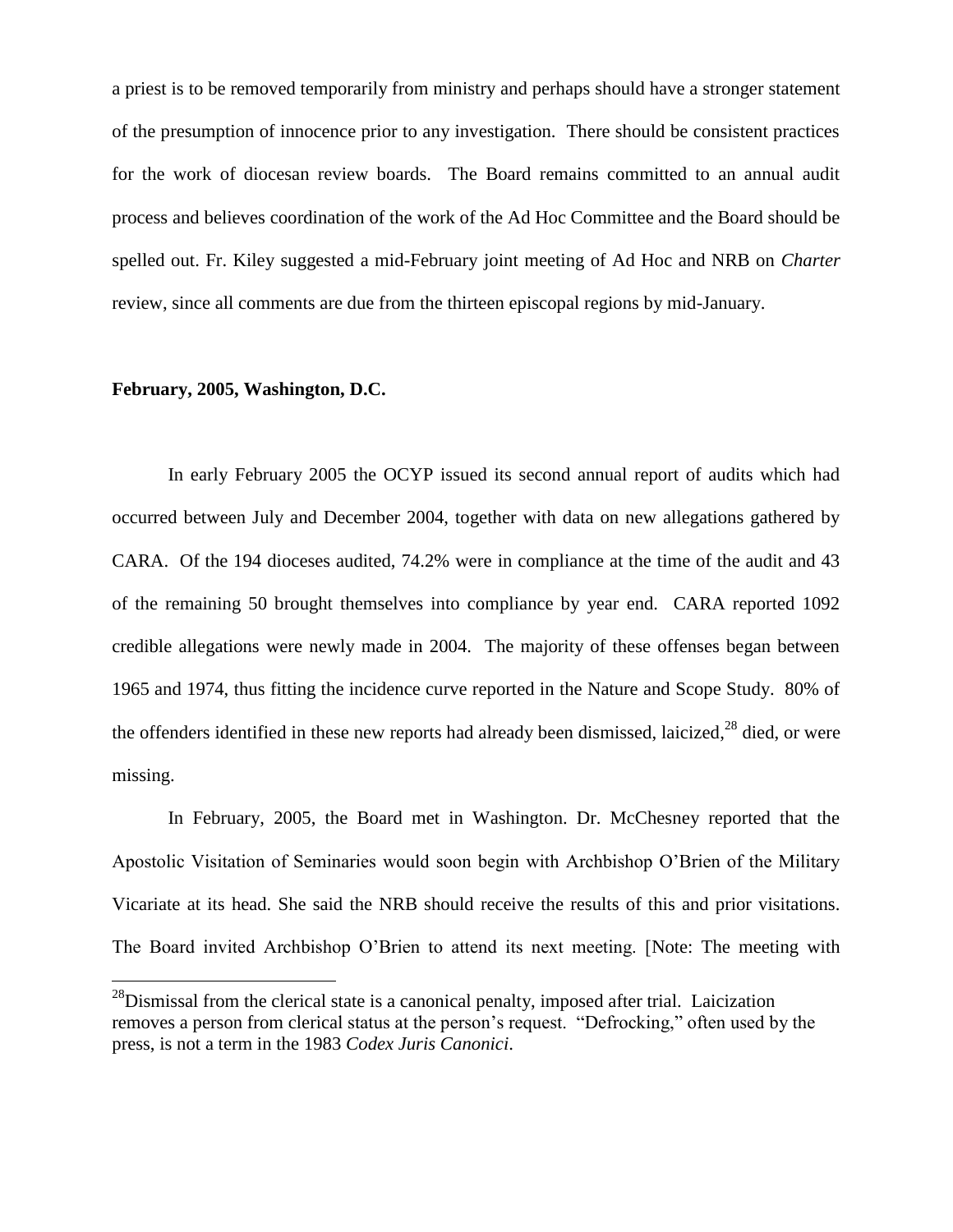a priest is to be removed temporarily from ministry and perhaps should have a stronger statement of the presumption of innocence prior to any investigation. There should be consistent practices for the work of diocesan review boards. The Board remains committed to an annual audit process and believes coordination of the work of the Ad Hoc Committee and the Board should be spelled out. Fr. Kiley suggested a mid-February joint meeting of Ad Hoc and NRB on *Charter* review, since all comments are due from the thirteen episcopal regions by mid-January.

#### **February, 2005, Washington, D.C.**

 $\overline{a}$ 

In early February 2005 the OCYP issued its second annual report of audits which had occurred between July and December 2004, together with data on new allegations gathered by CARA. Of the 194 dioceses audited, 74.2% were in compliance at the time of the audit and 43 of the remaining 50 brought themselves into compliance by year end. CARA reported 1092 credible allegations were newly made in 2004. The majority of these offenses began between 1965 and 1974, thus fitting the incidence curve reported in the Nature and Scope Study. 80% of the offenders identified in these new reports had already been dismissed, laicized,<sup>28</sup> died, or were missing.

In February, 2005, the Board met in Washington. Dr. McChesney reported that the Apostolic Visitation of Seminaries would soon begin with Archbishop O'Brien of the Military Vicariate at its head. She said the NRB should receive the results of this and prior visitations. The Board invited Archbishop O'Brien to attend its next meeting. [Note: The meeting with

 $^{28}$ Dismissal from the clerical state is a canonical penalty, imposed after trial. Laicization removes a person from clerical status at the person's request. "Defrocking," often used by the press, is not a term in the 1983 *Codex Juris Canonici*.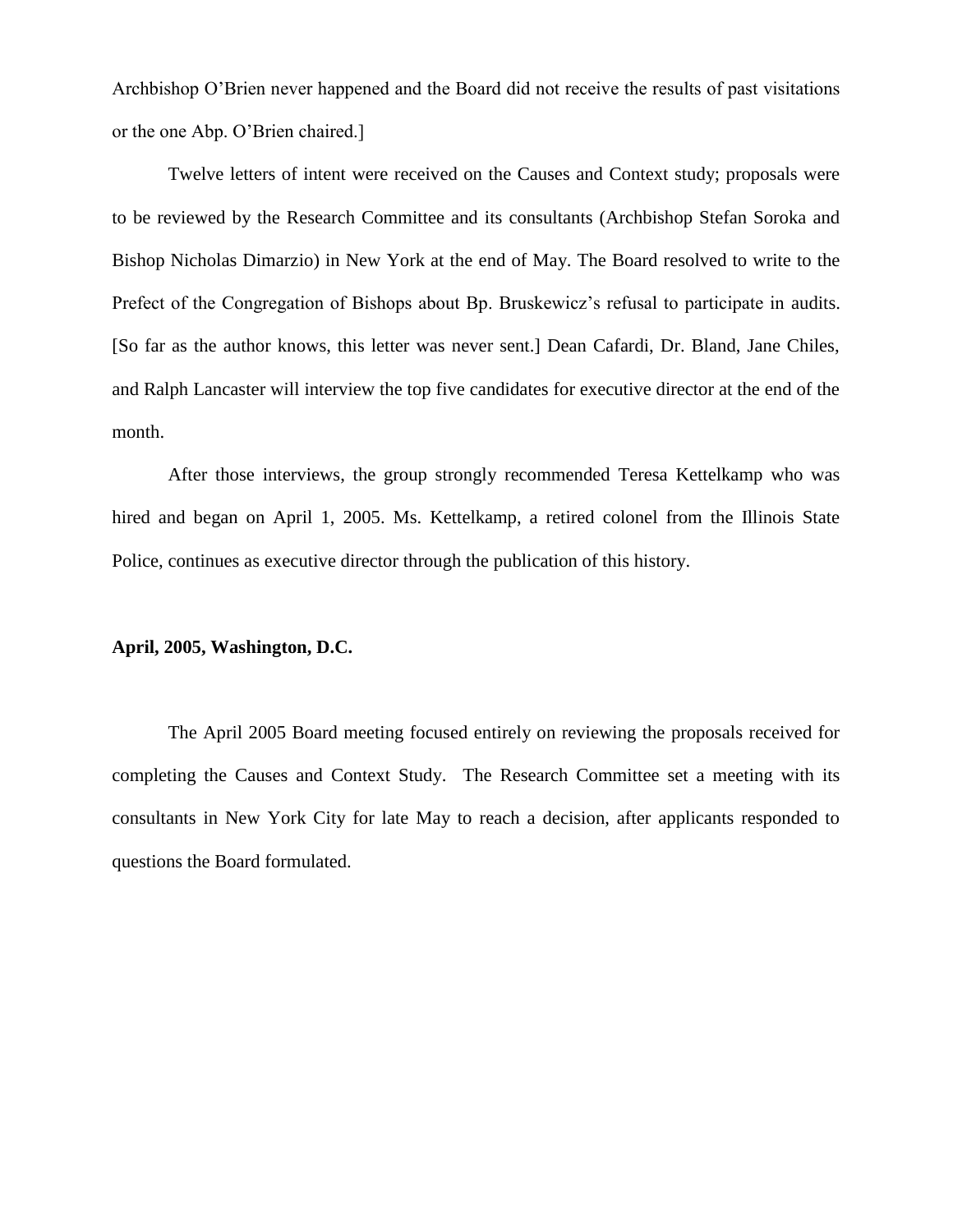Archbishop O'Brien never happened and the Board did not receive the results of past visitations or the one Abp. O'Brien chaired.]

Twelve letters of intent were received on the Causes and Context study; proposals were to be reviewed by the Research Committee and its consultants (Archbishop Stefan Soroka and Bishop Nicholas Dimarzio) in New York at the end of May. The Board resolved to write to the Prefect of the Congregation of Bishops about Bp. Bruskewicz's refusal to participate in audits. [So far as the author knows, this letter was never sent.] Dean Cafardi, Dr. Bland, Jane Chiles, and Ralph Lancaster will interview the top five candidates for executive director at the end of the month.

After those interviews, the group strongly recommended Teresa Kettelkamp who was hired and began on April 1, 2005. Ms. Kettelkamp, a retired colonel from the Illinois State Police, continues as executive director through the publication of this history.

#### **April, 2005, Washington, D.C.**

The April 2005 Board meeting focused entirely on reviewing the proposals received for completing the Causes and Context Study. The Research Committee set a meeting with its consultants in New York City for late May to reach a decision, after applicants responded to questions the Board formulated.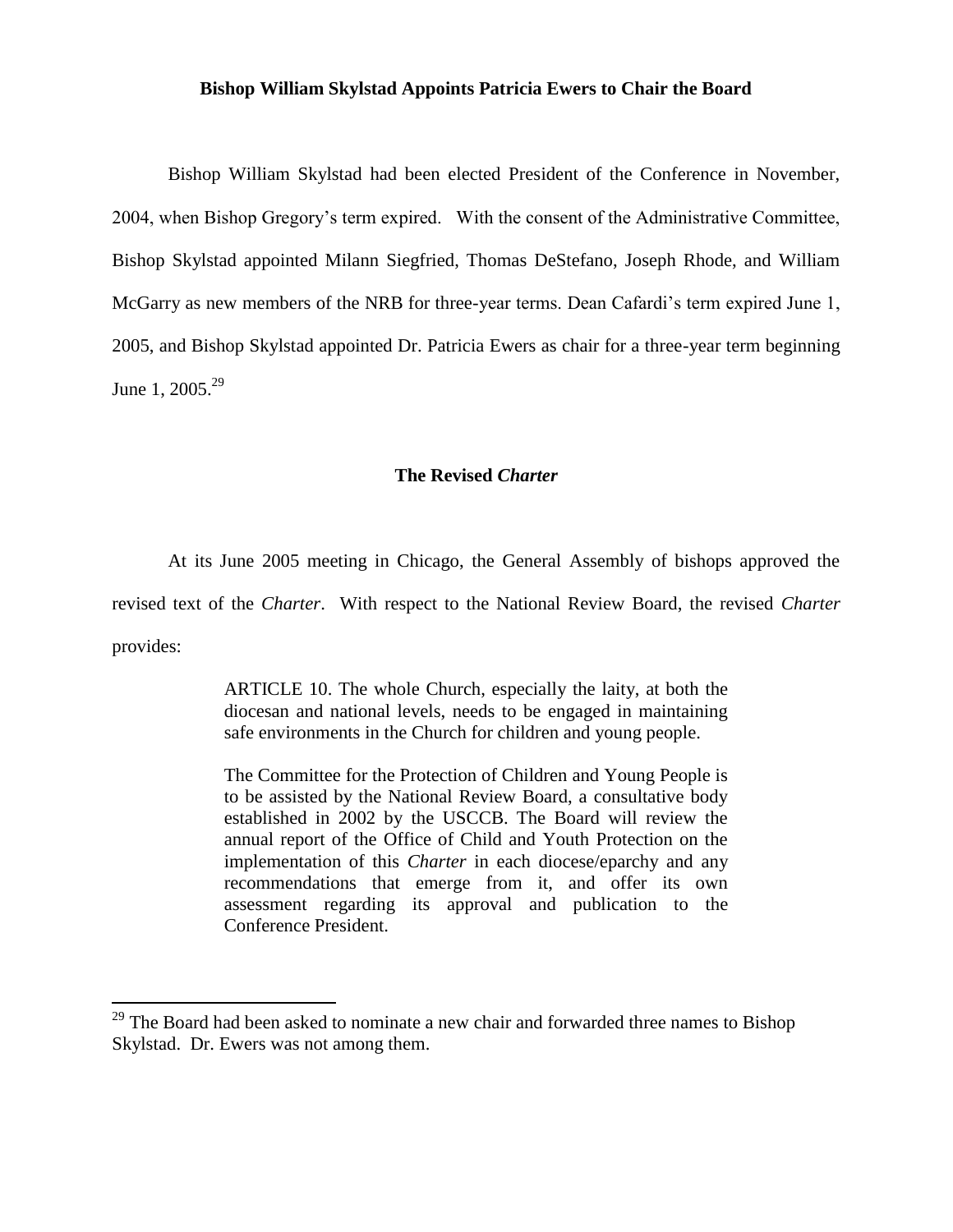#### **Bishop William Skylstad Appoints Patricia Ewers to Chair the Board**

Bishop William Skylstad had been elected President of the Conference in November, 2004, when Bishop Gregory's term expired. With the consent of the Administrative Committee, Bishop Skylstad appointed Milann Siegfried, Thomas DeStefano, Joseph Rhode, and William McGarry as new members of the NRB for three-year terms. Dean Cafardi's term expired June 1, 2005, and Bishop Skylstad appointed Dr. Patricia Ewers as chair for a three-year term beginning June 1, 2005.<sup>29</sup>

#### **The Revised** *Charter*

At its June 2005 meeting in Chicago, the General Assembly of bishops approved the revised text of the *Charter*. With respect to the National Review Board, the revised *Charter*  provides:

> ARTICLE 10. The whole Church, especially the laity, at both the diocesan and national levels, needs to be engaged in maintaining safe environments in the Church for children and young people.

> The Committee for the Protection of Children and Young People is to be assisted by the National Review Board, a consultative body established in 2002 by the USCCB. The Board will review the annual report of the Office of Child and Youth Protection on the implementation of this *Charter* in each diocese/eparchy and any recommendations that emerge from it, and offer its own assessment regarding its approval and publication to the Conference President.

 $\overline{a}$ 

 $29$  The Board had been asked to nominate a new chair and forwarded three names to Bishop Skylstad. Dr. Ewers was not among them.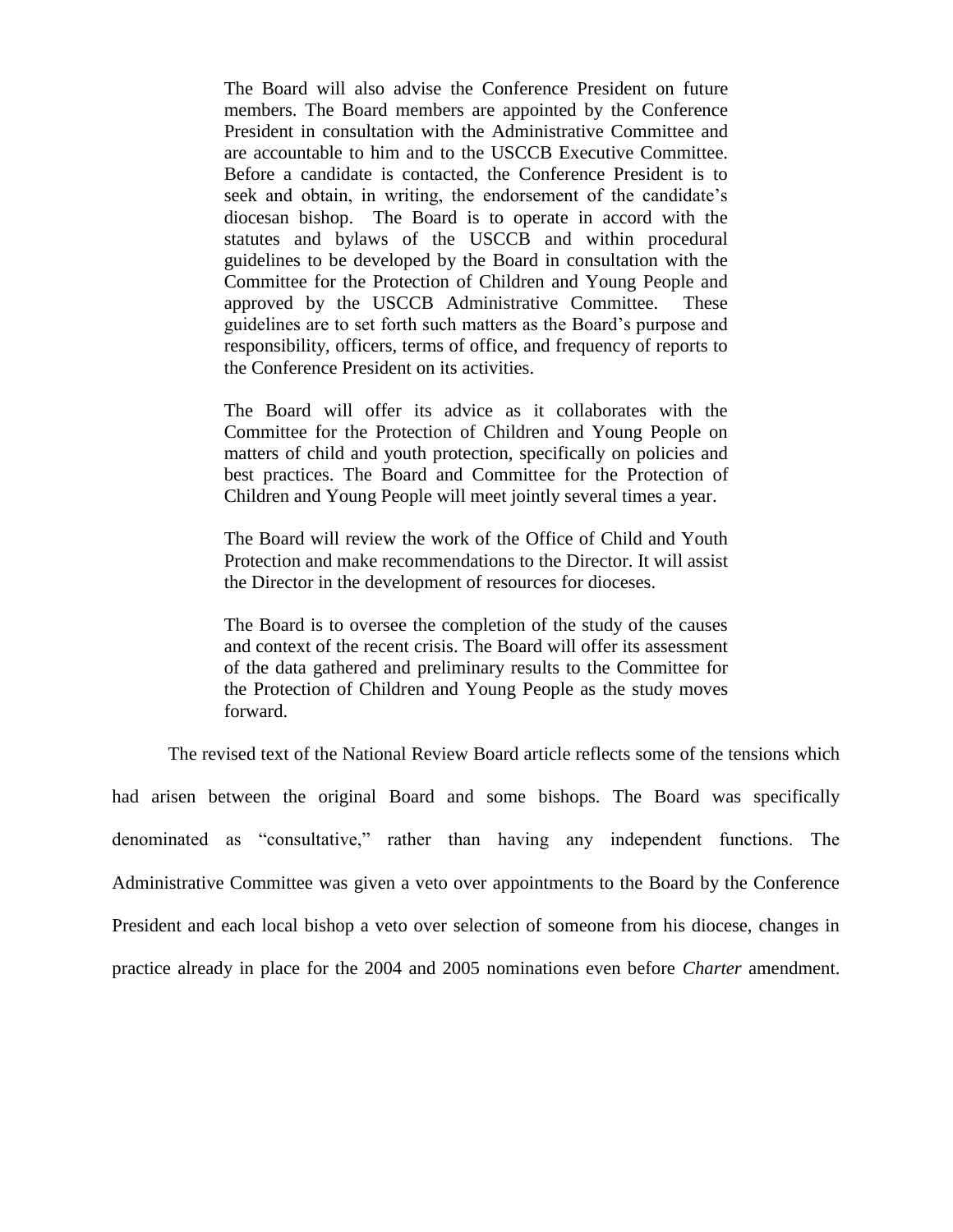The Board will also advise the Conference President on future members. The Board members are appointed by the Conference President in consultation with the Administrative Committee and are accountable to him and to the USCCB Executive Committee. Before a candidate is contacted, the Conference President is to seek and obtain, in writing, the endorsement of the candidate's diocesan bishop. The Board is to operate in accord with the statutes and bylaws of the USCCB and within procedural guidelines to be developed by the Board in consultation with the Committee for the Protection of Children and Young People and approved by the USCCB Administrative Committee. These guidelines are to set forth such matters as the Board's purpose and responsibility, officers, terms of office, and frequency of reports to the Conference President on its activities.

The Board will offer its advice as it collaborates with the Committee for the Protection of Children and Young People on matters of child and youth protection, specifically on policies and best practices. The Board and Committee for the Protection of Children and Young People will meet jointly several times a year.

The Board will review the work of the Office of Child and Youth Protection and make recommendations to the Director. It will assist the Director in the development of resources for dioceses.

The Board is to oversee the completion of the study of the causes and context of the recent crisis. The Board will offer its assessment of the data gathered and preliminary results to the Committee for the Protection of Children and Young People as the study moves forward.

The revised text of the National Review Board article reflects some of the tensions which

had arisen between the original Board and some bishops. The Board was specifically denominated as "consultative," rather than having any independent functions. The Administrative Committee was given a veto over appointments to the Board by the Conference President and each local bishop a veto over selection of someone from his diocese, changes in practice already in place for the 2004 and 2005 nominations even before *Charter* amendment.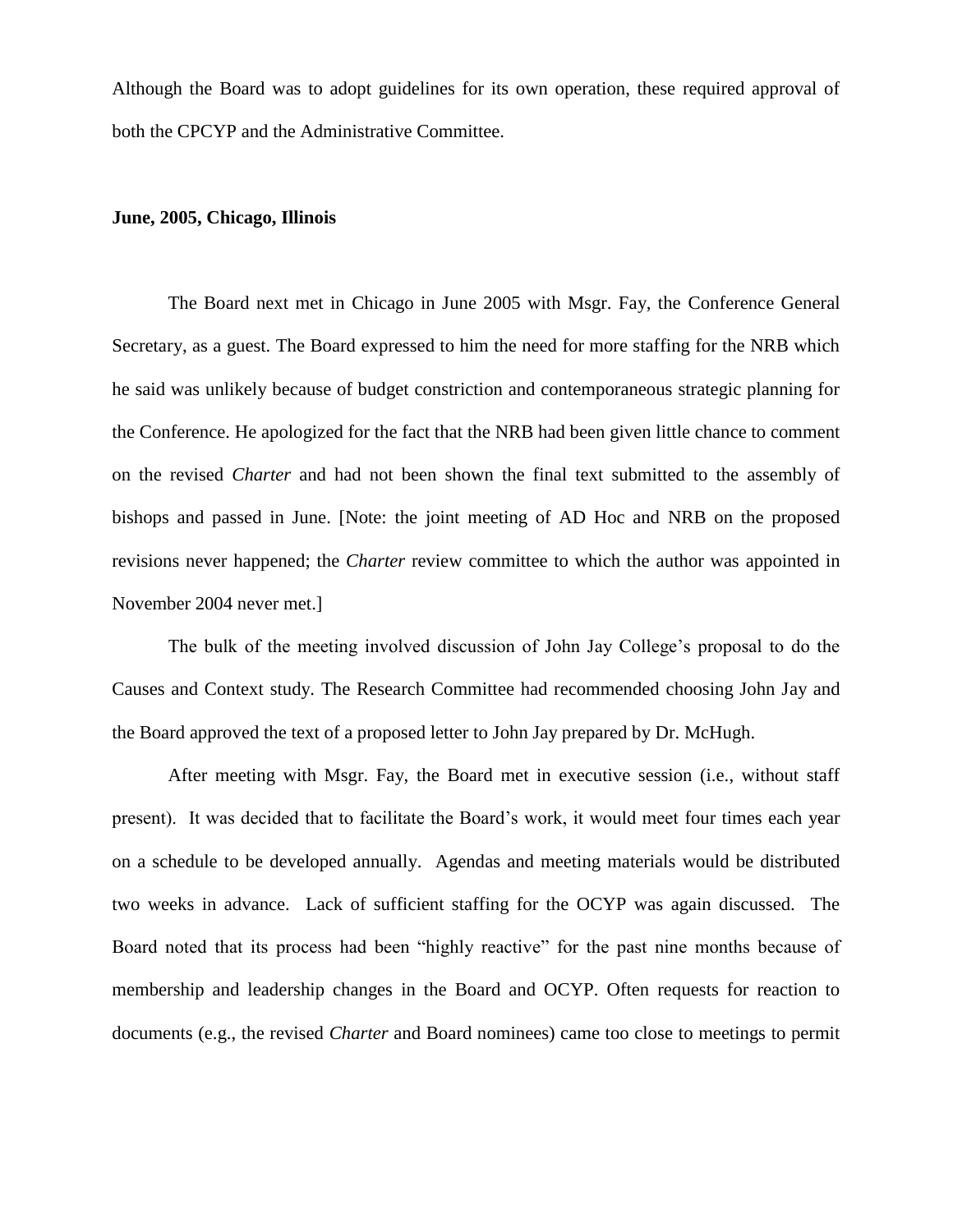Although the Board was to adopt guidelines for its own operation, these required approval of both the CPCYP and the Administrative Committee.

# **June, 2005, Chicago, Illinois**

The Board next met in Chicago in June 2005 with Msgr. Fay, the Conference General Secretary, as a guest. The Board expressed to him the need for more staffing for the NRB which he said was unlikely because of budget constriction and contemporaneous strategic planning for the Conference. He apologized for the fact that the NRB had been given little chance to comment on the revised *Charter* and had not been shown the final text submitted to the assembly of bishops and passed in June. [Note: the joint meeting of AD Hoc and NRB on the proposed revisions never happened; the *Charter* review committee to which the author was appointed in November 2004 never met.]

The bulk of the meeting involved discussion of John Jay College's proposal to do the Causes and Context study. The Research Committee had recommended choosing John Jay and the Board approved the text of a proposed letter to John Jay prepared by Dr. McHugh.

After meeting with Msgr. Fay, the Board met in executive session (i.e., without staff present). It was decided that to facilitate the Board's work, it would meet four times each year on a schedule to be developed annually. Agendas and meeting materials would be distributed two weeks in advance. Lack of sufficient staffing for the OCYP was again discussed. The Board noted that its process had been "highly reactive" for the past nine months because of membership and leadership changes in the Board and OCYP. Often requests for reaction to documents (e.g., the revised *Charter* and Board nominees) came too close to meetings to permit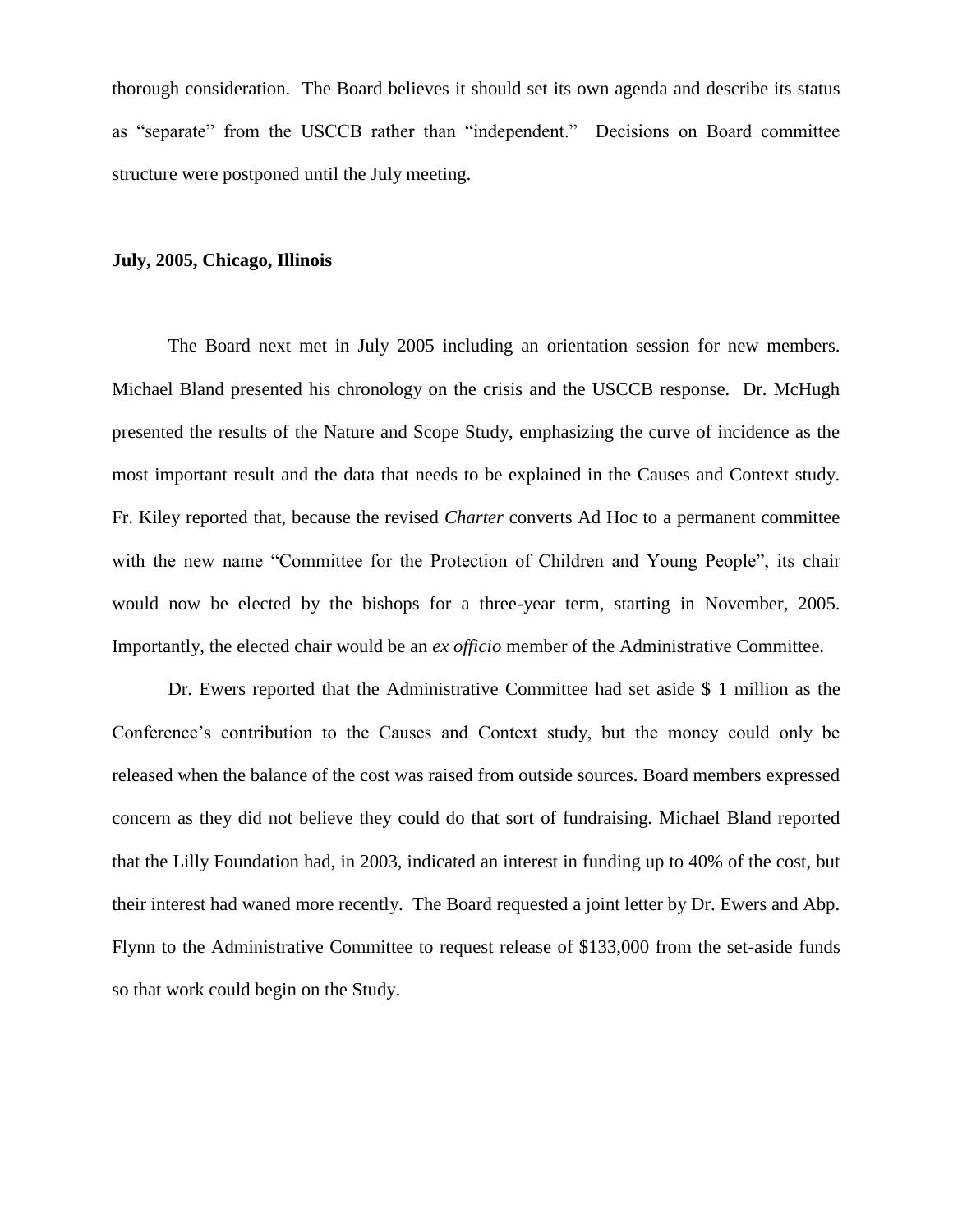thorough consideration. The Board believes it should set its own agenda and describe its status as "separate" from the USCCB rather than "independent." Decisions on Board committee structure were postponed until the July meeting.

#### **July, 2005, Chicago, Illinois**

The Board next met in July 2005 including an orientation session for new members. Michael Bland presented his chronology on the crisis and the USCCB response. Dr. McHugh presented the results of the Nature and Scope Study, emphasizing the curve of incidence as the most important result and the data that needs to be explained in the Causes and Context study. Fr. Kiley reported that, because the revised *Charter* converts Ad Hoc to a permanent committee with the new name "Committee for the Protection of Children and Young People", its chair would now be elected by the bishops for a three-year term, starting in November, 2005. Importantly, the elected chair would be an *ex officio* member of the Administrative Committee.

Dr. Ewers reported that the Administrative Committee had set aside \$ 1 million as the Conference's contribution to the Causes and Context study, but the money could only be released when the balance of the cost was raised from outside sources. Board members expressed concern as they did not believe they could do that sort of fundraising. Michael Bland reported that the Lilly Foundation had, in 2003, indicated an interest in funding up to 40% of the cost, but their interest had waned more recently. The Board requested a joint letter by Dr. Ewers and Abp. Flynn to the Administrative Committee to request release of \$133,000 from the set-aside funds so that work could begin on the Study.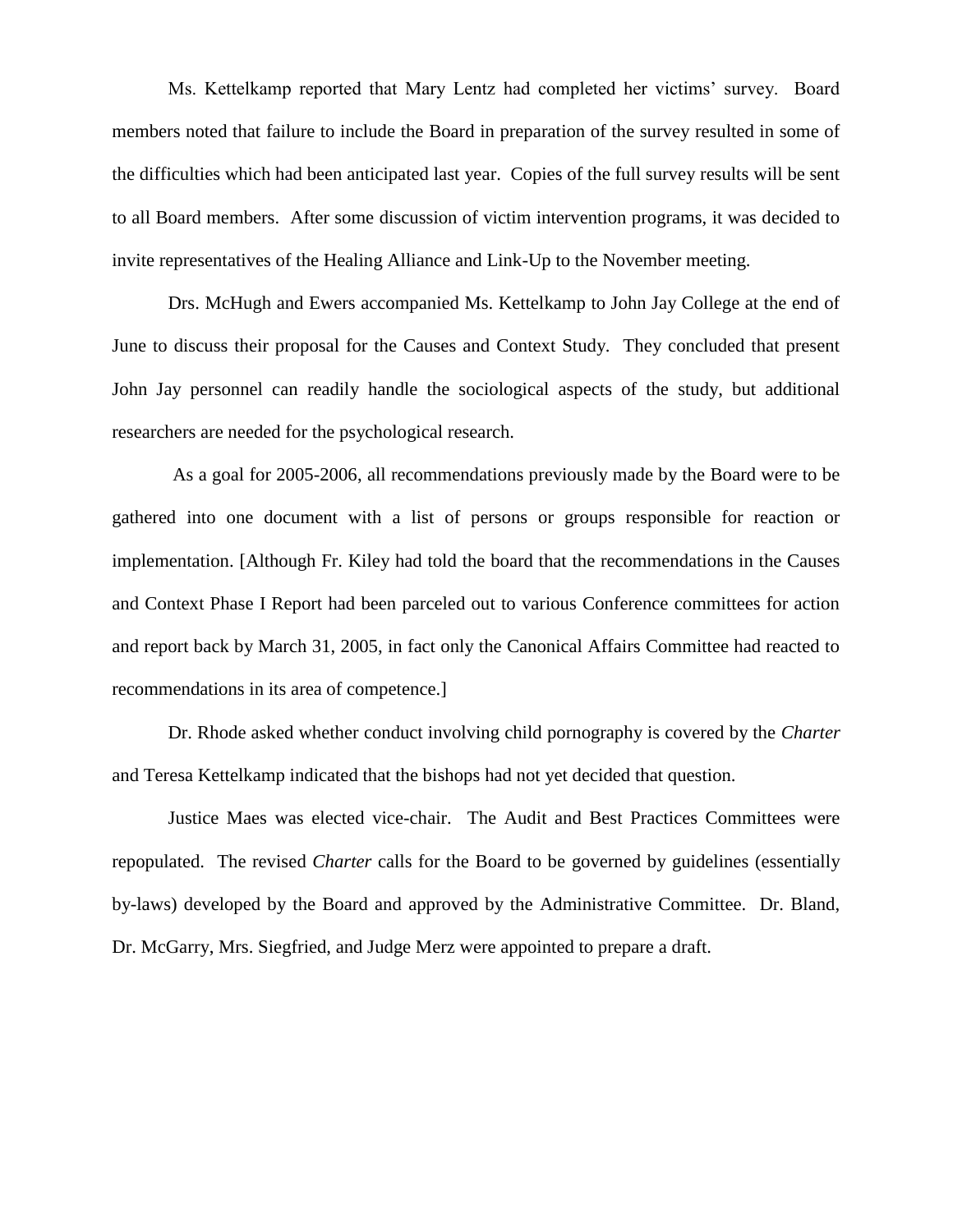Ms. Kettelkamp reported that Mary Lentz had completed her victims' survey. Board members noted that failure to include the Board in preparation of the survey resulted in some of the difficulties which had been anticipated last year. Copies of the full survey results will be sent to all Board members. After some discussion of victim intervention programs, it was decided to invite representatives of the Healing Alliance and Link-Up to the November meeting.

Drs. McHugh and Ewers accompanied Ms. Kettelkamp to John Jay College at the end of June to discuss their proposal for the Causes and Context Study. They concluded that present John Jay personnel can readily handle the sociological aspects of the study, but additional researchers are needed for the psychological research.

As a goal for 2005-2006, all recommendations previously made by the Board were to be gathered into one document with a list of persons or groups responsible for reaction or implementation. [Although Fr. Kiley had told the board that the recommendations in the Causes and Context Phase I Report had been parceled out to various Conference committees for action and report back by March 31, 2005, in fact only the Canonical Affairs Committee had reacted to recommendations in its area of competence.]

Dr. Rhode asked whether conduct involving child pornography is covered by the *Charter* and Teresa Kettelkamp indicated that the bishops had not yet decided that question.

Justice Maes was elected vice-chair. The Audit and Best Practices Committees were repopulated. The revised *Charter* calls for the Board to be governed by guidelines (essentially by-laws) developed by the Board and approved by the Administrative Committee. Dr. Bland, Dr. McGarry, Mrs. Siegfried, and Judge Merz were appointed to prepare a draft.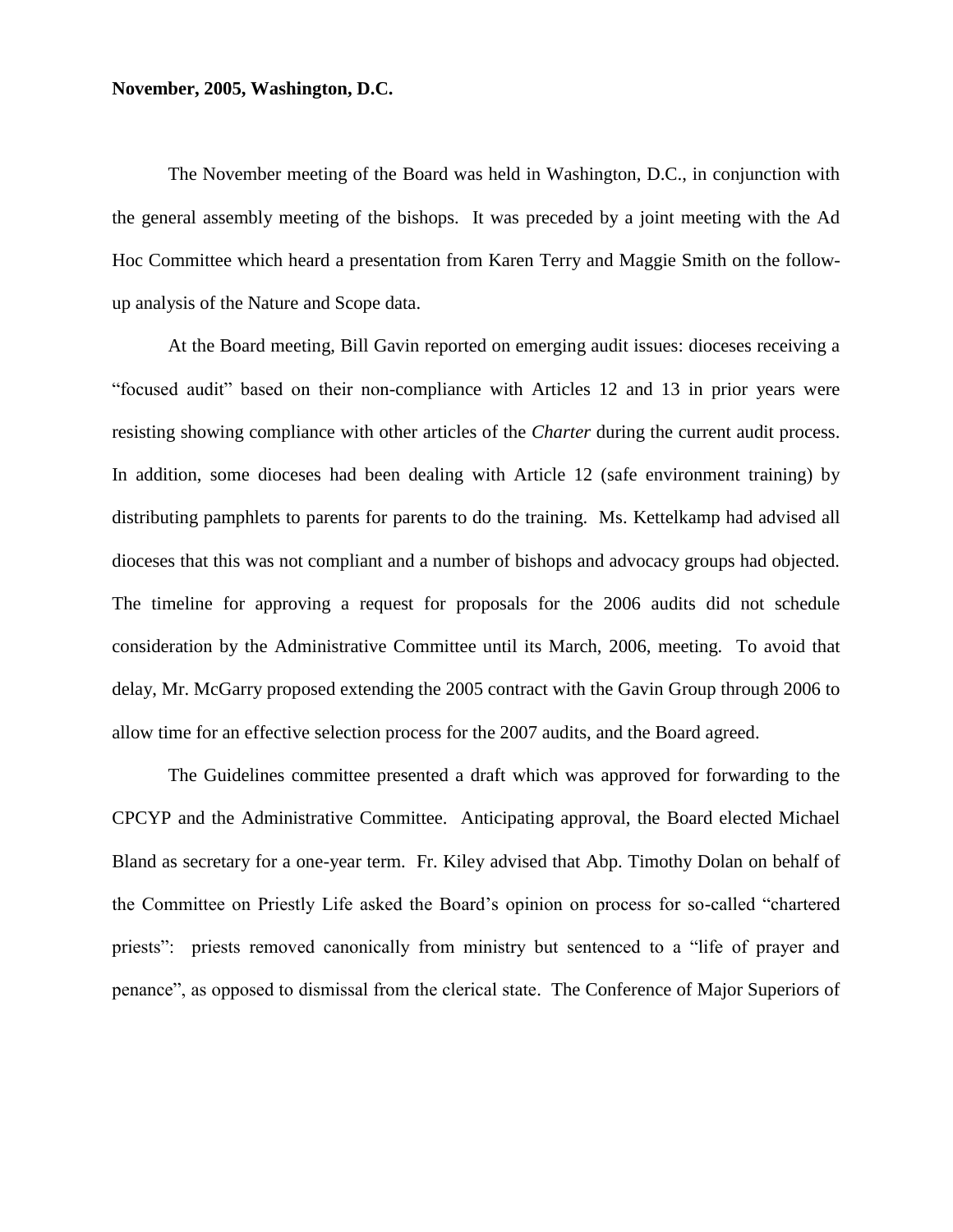# **November, 2005, Washington, D.C.**

The November meeting of the Board was held in Washington, D.C., in conjunction with the general assembly meeting of the bishops. It was preceded by a joint meeting with the Ad Hoc Committee which heard a presentation from Karen Terry and Maggie Smith on the followup analysis of the Nature and Scope data.

At the Board meeting, Bill Gavin reported on emerging audit issues: dioceses receiving a "focused audit" based on their non-compliance with Articles 12 and 13 in prior years were resisting showing compliance with other articles of the *Charter* during the current audit process. In addition, some dioceses had been dealing with Article 12 (safe environment training) by distributing pamphlets to parents for parents to do the training. Ms. Kettelkamp had advised all dioceses that this was not compliant and a number of bishops and advocacy groups had objected. The timeline for approving a request for proposals for the 2006 audits did not schedule consideration by the Administrative Committee until its March, 2006, meeting. To avoid that delay, Mr. McGarry proposed extending the 2005 contract with the Gavin Group through 2006 to allow time for an effective selection process for the 2007 audits, and the Board agreed.

The Guidelines committee presented a draft which was approved for forwarding to the CPCYP and the Administrative Committee. Anticipating approval, the Board elected Michael Bland as secretary for a one-year term. Fr. Kiley advised that Abp. Timothy Dolan on behalf of the Committee on Priestly Life asked the Board's opinion on process for so-called "chartered priests": priests removed canonically from ministry but sentenced to a "life of prayer and penance", as opposed to dismissal from the clerical state. The Conference of Major Superiors of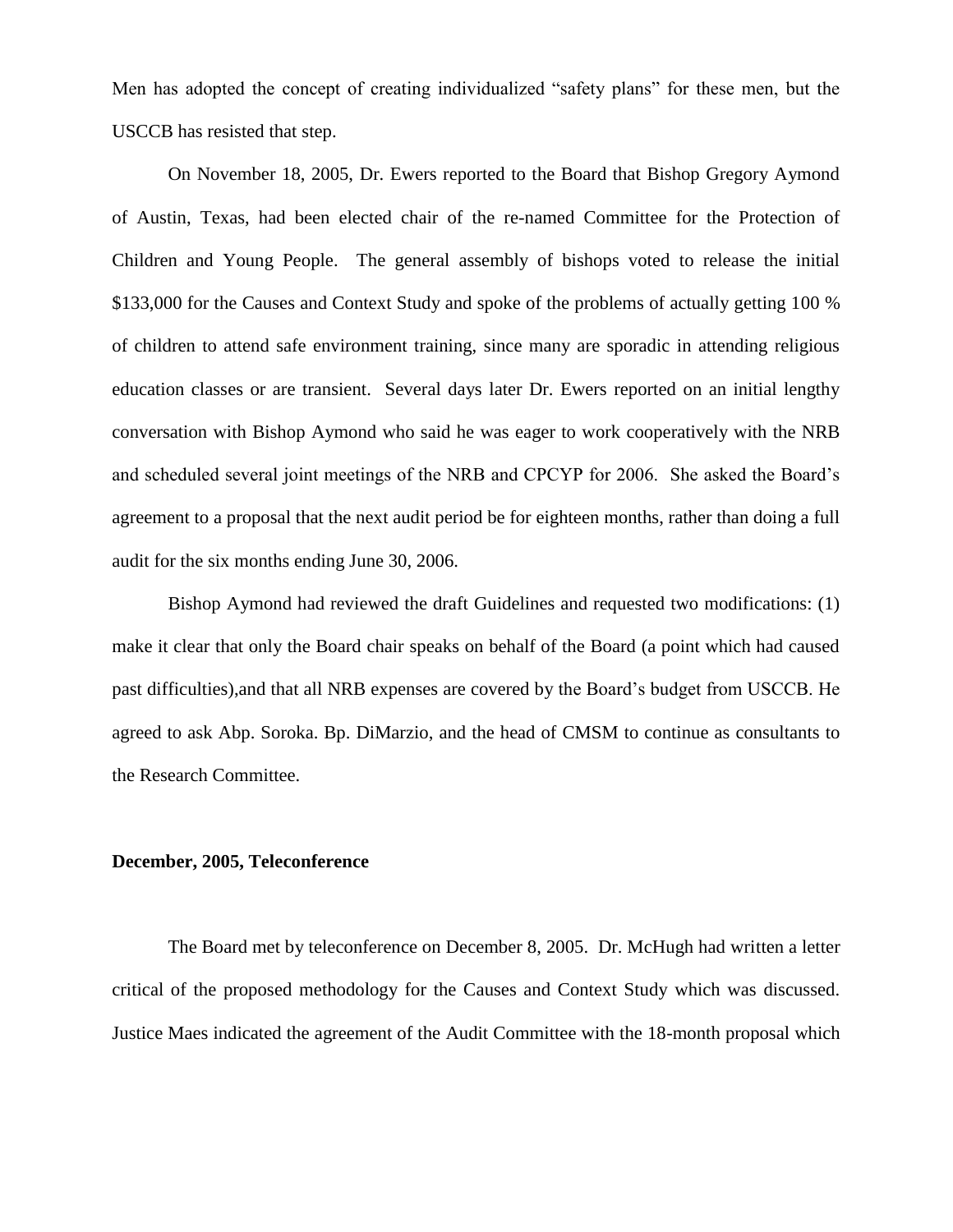Men has adopted the concept of creating individualized "safety plans" for these men, but the USCCB has resisted that step.

On November 18, 2005, Dr. Ewers reported to the Board that Bishop Gregory Aymond of Austin, Texas, had been elected chair of the re-named Committee for the Protection of Children and Young People. The general assembly of bishops voted to release the initial \$133,000 for the Causes and Context Study and spoke of the problems of actually getting 100 % of children to attend safe environment training, since many are sporadic in attending religious education classes or are transient. Several days later Dr. Ewers reported on an initial lengthy conversation with Bishop Aymond who said he was eager to work cooperatively with the NRB and scheduled several joint meetings of the NRB and CPCYP for 2006. She asked the Board's agreement to a proposal that the next audit period be for eighteen months, rather than doing a full audit for the six months ending June 30, 2006.

Bishop Aymond had reviewed the draft Guidelines and requested two modifications: (1) make it clear that only the Board chair speaks on behalf of the Board (a point which had caused past difficulties),and that all NRB expenses are covered by the Board's budget from USCCB. He agreed to ask Abp. Soroka. Bp. DiMarzio, and the head of CMSM to continue as consultants to the Research Committee.

#### **December, 2005, Teleconference**

The Board met by teleconference on December 8, 2005. Dr. McHugh had written a letter critical of the proposed methodology for the Causes and Context Study which was discussed. Justice Maes indicated the agreement of the Audit Committee with the 18-month proposal which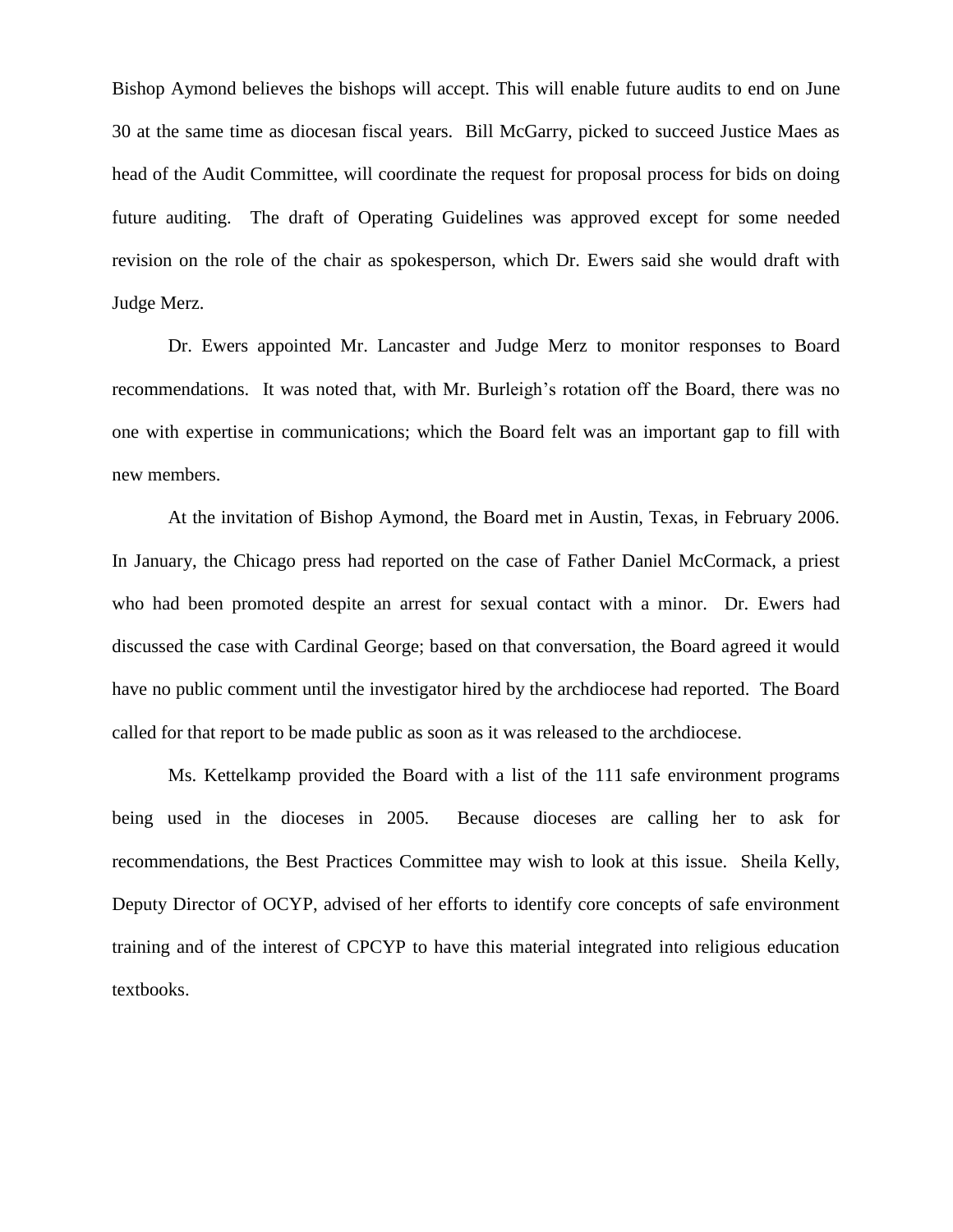Bishop Aymond believes the bishops will accept. This will enable future audits to end on June 30 at the same time as diocesan fiscal years. Bill McGarry, picked to succeed Justice Maes as head of the Audit Committee, will coordinate the request for proposal process for bids on doing future auditing. The draft of Operating Guidelines was approved except for some needed revision on the role of the chair as spokesperson, which Dr. Ewers said she would draft with Judge Merz.

Dr. Ewers appointed Mr. Lancaster and Judge Merz to monitor responses to Board recommendations. It was noted that, with Mr. Burleigh's rotation off the Board, there was no one with expertise in communications; which the Board felt was an important gap to fill with new members.

At the invitation of Bishop Aymond, the Board met in Austin, Texas, in February 2006. In January, the Chicago press had reported on the case of Father Daniel McCormack, a priest who had been promoted despite an arrest for sexual contact with a minor. Dr. Ewers had discussed the case with Cardinal George; based on that conversation, the Board agreed it would have no public comment until the investigator hired by the archdiocese had reported. The Board called for that report to be made public as soon as it was released to the archdiocese.

Ms. Kettelkamp provided the Board with a list of the 111 safe environment programs being used in the dioceses in 2005. Because dioceses are calling her to ask for recommendations, the Best Practices Committee may wish to look at this issue. Sheila Kelly, Deputy Director of OCYP, advised of her efforts to identify core concepts of safe environment training and of the interest of CPCYP to have this material integrated into religious education textbooks.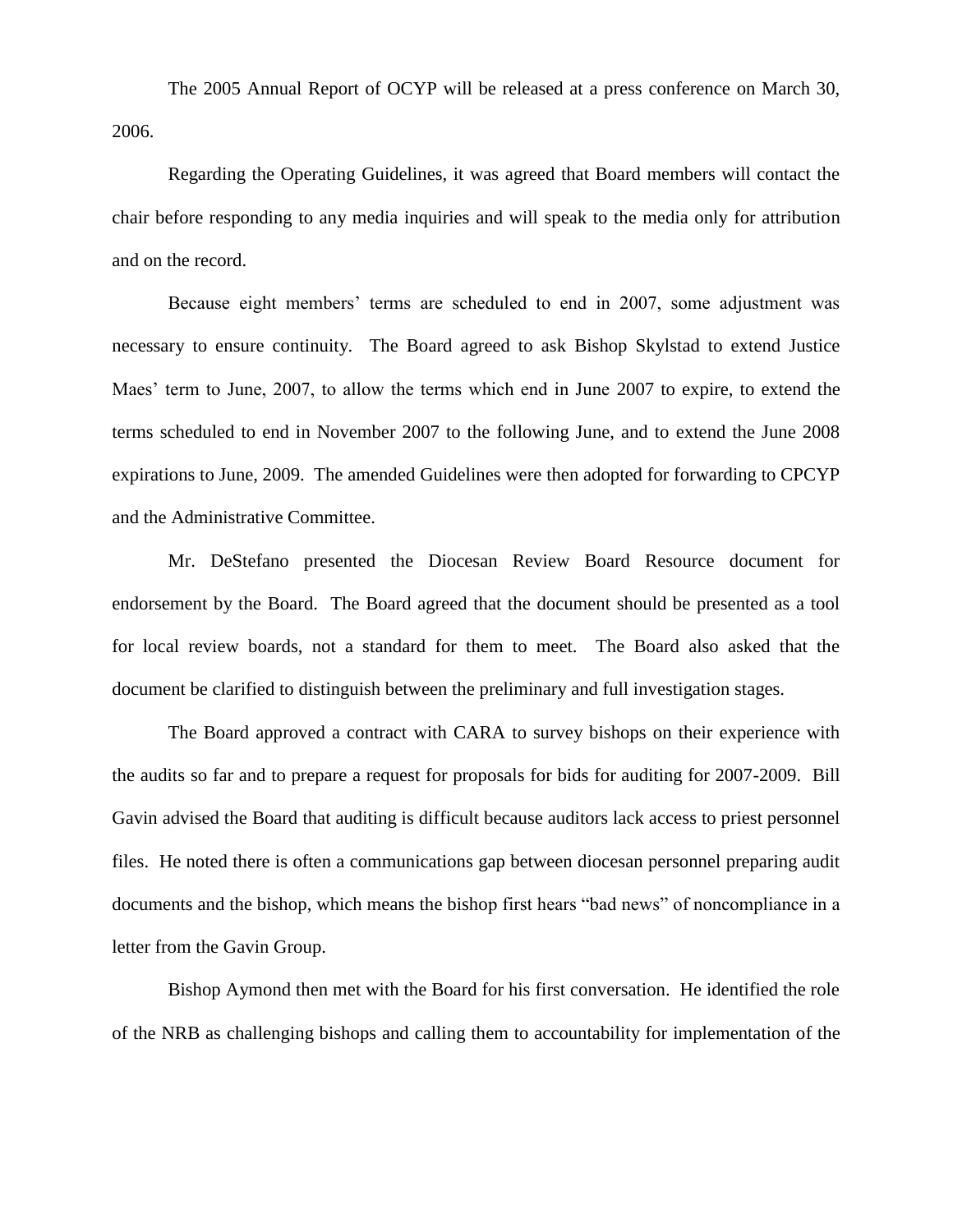The 2005 Annual Report of OCYP will be released at a press conference on March 30, 2006.

Regarding the Operating Guidelines, it was agreed that Board members will contact the chair before responding to any media inquiries and will speak to the media only for attribution and on the record.

Because eight members' terms are scheduled to end in 2007, some adjustment was necessary to ensure continuity. The Board agreed to ask Bishop Skylstad to extend Justice Maes' term to June, 2007, to allow the terms which end in June 2007 to expire, to extend the terms scheduled to end in November 2007 to the following June, and to extend the June 2008 expirations to June, 2009. The amended Guidelines were then adopted for forwarding to CPCYP and the Administrative Committee.

Mr. DeStefano presented the Diocesan Review Board Resource document for endorsement by the Board. The Board agreed that the document should be presented as a tool for local review boards, not a standard for them to meet. The Board also asked that the document be clarified to distinguish between the preliminary and full investigation stages.

The Board approved a contract with CARA to survey bishops on their experience with the audits so far and to prepare a request for proposals for bids for auditing for 2007-2009. Bill Gavin advised the Board that auditing is difficult because auditors lack access to priest personnel files. He noted there is often a communications gap between diocesan personnel preparing audit documents and the bishop, which means the bishop first hears "bad news" of noncompliance in a letter from the Gavin Group.

Bishop Aymond then met with the Board for his first conversation. He identified the role of the NRB as challenging bishops and calling them to accountability for implementation of the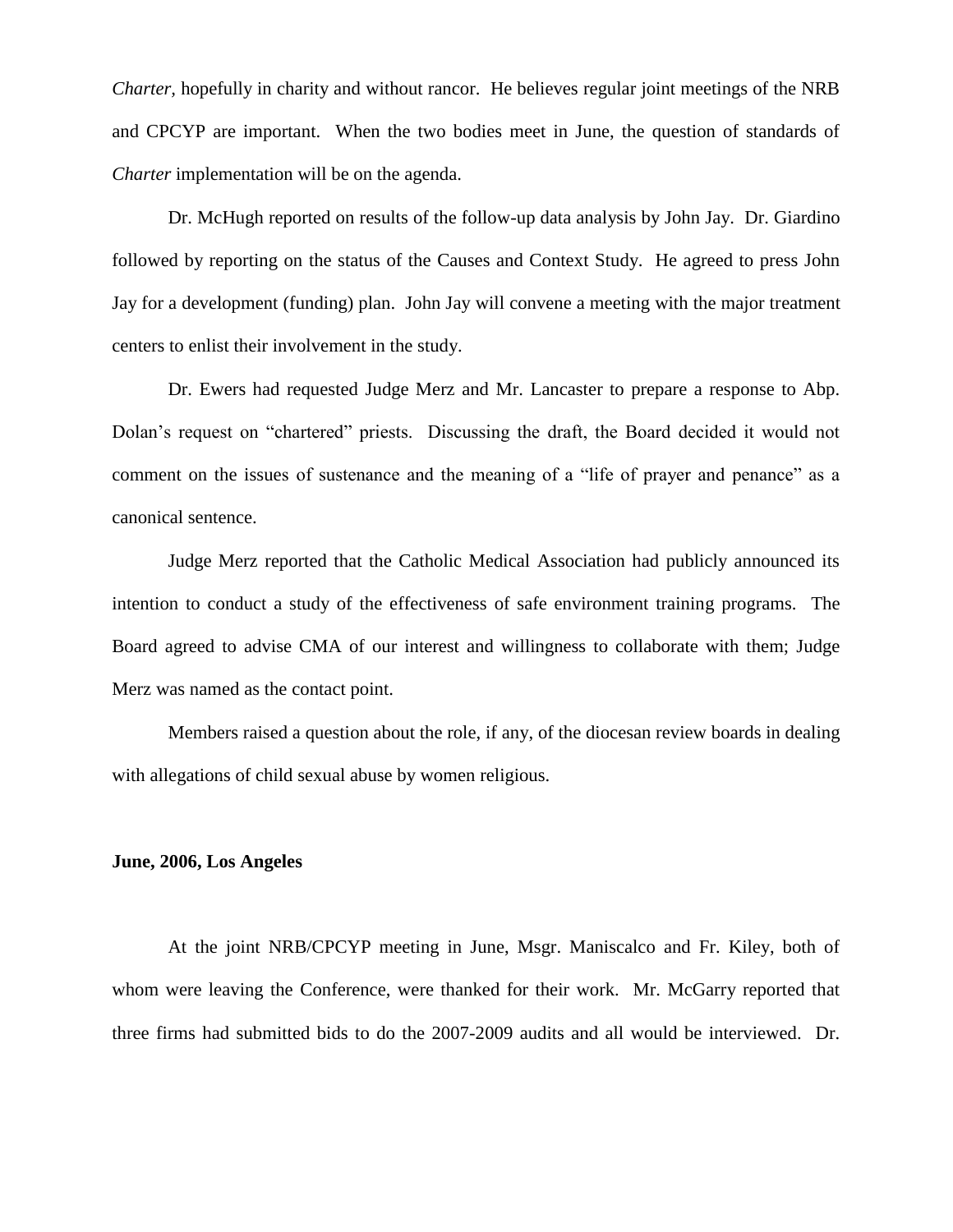*Charter,* hopefully in charity and without rancor. He believes regular joint meetings of the NRB and CPCYP are important. When the two bodies meet in June, the question of standards of *Charter* implementation will be on the agenda.

Dr. McHugh reported on results of the follow-up data analysis by John Jay. Dr. Giardino followed by reporting on the status of the Causes and Context Study. He agreed to press John Jay for a development (funding) plan. John Jay will convene a meeting with the major treatment centers to enlist their involvement in the study.

Dr. Ewers had requested Judge Merz and Mr. Lancaster to prepare a response to Abp. Dolan's request on "chartered" priests. Discussing the draft, the Board decided it would not comment on the issues of sustenance and the meaning of a "life of prayer and penance" as a canonical sentence.

Judge Merz reported that the Catholic Medical Association had publicly announced its intention to conduct a study of the effectiveness of safe environment training programs. The Board agreed to advise CMA of our interest and willingness to collaborate with them; Judge Merz was named as the contact point.

Members raised a question about the role, if any, of the diocesan review boards in dealing with allegations of child sexual abuse by women religious.

#### **June, 2006, Los Angeles**

At the joint NRB/CPCYP meeting in June, Msgr. Maniscalco and Fr. Kiley, both of whom were leaving the Conference, were thanked for their work. Mr. McGarry reported that three firms had submitted bids to do the 2007-2009 audits and all would be interviewed. Dr.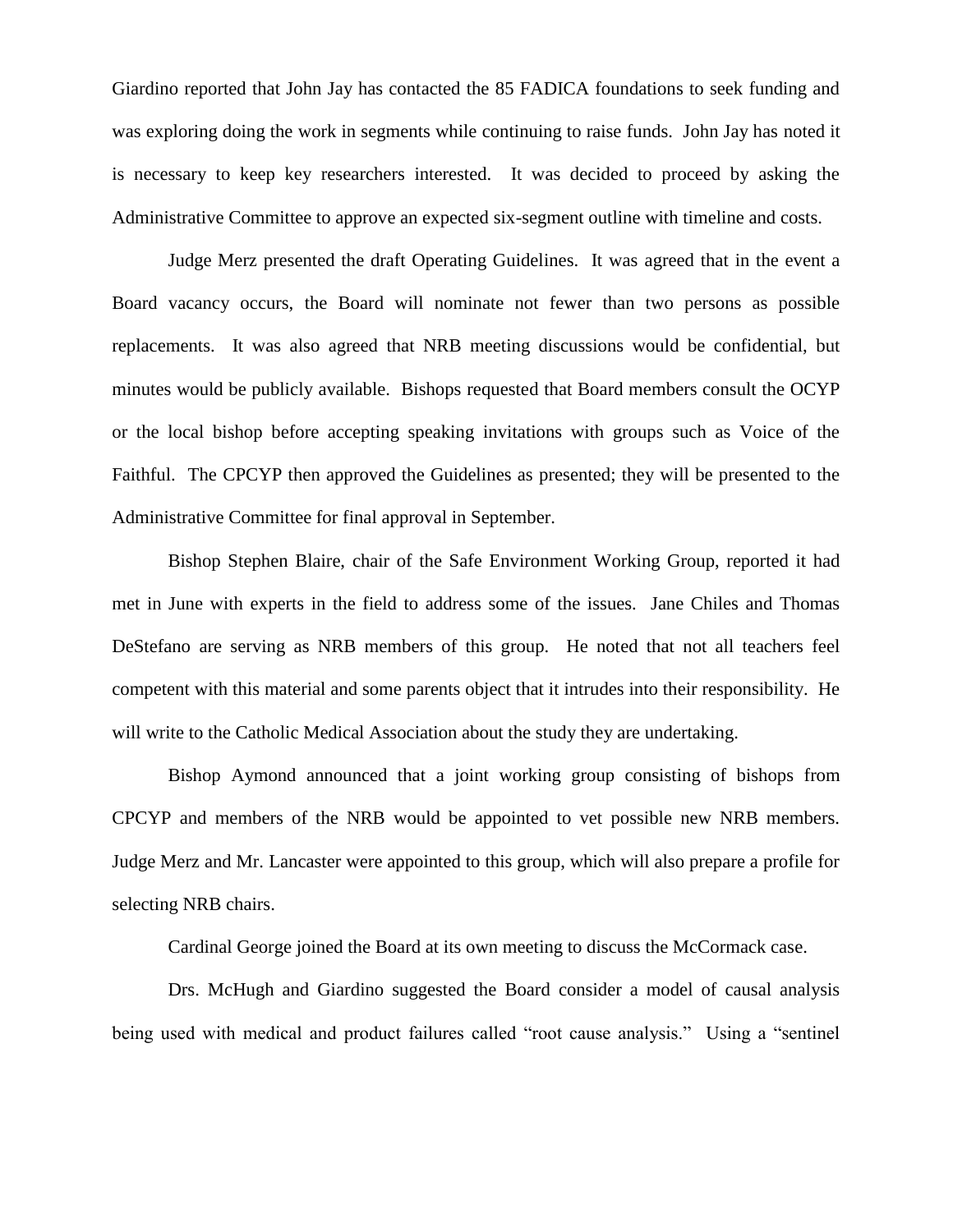Giardino reported that John Jay has contacted the 85 FADICA foundations to seek funding and was exploring doing the work in segments while continuing to raise funds. John Jay has noted it is necessary to keep key researchers interested. It was decided to proceed by asking the Administrative Committee to approve an expected six-segment outline with timeline and costs.

Judge Merz presented the draft Operating Guidelines. It was agreed that in the event a Board vacancy occurs, the Board will nominate not fewer than two persons as possible replacements. It was also agreed that NRB meeting discussions would be confidential, but minutes would be publicly available. Bishops requested that Board members consult the OCYP or the local bishop before accepting speaking invitations with groups such as Voice of the Faithful. The CPCYP then approved the Guidelines as presented; they will be presented to the Administrative Committee for final approval in September.

Bishop Stephen Blaire, chair of the Safe Environment Working Group, reported it had met in June with experts in the field to address some of the issues. Jane Chiles and Thomas DeStefano are serving as NRB members of this group. He noted that not all teachers feel competent with this material and some parents object that it intrudes into their responsibility. He will write to the Catholic Medical Association about the study they are undertaking.

Bishop Aymond announced that a joint working group consisting of bishops from CPCYP and members of the NRB would be appointed to vet possible new NRB members. Judge Merz and Mr. Lancaster were appointed to this group, which will also prepare a profile for selecting NRB chairs.

Cardinal George joined the Board at its own meeting to discuss the McCormack case.

Drs. McHugh and Giardino suggested the Board consider a model of causal analysis being used with medical and product failures called "root cause analysis." Using a "sentinel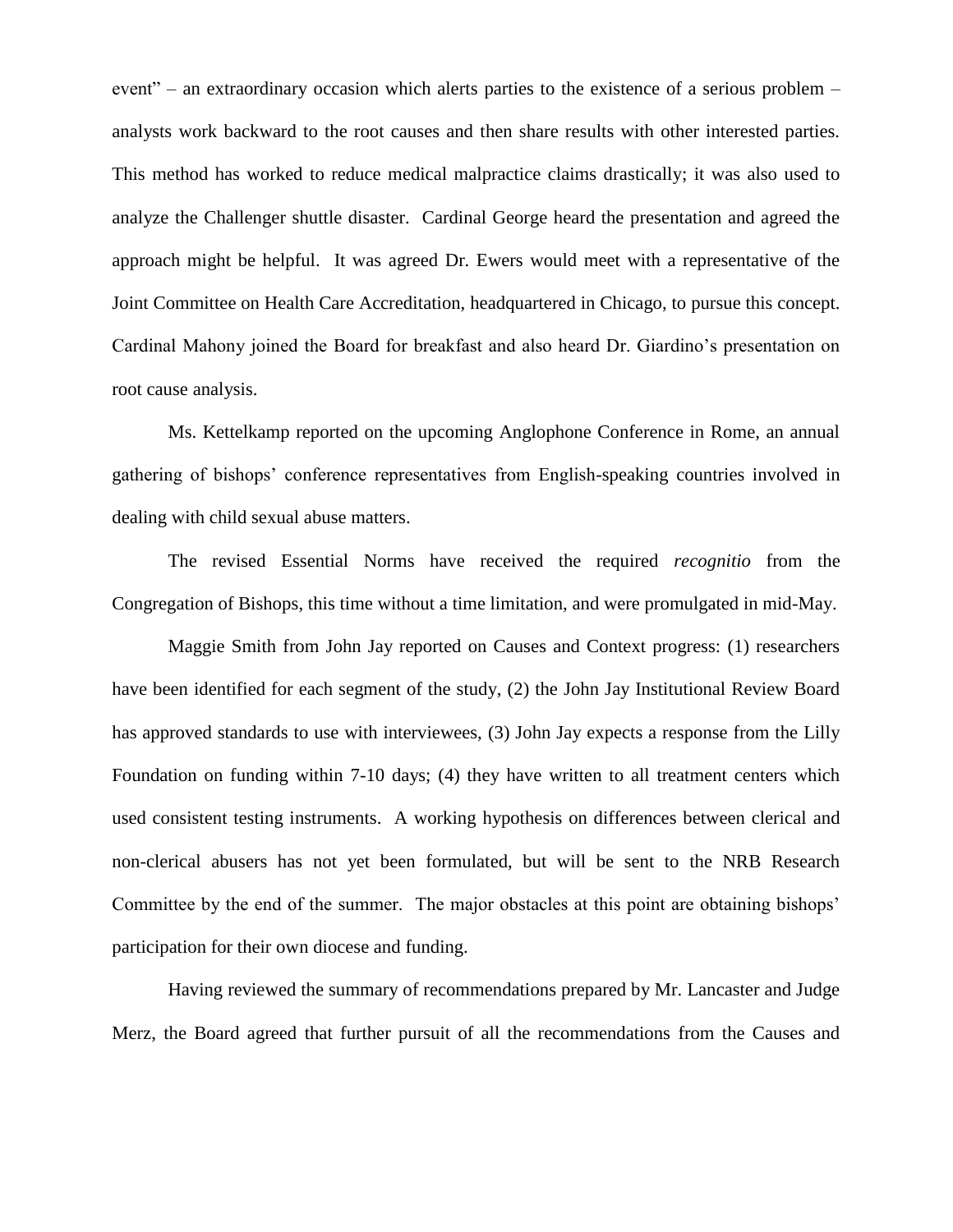event" – an extraordinary occasion which alerts parties to the existence of a serious problem – analysts work backward to the root causes and then share results with other interested parties. This method has worked to reduce medical malpractice claims drastically; it was also used to analyze the Challenger shuttle disaster. Cardinal George heard the presentation and agreed the approach might be helpful. It was agreed Dr. Ewers would meet with a representative of the Joint Committee on Health Care Accreditation, headquartered in Chicago, to pursue this concept. Cardinal Mahony joined the Board for breakfast and also heard Dr. Giardino's presentation on root cause analysis.

Ms. Kettelkamp reported on the upcoming Anglophone Conference in Rome, an annual gathering of bishops' conference representatives from English-speaking countries involved in dealing with child sexual abuse matters.

The revised Essential Norms have received the required *recognitio* from the Congregation of Bishops, this time without a time limitation, and were promulgated in mid-May.

Maggie Smith from John Jay reported on Causes and Context progress: (1) researchers have been identified for each segment of the study, (2) the John Jay Institutional Review Board has approved standards to use with interviewees, (3) John Jay expects a response from the Lilly Foundation on funding within 7-10 days; (4) they have written to all treatment centers which used consistent testing instruments. A working hypothesis on differences between clerical and non-clerical abusers has not yet been formulated, but will be sent to the NRB Research Committee by the end of the summer. The major obstacles at this point are obtaining bishops' participation for their own diocese and funding.

Having reviewed the summary of recommendations prepared by Mr. Lancaster and Judge Merz, the Board agreed that further pursuit of all the recommendations from the Causes and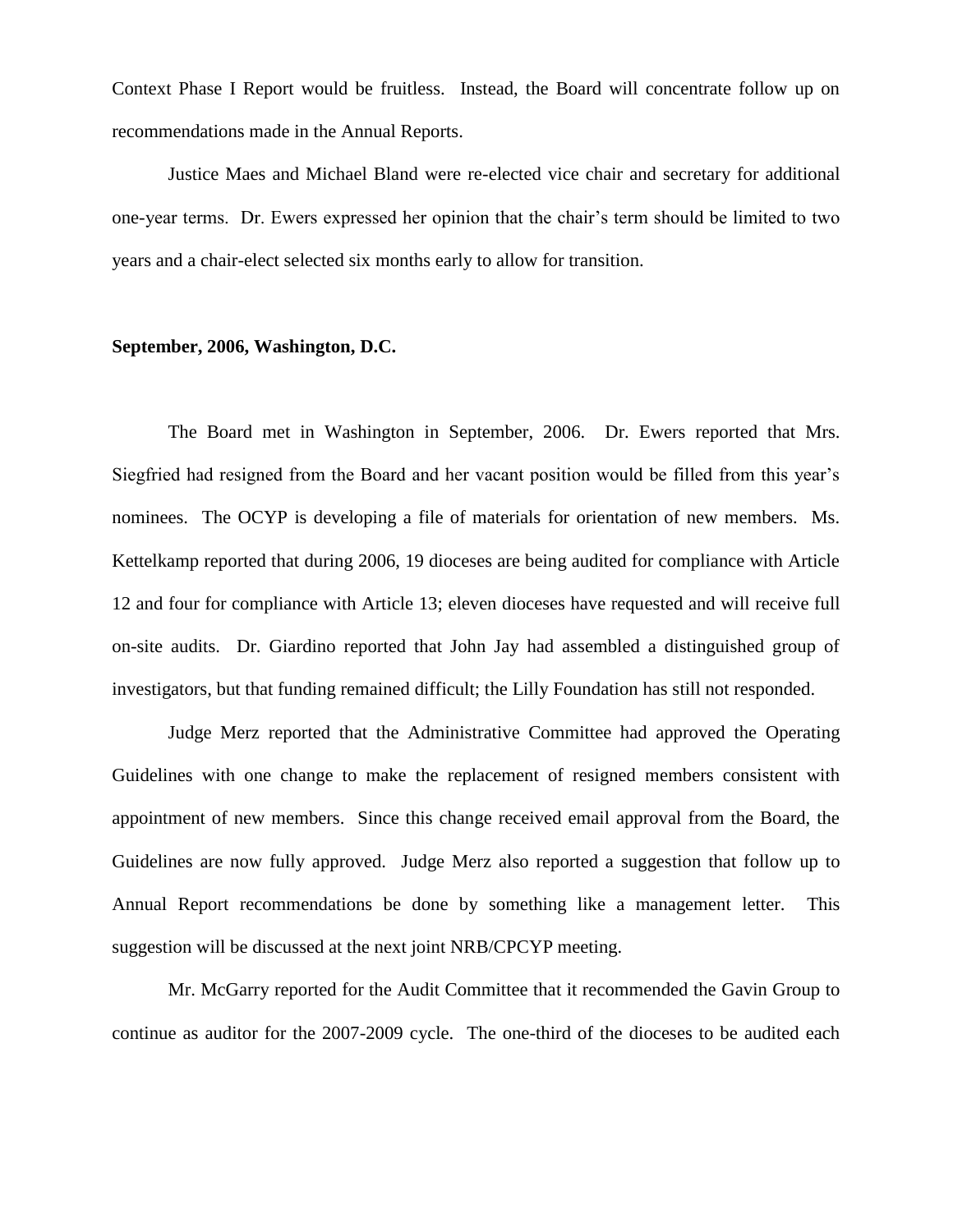Context Phase I Report would be fruitless. Instead, the Board will concentrate follow up on recommendations made in the Annual Reports.

Justice Maes and Michael Bland were re-elected vice chair and secretary for additional one-year terms. Dr. Ewers expressed her opinion that the chair's term should be limited to two years and a chair-elect selected six months early to allow for transition.

#### **September, 2006, Washington, D.C.**

The Board met in Washington in September, 2006. Dr. Ewers reported that Mrs. Siegfried had resigned from the Board and her vacant position would be filled from this year's nominees. The OCYP is developing a file of materials for orientation of new members. Ms. Kettelkamp reported that during 2006, 19 dioceses are being audited for compliance with Article 12 and four for compliance with Article 13; eleven dioceses have requested and will receive full on-site audits. Dr. Giardino reported that John Jay had assembled a distinguished group of investigators, but that funding remained difficult; the Lilly Foundation has still not responded.

Judge Merz reported that the Administrative Committee had approved the Operating Guidelines with one change to make the replacement of resigned members consistent with appointment of new members. Since this change received email approval from the Board, the Guidelines are now fully approved. Judge Merz also reported a suggestion that follow up to Annual Report recommendations be done by something like a management letter. This suggestion will be discussed at the next joint NRB/CPCYP meeting.

Mr. McGarry reported for the Audit Committee that it recommended the Gavin Group to continue as auditor for the 2007-2009 cycle. The one-third of the dioceses to be audited each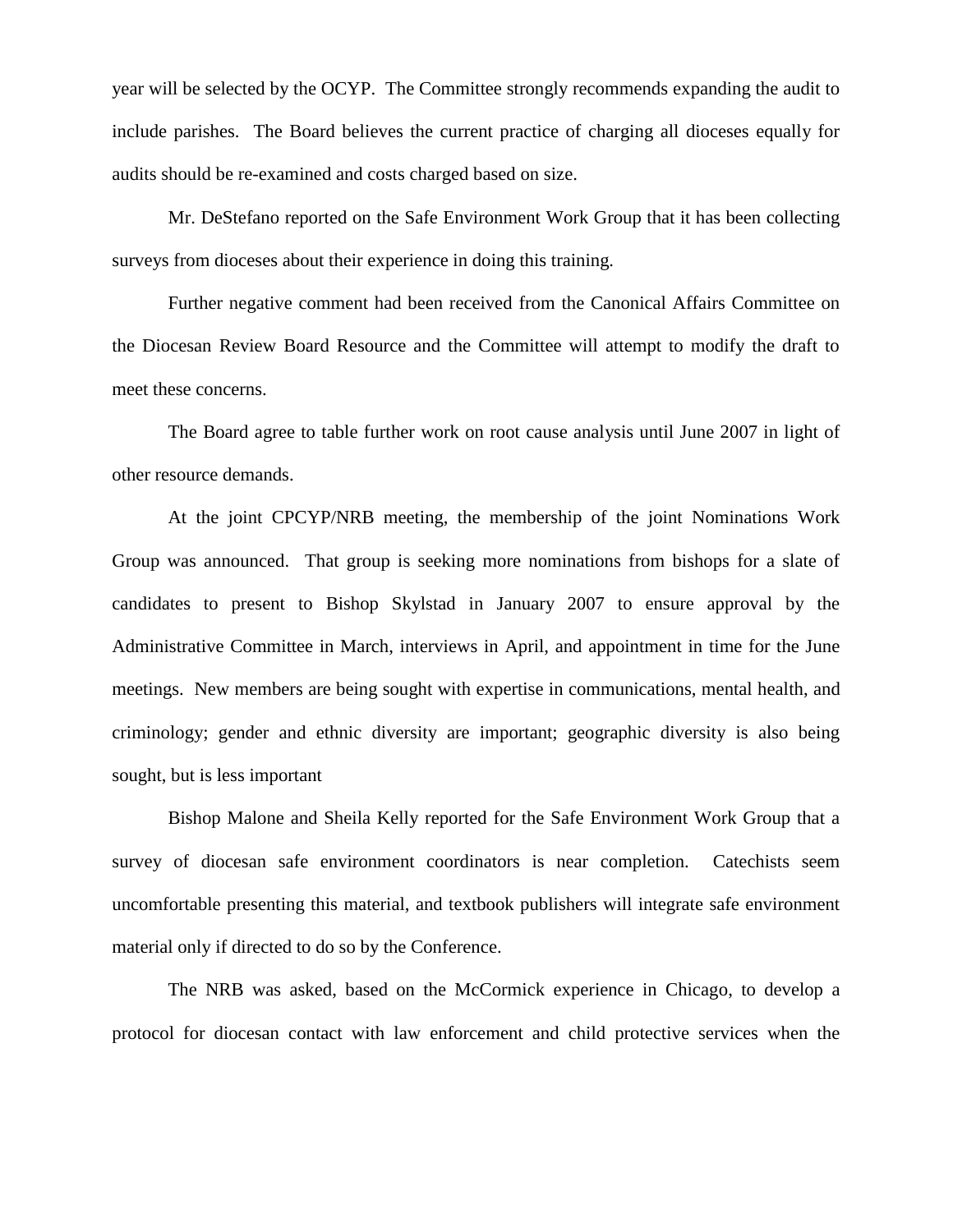year will be selected by the OCYP. The Committee strongly recommends expanding the audit to include parishes. The Board believes the current practice of charging all dioceses equally for audits should be re-examined and costs charged based on size.

Mr. DeStefano reported on the Safe Environment Work Group that it has been collecting surveys from dioceses about their experience in doing this training.

Further negative comment had been received from the Canonical Affairs Committee on the Diocesan Review Board Resource and the Committee will attempt to modify the draft to meet these concerns.

The Board agree to table further work on root cause analysis until June 2007 in light of other resource demands.

At the joint CPCYP/NRB meeting, the membership of the joint Nominations Work Group was announced. That group is seeking more nominations from bishops for a slate of candidates to present to Bishop Skylstad in January 2007 to ensure approval by the Administrative Committee in March, interviews in April, and appointment in time for the June meetings. New members are being sought with expertise in communications, mental health, and criminology; gender and ethnic diversity are important; geographic diversity is also being sought, but is less important

Bishop Malone and Sheila Kelly reported for the Safe Environment Work Group that a survey of diocesan safe environment coordinators is near completion. Catechists seem uncomfortable presenting this material, and textbook publishers will integrate safe environment material only if directed to do so by the Conference.

The NRB was asked, based on the McCormick experience in Chicago, to develop a protocol for diocesan contact with law enforcement and child protective services when the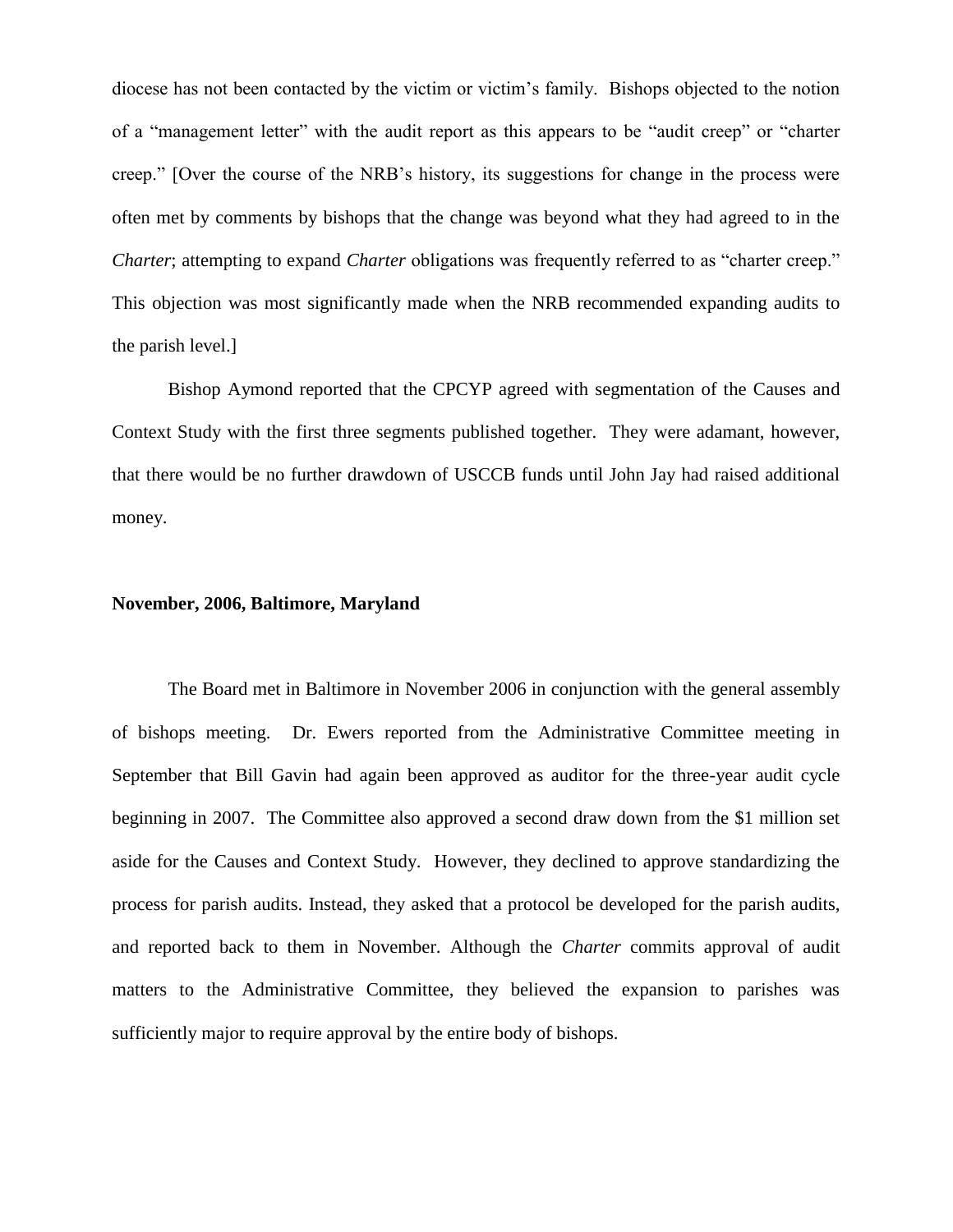diocese has not been contacted by the victim or victim's family. Bishops objected to the notion of a "management letter" with the audit report as this appears to be "audit creep" or "charter creep." [Over the course of the NRB's history, its suggestions for change in the process were often met by comments by bishops that the change was beyond what they had agreed to in the *Charter*; attempting to expand *Charter* obligations was frequently referred to as "charter creep." This objection was most significantly made when the NRB recommended expanding audits to the parish level.]

Bishop Aymond reported that the CPCYP agreed with segmentation of the Causes and Context Study with the first three segments published together. They were adamant, however, that there would be no further drawdown of USCCB funds until John Jay had raised additional money.

#### **November, 2006, Baltimore, Maryland**

The Board met in Baltimore in November 2006 in conjunction with the general assembly of bishops meeting. Dr. Ewers reported from the Administrative Committee meeting in September that Bill Gavin had again been approved as auditor for the three-year audit cycle beginning in 2007. The Committee also approved a second draw down from the \$1 million set aside for the Causes and Context Study. However, they declined to approve standardizing the process for parish audits. Instead, they asked that a protocol be developed for the parish audits, and reported back to them in November. Although the *Charter* commits approval of audit matters to the Administrative Committee, they believed the expansion to parishes was sufficiently major to require approval by the entire body of bishops.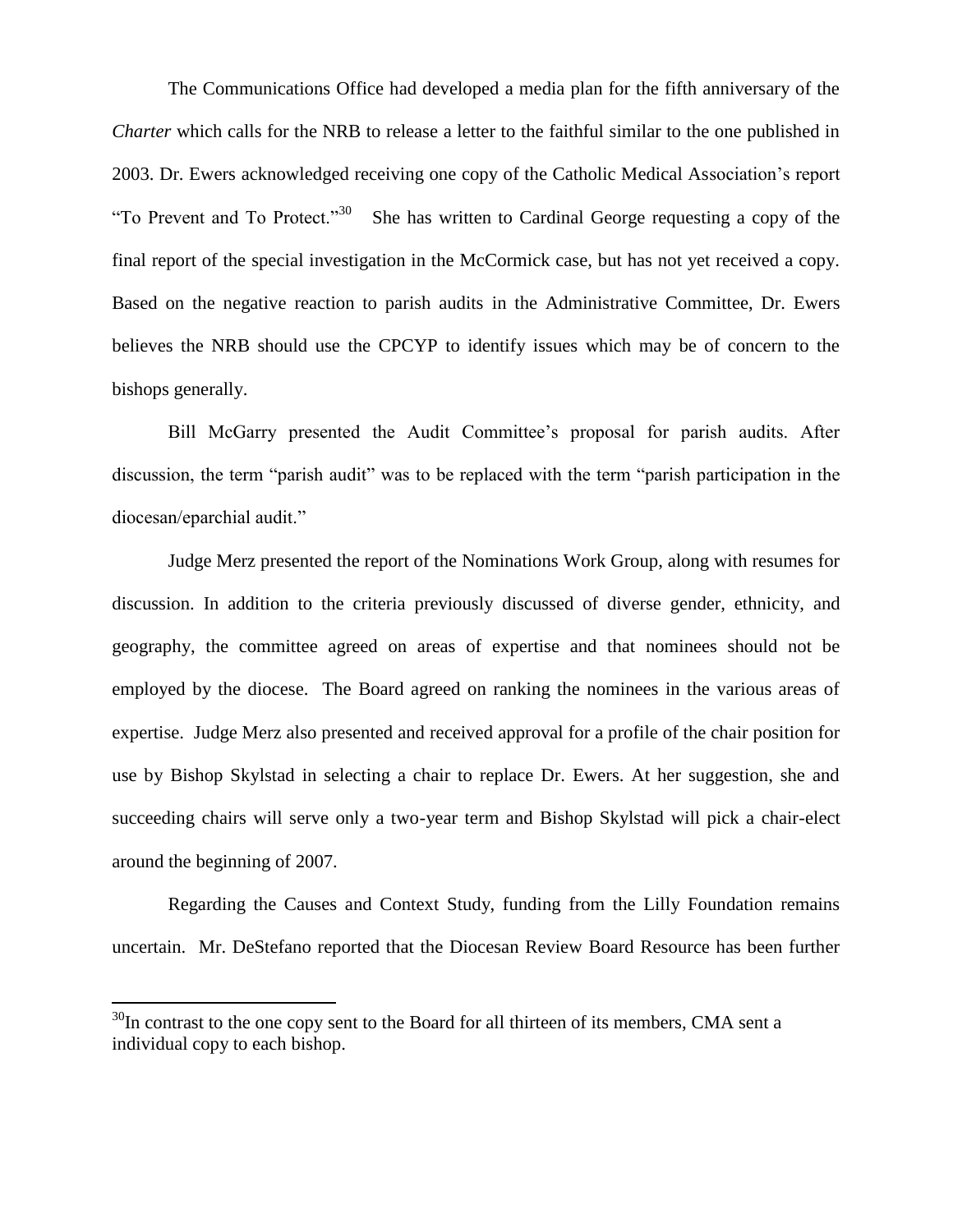The Communications Office had developed a media plan for the fifth anniversary of the *Charter* which calls for the NRB to release a letter to the faithful similar to the one published in 2003. Dr. Ewers acknowledged receiving one copy of the Catholic Medical Association's report "To Prevent and To Protect."<sup>30</sup> She has written to Cardinal George requesting a copy of the final report of the special investigation in the McCormick case, but has not yet received a copy. Based on the negative reaction to parish audits in the Administrative Committee, Dr. Ewers believes the NRB should use the CPCYP to identify issues which may be of concern to the bishops generally.

Bill McGarry presented the Audit Committee's proposal for parish audits. After discussion, the term "parish audit" was to be replaced with the term "parish participation in the diocesan/eparchial audit."

Judge Merz presented the report of the Nominations Work Group, along with resumes for discussion. In addition to the criteria previously discussed of diverse gender, ethnicity, and geography, the committee agreed on areas of expertise and that nominees should not be employed by the diocese. The Board agreed on ranking the nominees in the various areas of expertise. Judge Merz also presented and received approval for a profile of the chair position for use by Bishop Skylstad in selecting a chair to replace Dr. Ewers. At her suggestion, she and succeeding chairs will serve only a two-year term and Bishop Skylstad will pick a chair-elect around the beginning of 2007.

Regarding the Causes and Context Study, funding from the Lilly Foundation remains uncertain. Mr. DeStefano reported that the Diocesan Review Board Resource has been further

 $\overline{a}$ 

 $30$ In contrast to the one copy sent to the Board for all thirteen of its members, CMA sent a individual copy to each bishop.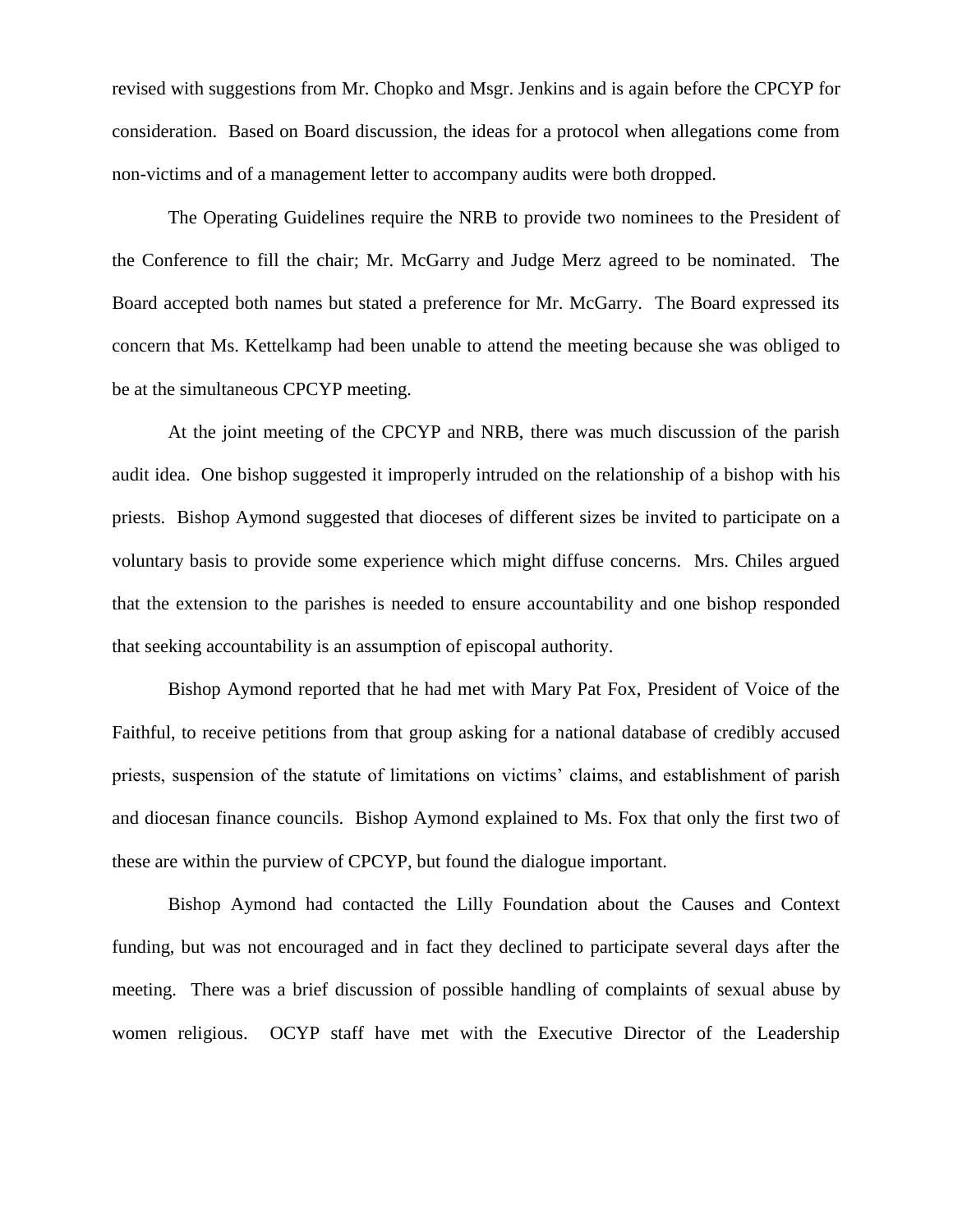revised with suggestions from Mr. Chopko and Msgr. Jenkins and is again before the CPCYP for consideration. Based on Board discussion, the ideas for a protocol when allegations come from non-victims and of a management letter to accompany audits were both dropped.

The Operating Guidelines require the NRB to provide two nominees to the President of the Conference to fill the chair; Mr. McGarry and Judge Merz agreed to be nominated. The Board accepted both names but stated a preference for Mr. McGarry. The Board expressed its concern that Ms. Kettelkamp had been unable to attend the meeting because she was obliged to be at the simultaneous CPCYP meeting.

At the joint meeting of the CPCYP and NRB, there was much discussion of the parish audit idea. One bishop suggested it improperly intruded on the relationship of a bishop with his priests. Bishop Aymond suggested that dioceses of different sizes be invited to participate on a voluntary basis to provide some experience which might diffuse concerns. Mrs. Chiles argued that the extension to the parishes is needed to ensure accountability and one bishop responded that seeking accountability is an assumption of episcopal authority.

Bishop Aymond reported that he had met with Mary Pat Fox, President of Voice of the Faithful, to receive petitions from that group asking for a national database of credibly accused priests, suspension of the statute of limitations on victims' claims, and establishment of parish and diocesan finance councils. Bishop Aymond explained to Ms. Fox that only the first two of these are within the purview of CPCYP, but found the dialogue important.

Bishop Aymond had contacted the Lilly Foundation about the Causes and Context funding, but was not encouraged and in fact they declined to participate several days after the meeting. There was a brief discussion of possible handling of complaints of sexual abuse by women religious. OCYP staff have met with the Executive Director of the Leadership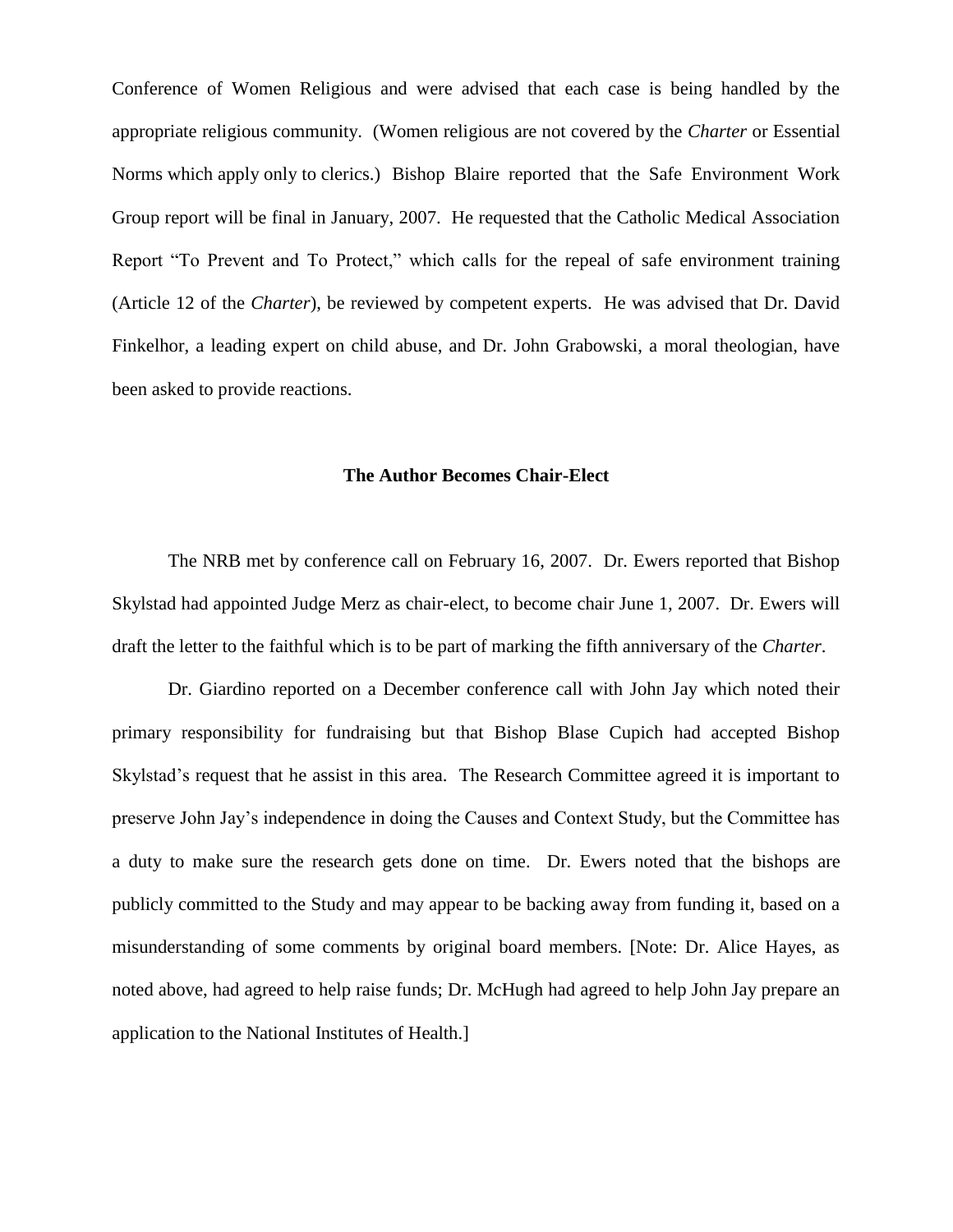Conference of Women Religious and were advised that each case is being handled by the appropriate religious community. (Women religious are not covered by the *Charter* or Essential Norms which apply only to clerics.) Bishop Blaire reported that the Safe Environment Work Group report will be final in January, 2007. He requested that the Catholic Medical Association Report "To Prevent and To Protect," which calls for the repeal of safe environment training (Article 12 of the *Charter*), be reviewed by competent experts. He was advised that Dr. David Finkelhor, a leading expert on child abuse, and Dr. John Grabowski, a moral theologian, have been asked to provide reactions.

#### **The Author Becomes Chair-Elect**

The NRB met by conference call on February 16, 2007. Dr. Ewers reported that Bishop Skylstad had appointed Judge Merz as chair-elect, to become chair June 1, 2007. Dr. Ewers will draft the letter to the faithful which is to be part of marking the fifth anniversary of the *Charter*.

Dr. Giardino reported on a December conference call with John Jay which noted their primary responsibility for fundraising but that Bishop Blase Cupich had accepted Bishop Skylstad's request that he assist in this area. The Research Committee agreed it is important to preserve John Jay's independence in doing the Causes and Context Study, but the Committee has a duty to make sure the research gets done on time. Dr. Ewers noted that the bishops are publicly committed to the Study and may appear to be backing away from funding it, based on a misunderstanding of some comments by original board members. [Note: Dr. Alice Hayes, as noted above, had agreed to help raise funds; Dr. McHugh had agreed to help John Jay prepare an application to the National Institutes of Health.]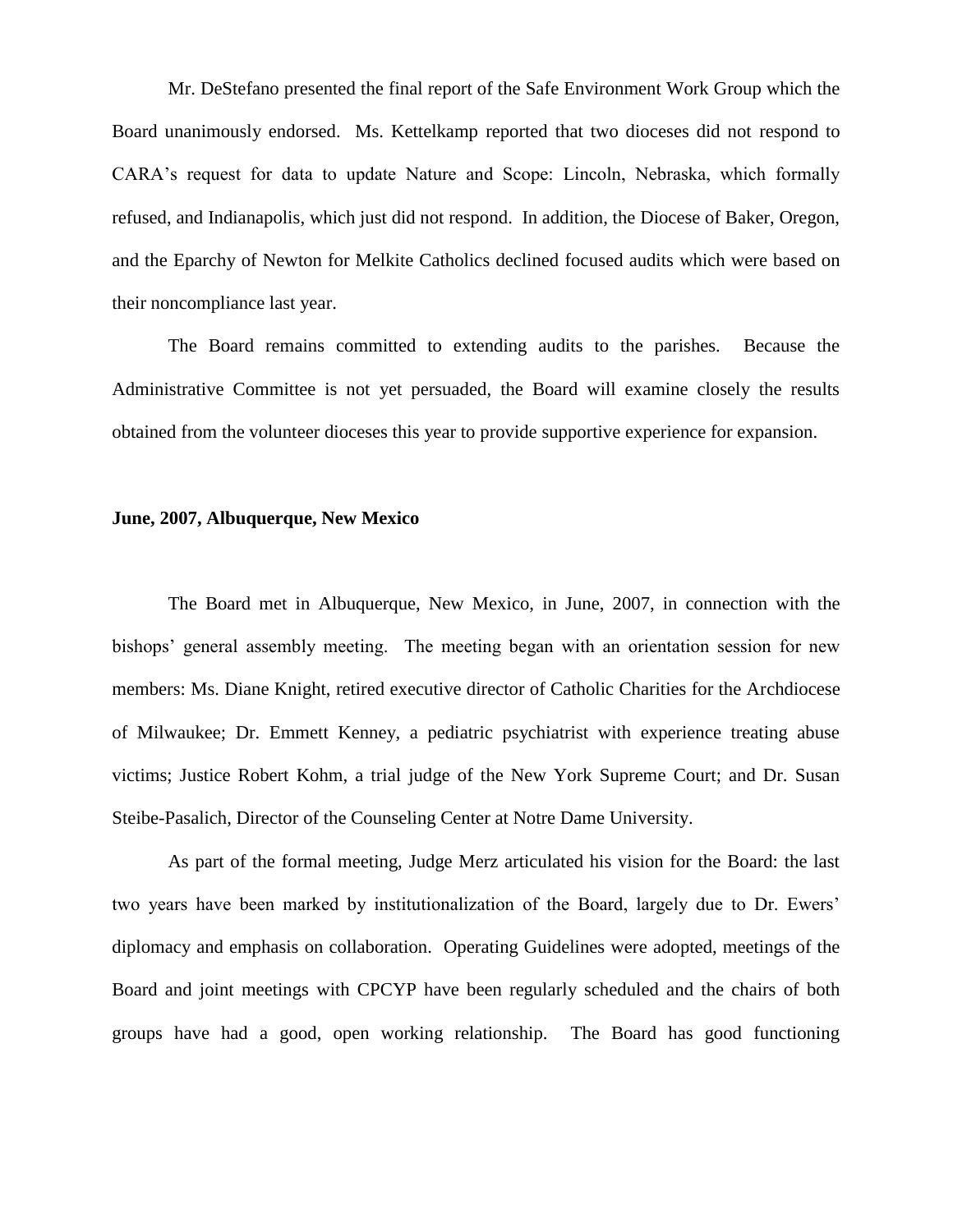Mr. DeStefano presented the final report of the Safe Environment Work Group which the Board unanimously endorsed. Ms. Kettelkamp reported that two dioceses did not respond to CARA's request for data to update Nature and Scope: Lincoln, Nebraska, which formally refused, and Indianapolis, which just did not respond. In addition, the Diocese of Baker, Oregon, and the Eparchy of Newton for Melkite Catholics declined focused audits which were based on their noncompliance last year.

The Board remains committed to extending audits to the parishes. Because the Administrative Committee is not yet persuaded, the Board will examine closely the results obtained from the volunteer dioceses this year to provide supportive experience for expansion.

#### **June, 2007, Albuquerque, New Mexico**

The Board met in Albuquerque, New Mexico, in June, 2007, in connection with the bishops' general assembly meeting. The meeting began with an orientation session for new members: Ms. Diane Knight, retired executive director of Catholic Charities for the Archdiocese of Milwaukee; Dr. Emmett Kenney, a pediatric psychiatrist with experience treating abuse victims; Justice Robert Kohm, a trial judge of the New York Supreme Court; and Dr. Susan Steibe-Pasalich, Director of the Counseling Center at Notre Dame University.

As part of the formal meeting, Judge Merz articulated his vision for the Board: the last two years have been marked by institutionalization of the Board, largely due to Dr. Ewers' diplomacy and emphasis on collaboration. Operating Guidelines were adopted, meetings of the Board and joint meetings with CPCYP have been regularly scheduled and the chairs of both groups have had a good, open working relationship. The Board has good functioning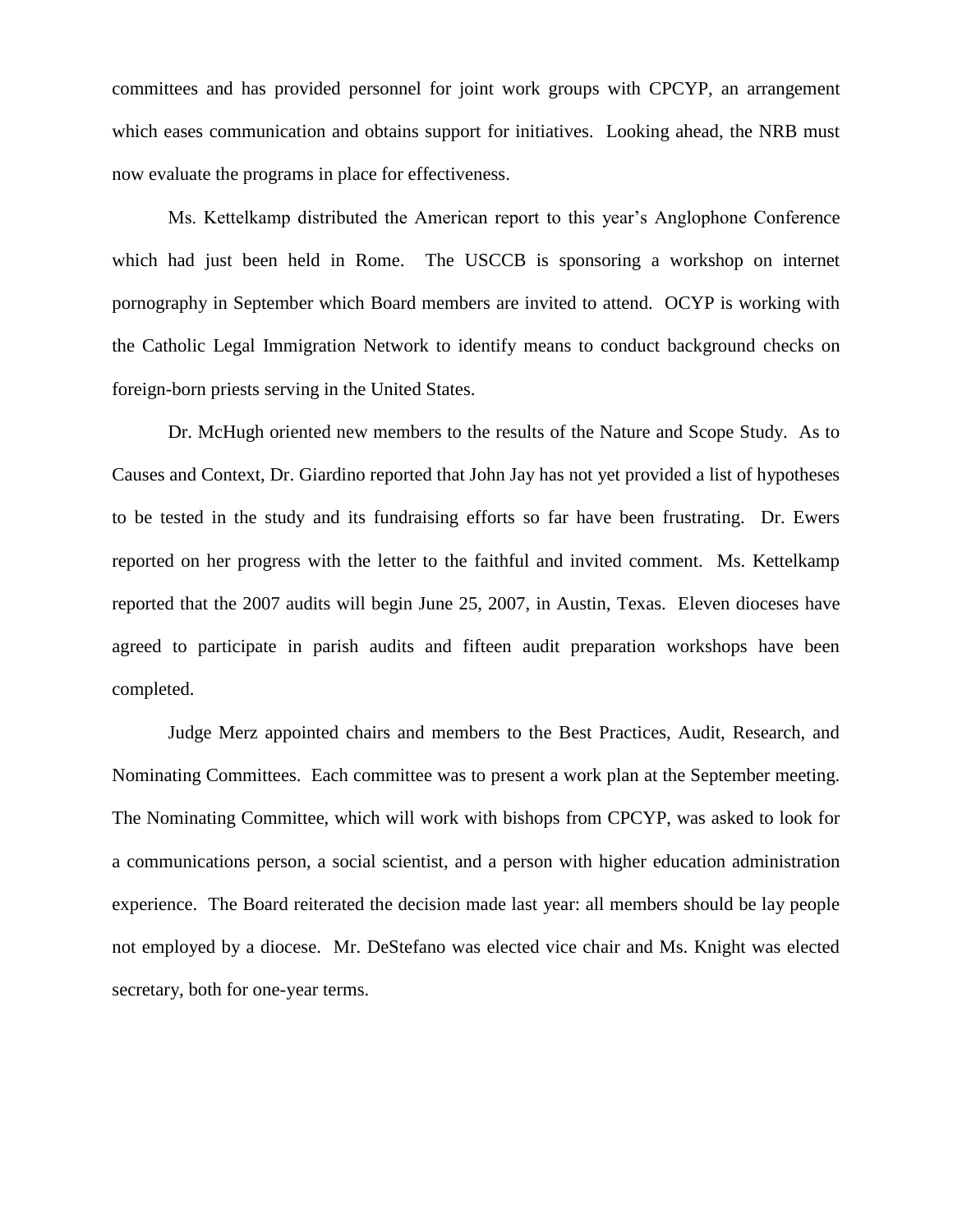committees and has provided personnel for joint work groups with CPCYP, an arrangement which eases communication and obtains support for initiatives. Looking ahead, the NRB must now evaluate the programs in place for effectiveness.

Ms. Kettelkamp distributed the American report to this year's Anglophone Conference which had just been held in Rome. The USCCB is sponsoring a workshop on internet pornography in September which Board members are invited to attend. OCYP is working with the Catholic Legal Immigration Network to identify means to conduct background checks on foreign-born priests serving in the United States.

Dr. McHugh oriented new members to the results of the Nature and Scope Study. As to Causes and Context, Dr. Giardino reported that John Jay has not yet provided a list of hypotheses to be tested in the study and its fundraising efforts so far have been frustrating. Dr. Ewers reported on her progress with the letter to the faithful and invited comment. Ms. Kettelkamp reported that the 2007 audits will begin June 25, 2007, in Austin, Texas. Eleven dioceses have agreed to participate in parish audits and fifteen audit preparation workshops have been completed.

Judge Merz appointed chairs and members to the Best Practices, Audit, Research, and Nominating Committees. Each committee was to present a work plan at the September meeting. The Nominating Committee, which will work with bishops from CPCYP, was asked to look for a communications person, a social scientist, and a person with higher education administration experience. The Board reiterated the decision made last year: all members should be lay people not employed by a diocese. Mr. DeStefano was elected vice chair and Ms. Knight was elected secretary, both for one-year terms.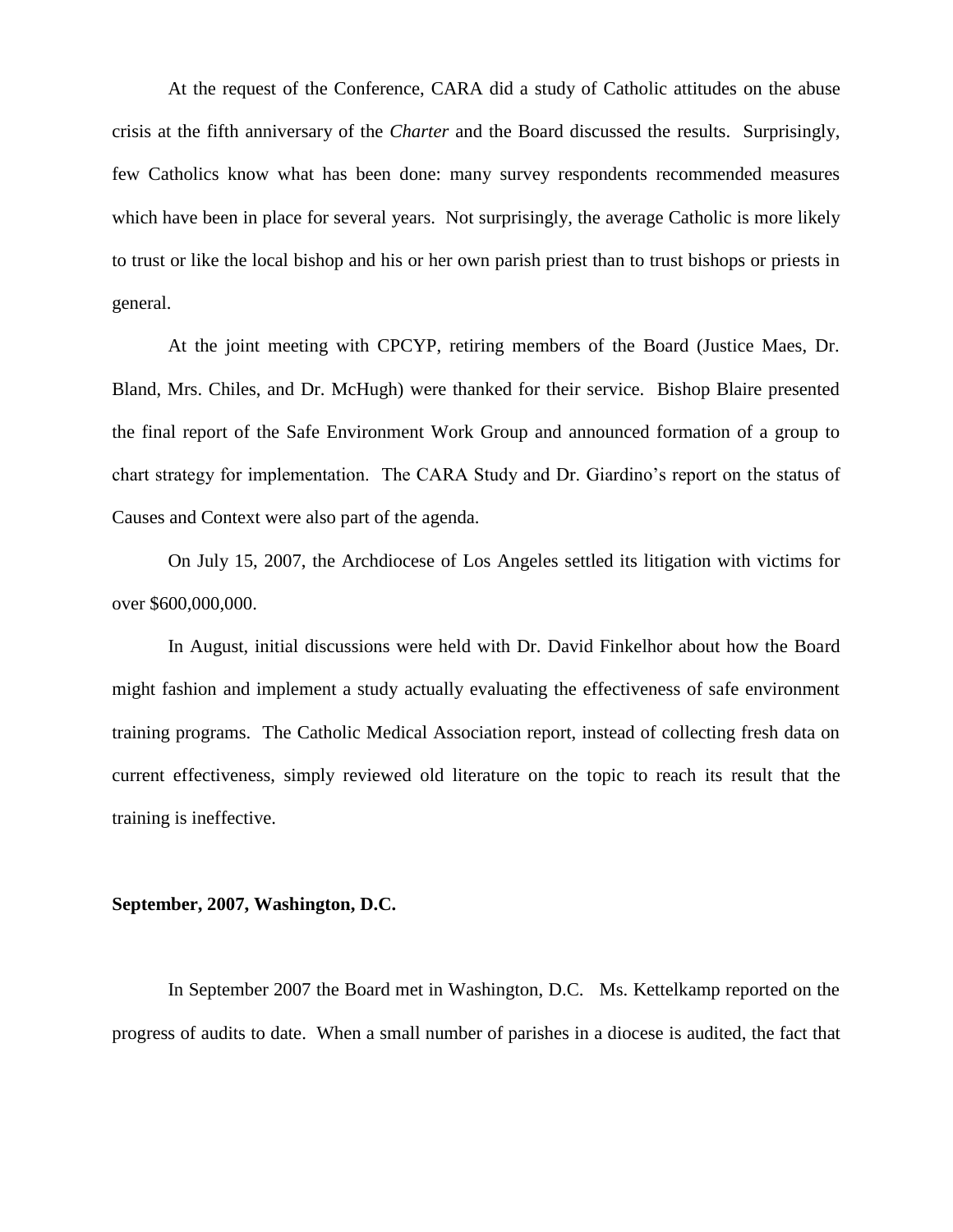At the request of the Conference, CARA did a study of Catholic attitudes on the abuse crisis at the fifth anniversary of the *Charter* and the Board discussed the results. Surprisingly, few Catholics know what has been done: many survey respondents recommended measures which have been in place for several years. Not surprisingly, the average Catholic is more likely to trust or like the local bishop and his or her own parish priest than to trust bishops or priests in general.

At the joint meeting with CPCYP, retiring members of the Board (Justice Maes, Dr. Bland, Mrs. Chiles, and Dr. McHugh) were thanked for their service. Bishop Blaire presented the final report of the Safe Environment Work Group and announced formation of a group to chart strategy for implementation. The CARA Study and Dr. Giardino's report on the status of Causes and Context were also part of the agenda.

On July 15, 2007, the Archdiocese of Los Angeles settled its litigation with victims for over \$600,000,000.

In August, initial discussions were held with Dr. David Finkelhor about how the Board might fashion and implement a study actually evaluating the effectiveness of safe environment training programs. The Catholic Medical Association report, instead of collecting fresh data on current effectiveness, simply reviewed old literature on the topic to reach its result that the training is ineffective.

## **September, 2007, Washington, D.C.**

In September 2007 the Board met in Washington, D.C. Ms. Kettelkamp reported on the progress of audits to date. When a small number of parishes in a diocese is audited, the fact that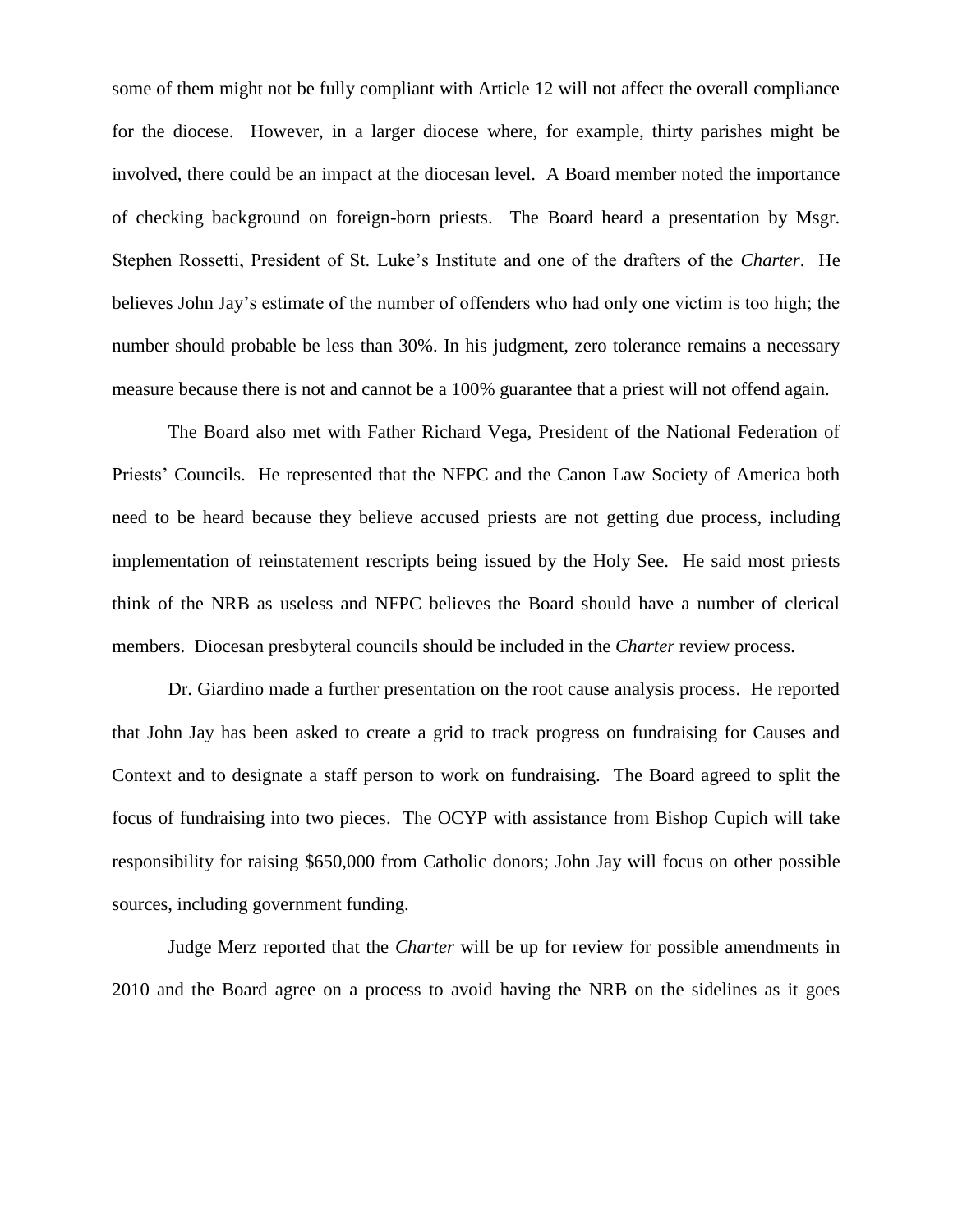some of them might not be fully compliant with Article 12 will not affect the overall compliance for the diocese. However, in a larger diocese where, for example, thirty parishes might be involved, there could be an impact at the diocesan level. A Board member noted the importance of checking background on foreign-born priests. The Board heard a presentation by Msgr. Stephen Rossetti, President of St. Luke's Institute and one of the drafters of the *Charter*. He believes John Jay's estimate of the number of offenders who had only one victim is too high; the number should probable be less than 30%. In his judgment, zero tolerance remains a necessary measure because there is not and cannot be a 100% guarantee that a priest will not offend again.

The Board also met with Father Richard Vega, President of the National Federation of Priests' Councils. He represented that the NFPC and the Canon Law Society of America both need to be heard because they believe accused priests are not getting due process, including implementation of reinstatement rescripts being issued by the Holy See. He said most priests think of the NRB as useless and NFPC believes the Board should have a number of clerical members. Diocesan presbyteral councils should be included in the *Charter* review process.

Dr. Giardino made a further presentation on the root cause analysis process. He reported that John Jay has been asked to create a grid to track progress on fundraising for Causes and Context and to designate a staff person to work on fundraising. The Board agreed to split the focus of fundraising into two pieces. The OCYP with assistance from Bishop Cupich will take responsibility for raising \$650,000 from Catholic donors; John Jay will focus on other possible sources, including government funding.

Judge Merz reported that the *Charter* will be up for review for possible amendments in 2010 and the Board agree on a process to avoid having the NRB on the sidelines as it goes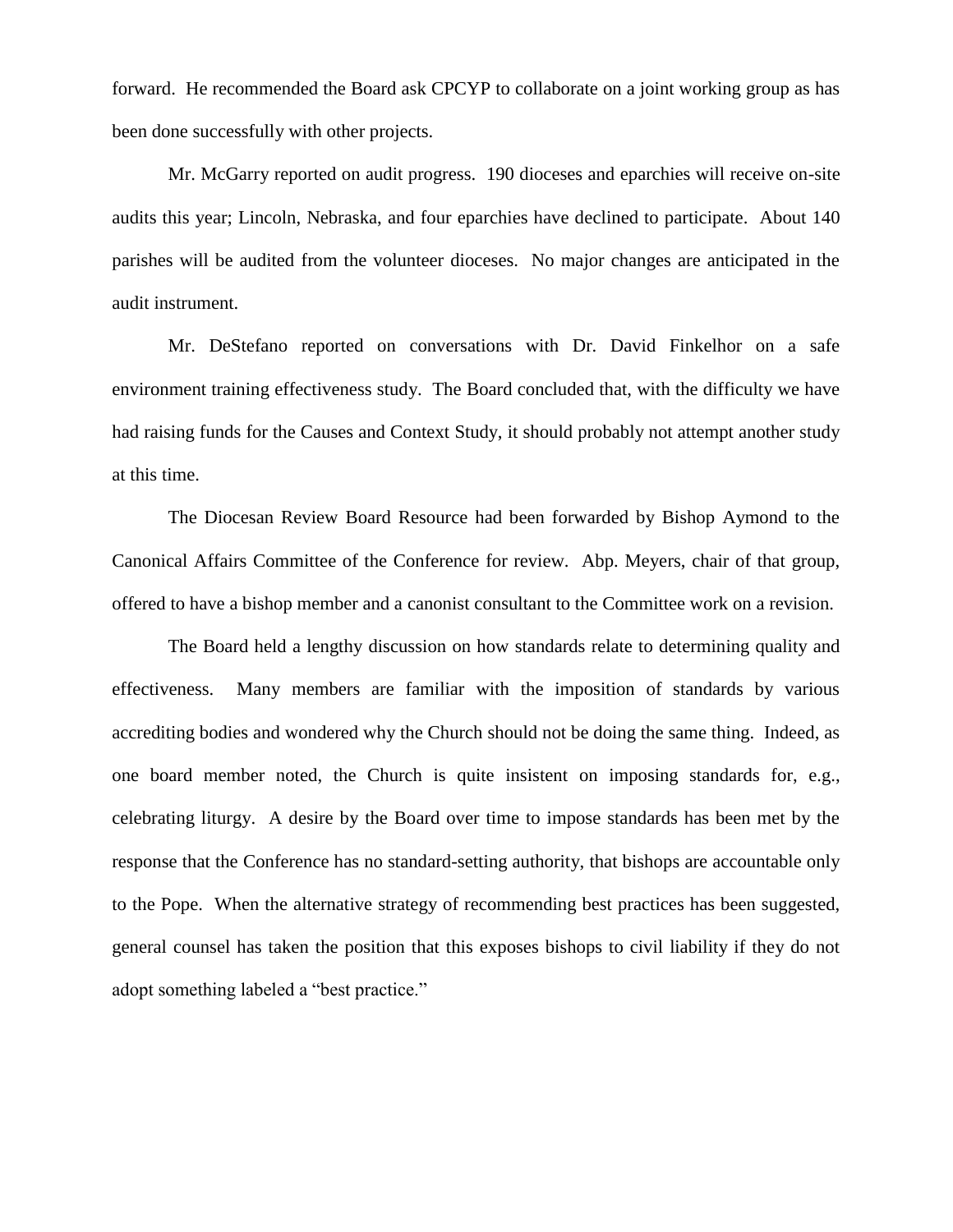forward. He recommended the Board ask CPCYP to collaborate on a joint working group as has been done successfully with other projects.

Mr. McGarry reported on audit progress. 190 dioceses and eparchies will receive on-site audits this year; Lincoln, Nebraska, and four eparchies have declined to participate. About 140 parishes will be audited from the volunteer dioceses. No major changes are anticipated in the audit instrument.

Mr. DeStefano reported on conversations with Dr. David Finkelhor on a safe environment training effectiveness study. The Board concluded that, with the difficulty we have had raising funds for the Causes and Context Study, it should probably not attempt another study at this time.

The Diocesan Review Board Resource had been forwarded by Bishop Aymond to the Canonical Affairs Committee of the Conference for review. Abp. Meyers, chair of that group, offered to have a bishop member and a canonist consultant to the Committee work on a revision.

The Board held a lengthy discussion on how standards relate to determining quality and effectiveness. Many members are familiar with the imposition of standards by various accrediting bodies and wondered why the Church should not be doing the same thing. Indeed, as one board member noted, the Church is quite insistent on imposing standards for, e.g., celebrating liturgy. A desire by the Board over time to impose standards has been met by the response that the Conference has no standard-setting authority, that bishops are accountable only to the Pope. When the alternative strategy of recommending best practices has been suggested, general counsel has taken the position that this exposes bishops to civil liability if they do not adopt something labeled a "best practice."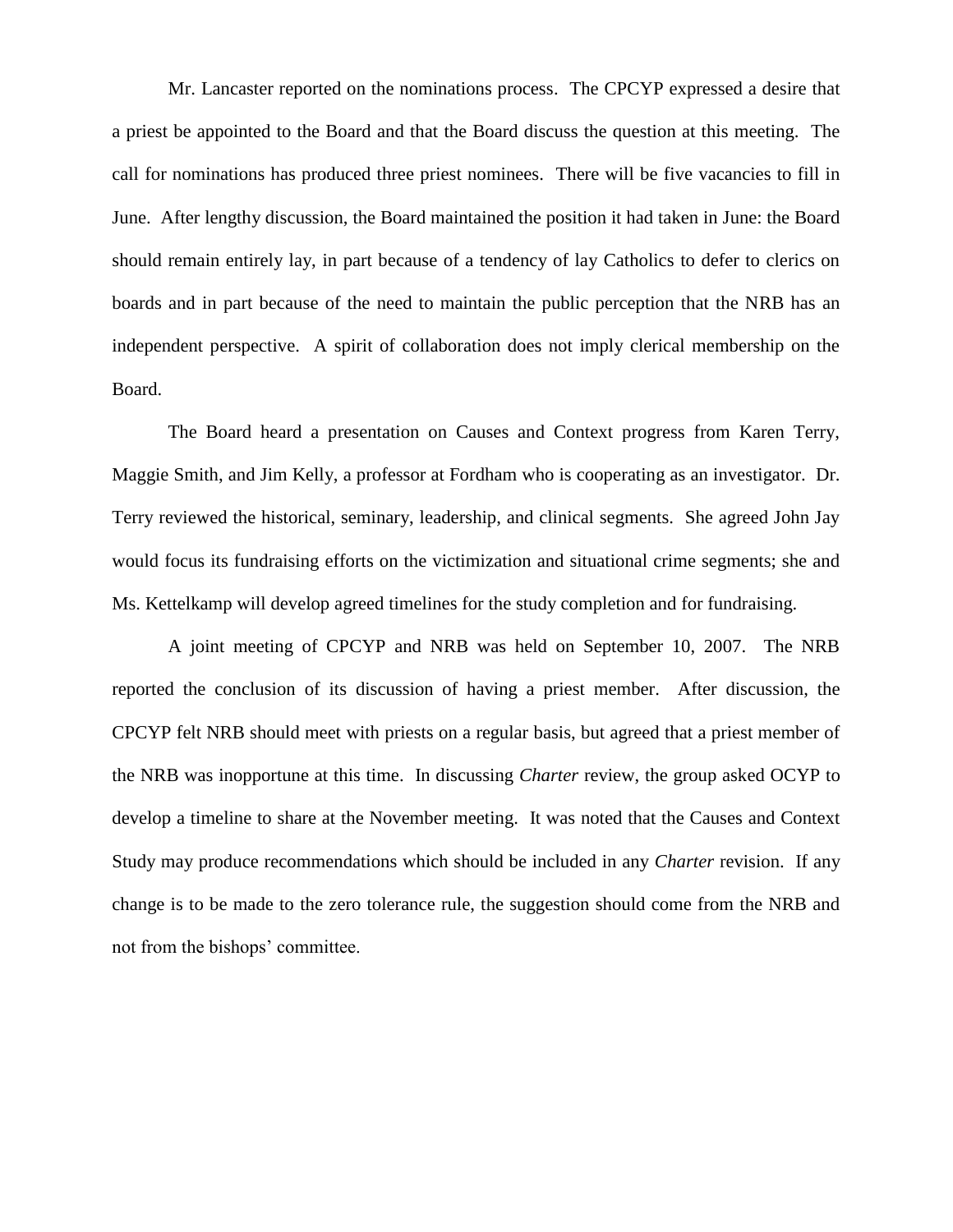Mr. Lancaster reported on the nominations process. The CPCYP expressed a desire that a priest be appointed to the Board and that the Board discuss the question at this meeting. The call for nominations has produced three priest nominees. There will be five vacancies to fill in June. After lengthy discussion, the Board maintained the position it had taken in June: the Board should remain entirely lay, in part because of a tendency of lay Catholics to defer to clerics on boards and in part because of the need to maintain the public perception that the NRB has an independent perspective. A spirit of collaboration does not imply clerical membership on the Board.

The Board heard a presentation on Causes and Context progress from Karen Terry, Maggie Smith, and Jim Kelly, a professor at Fordham who is cooperating as an investigator. Dr. Terry reviewed the historical, seminary, leadership, and clinical segments. She agreed John Jay would focus its fundraising efforts on the victimization and situational crime segments; she and Ms. Kettelkamp will develop agreed timelines for the study completion and for fundraising.

A joint meeting of CPCYP and NRB was held on September 10, 2007. The NRB reported the conclusion of its discussion of having a priest member. After discussion, the CPCYP felt NRB should meet with priests on a regular basis, but agreed that a priest member of the NRB was inopportune at this time. In discussing *Charter* review, the group asked OCYP to develop a timeline to share at the November meeting. It was noted that the Causes and Context Study may produce recommendations which should be included in any *Charter* revision. If any change is to be made to the zero tolerance rule, the suggestion should come from the NRB and not from the bishops' committee.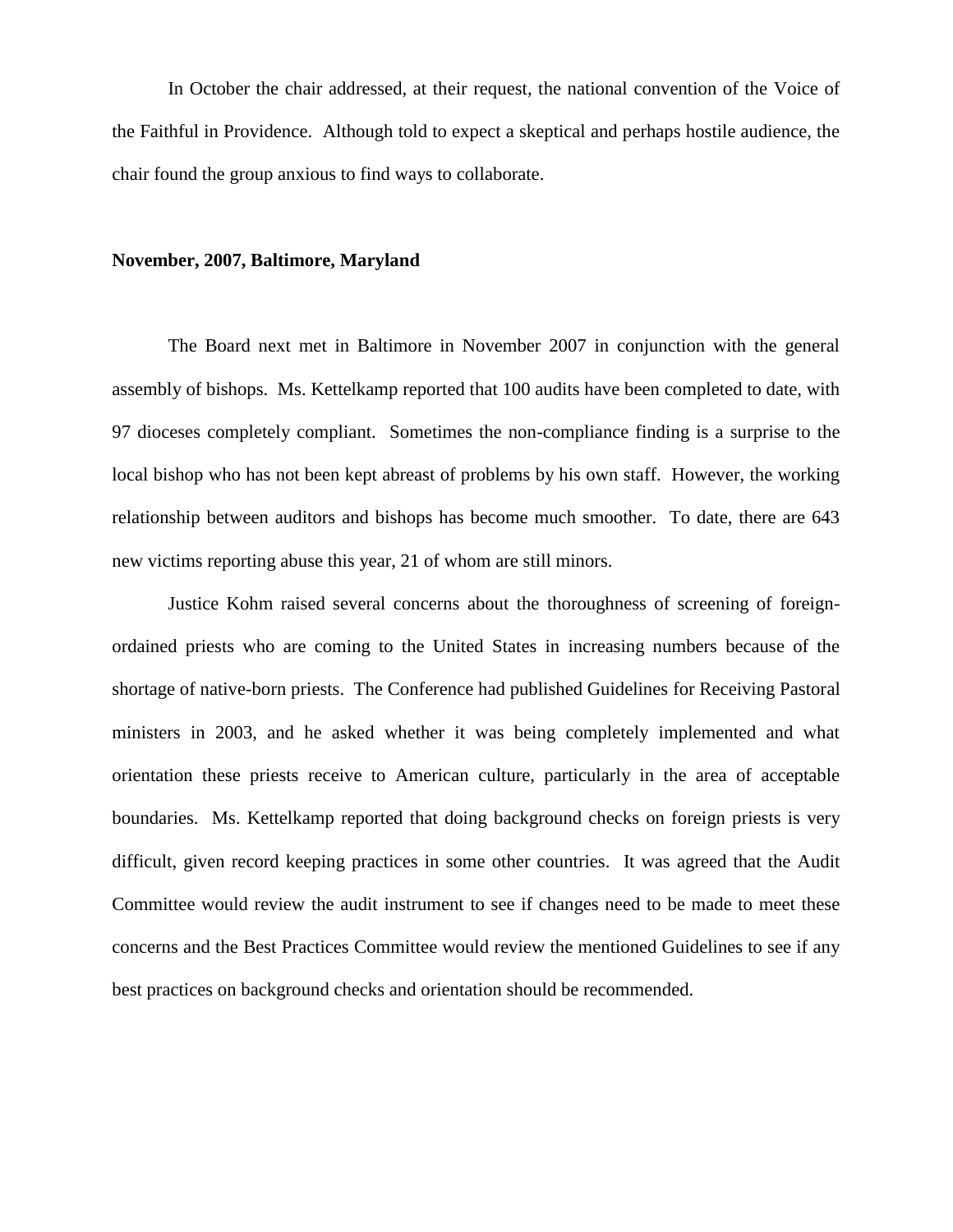In October the chair addressed, at their request, the national convention of the Voice of the Faithful in Providence. Although told to expect a skeptical and perhaps hostile audience, the chair found the group anxious to find ways to collaborate.

#### **November, 2007, Baltimore, Maryland**

The Board next met in Baltimore in November 2007 in conjunction with the general assembly of bishops. Ms. Kettelkamp reported that 100 audits have been completed to date, with 97 dioceses completely compliant. Sometimes the non-compliance finding is a surprise to the local bishop who has not been kept abreast of problems by his own staff. However, the working relationship between auditors and bishops has become much smoother. To date, there are 643 new victims reporting abuse this year, 21 of whom are still minors.

Justice Kohm raised several concerns about the thoroughness of screening of foreignordained priests who are coming to the United States in increasing numbers because of the shortage of native-born priests. The Conference had published Guidelines for Receiving Pastoral ministers in 2003, and he asked whether it was being completely implemented and what orientation these priests receive to American culture, particularly in the area of acceptable boundaries. Ms. Kettelkamp reported that doing background checks on foreign priests is very difficult, given record keeping practices in some other countries. It was agreed that the Audit Committee would review the audit instrument to see if changes need to be made to meet these concerns and the Best Practices Committee would review the mentioned Guidelines to see if any best practices on background checks and orientation should be recommended.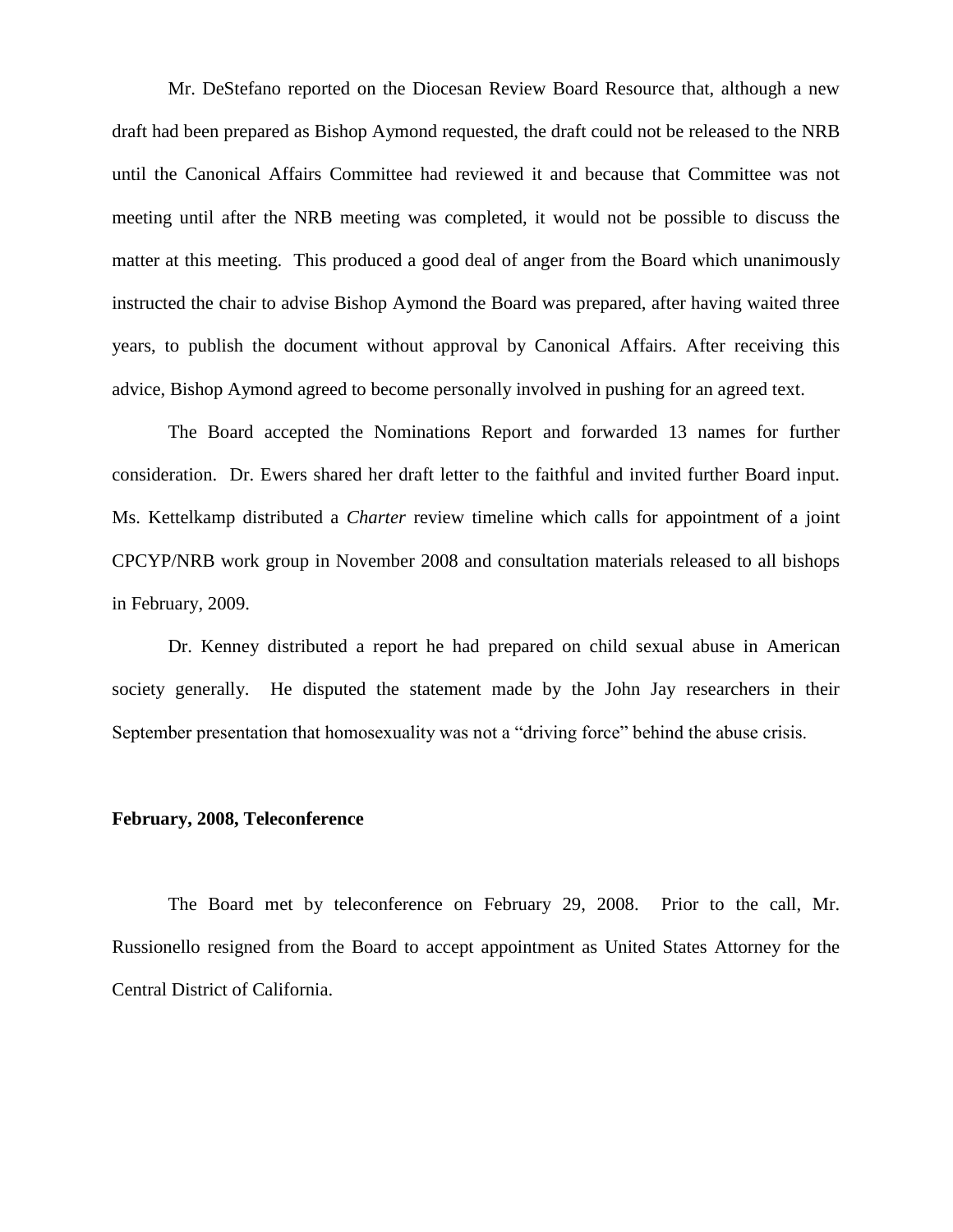Mr. DeStefano reported on the Diocesan Review Board Resource that, although a new draft had been prepared as Bishop Aymond requested, the draft could not be released to the NRB until the Canonical Affairs Committee had reviewed it and because that Committee was not meeting until after the NRB meeting was completed, it would not be possible to discuss the matter at this meeting. This produced a good deal of anger from the Board which unanimously instructed the chair to advise Bishop Aymond the Board was prepared, after having waited three years, to publish the document without approval by Canonical Affairs. After receiving this advice, Bishop Aymond agreed to become personally involved in pushing for an agreed text.

The Board accepted the Nominations Report and forwarded 13 names for further consideration. Dr. Ewers shared her draft letter to the faithful and invited further Board input. Ms. Kettelkamp distributed a *Charter* review timeline which calls for appointment of a joint CPCYP/NRB work group in November 2008 and consultation materials released to all bishops in February, 2009.

Dr. Kenney distributed a report he had prepared on child sexual abuse in American society generally. He disputed the statement made by the John Jay researchers in their September presentation that homosexuality was not a "driving force" behind the abuse crisis.

#### **February, 2008, Teleconference**

The Board met by teleconference on February 29, 2008. Prior to the call, Mr. Russionello resigned from the Board to accept appointment as United States Attorney for the Central District of California.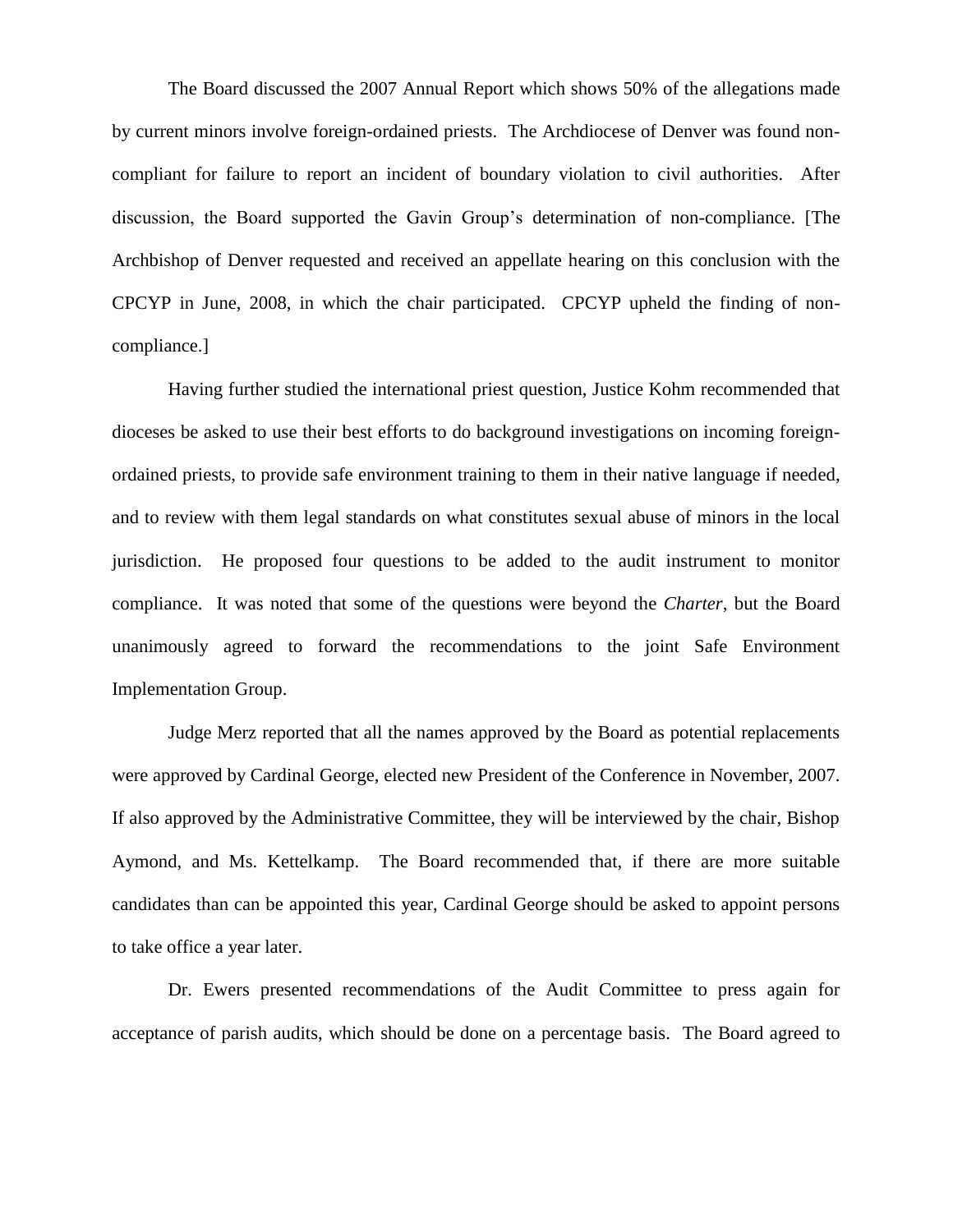The Board discussed the 2007 Annual Report which shows 50% of the allegations made by current minors involve foreign-ordained priests. The Archdiocese of Denver was found noncompliant for failure to report an incident of boundary violation to civil authorities. After discussion, the Board supported the Gavin Group's determination of non-compliance. [The Archbishop of Denver requested and received an appellate hearing on this conclusion with the CPCYP in June, 2008, in which the chair participated. CPCYP upheld the finding of noncompliance.]

Having further studied the international priest question, Justice Kohm recommended that dioceses be asked to use their best efforts to do background investigations on incoming foreignordained priests, to provide safe environment training to them in their native language if needed, and to review with them legal standards on what constitutes sexual abuse of minors in the local jurisdiction. He proposed four questions to be added to the audit instrument to monitor compliance. It was noted that some of the questions were beyond the *Charter*, but the Board unanimously agreed to forward the recommendations to the joint Safe Environment Implementation Group.

Judge Merz reported that all the names approved by the Board as potential replacements were approved by Cardinal George, elected new President of the Conference in November, 2007. If also approved by the Administrative Committee, they will be interviewed by the chair, Bishop Aymond, and Ms. Kettelkamp. The Board recommended that, if there are more suitable candidates than can be appointed this year, Cardinal George should be asked to appoint persons to take office a year later.

Dr. Ewers presented recommendations of the Audit Committee to press again for acceptance of parish audits, which should be done on a percentage basis. The Board agreed to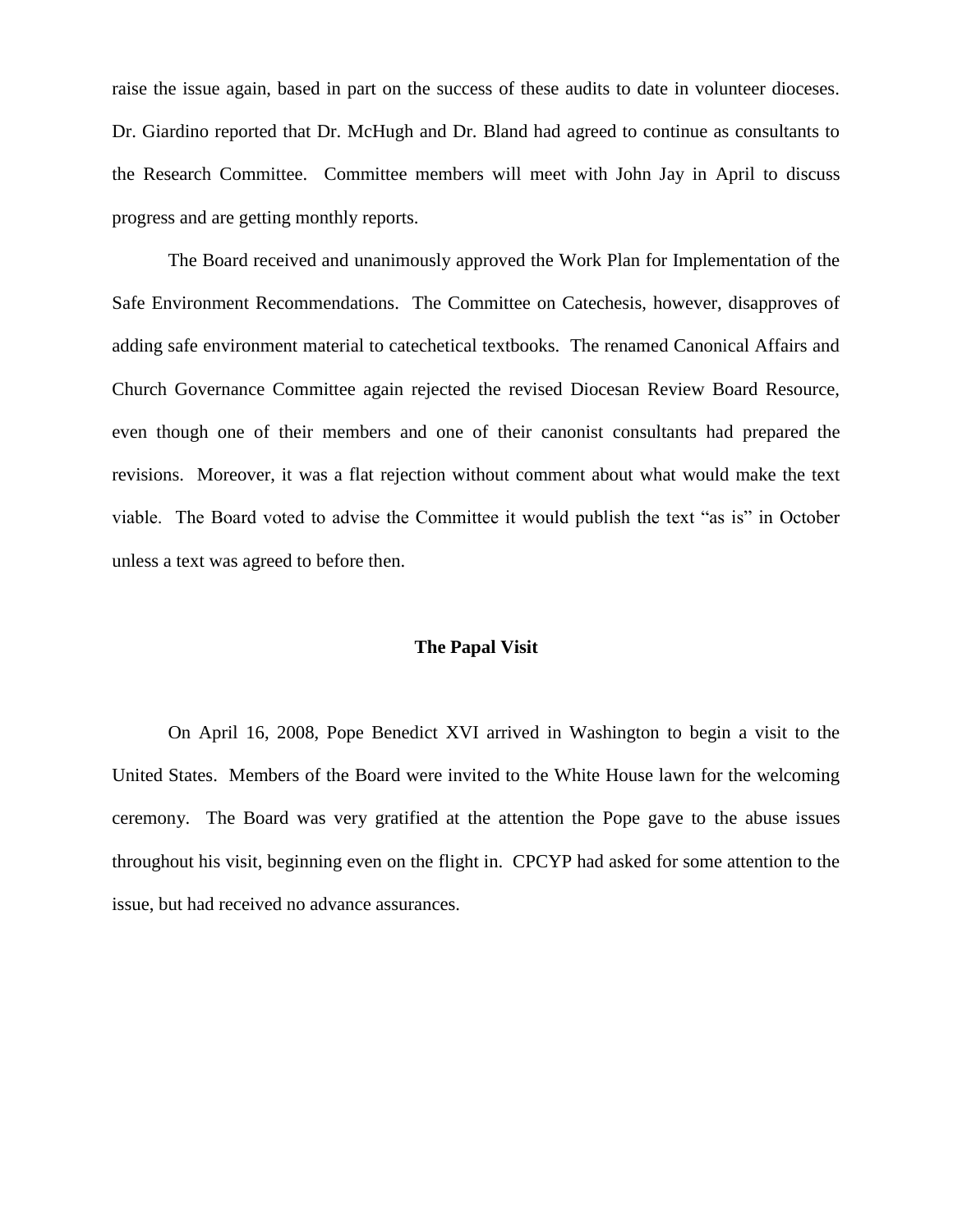raise the issue again, based in part on the success of these audits to date in volunteer dioceses. Dr. Giardino reported that Dr. McHugh and Dr. Bland had agreed to continue as consultants to the Research Committee. Committee members will meet with John Jay in April to discuss progress and are getting monthly reports.

The Board received and unanimously approved the Work Plan for Implementation of the Safe Environment Recommendations. The Committee on Catechesis, however, disapproves of adding safe environment material to catechetical textbooks. The renamed Canonical Affairs and Church Governance Committee again rejected the revised Diocesan Review Board Resource, even though one of their members and one of their canonist consultants had prepared the revisions. Moreover, it was a flat rejection without comment about what would make the text viable. The Board voted to advise the Committee it would publish the text "as is" in October unless a text was agreed to before then.

#### **The Papal Visit**

On April 16, 2008, Pope Benedict XVI arrived in Washington to begin a visit to the United States. Members of the Board were invited to the White House lawn for the welcoming ceremony. The Board was very gratified at the attention the Pope gave to the abuse issues throughout his visit, beginning even on the flight in. CPCYP had asked for some attention to the issue, but had received no advance assurances.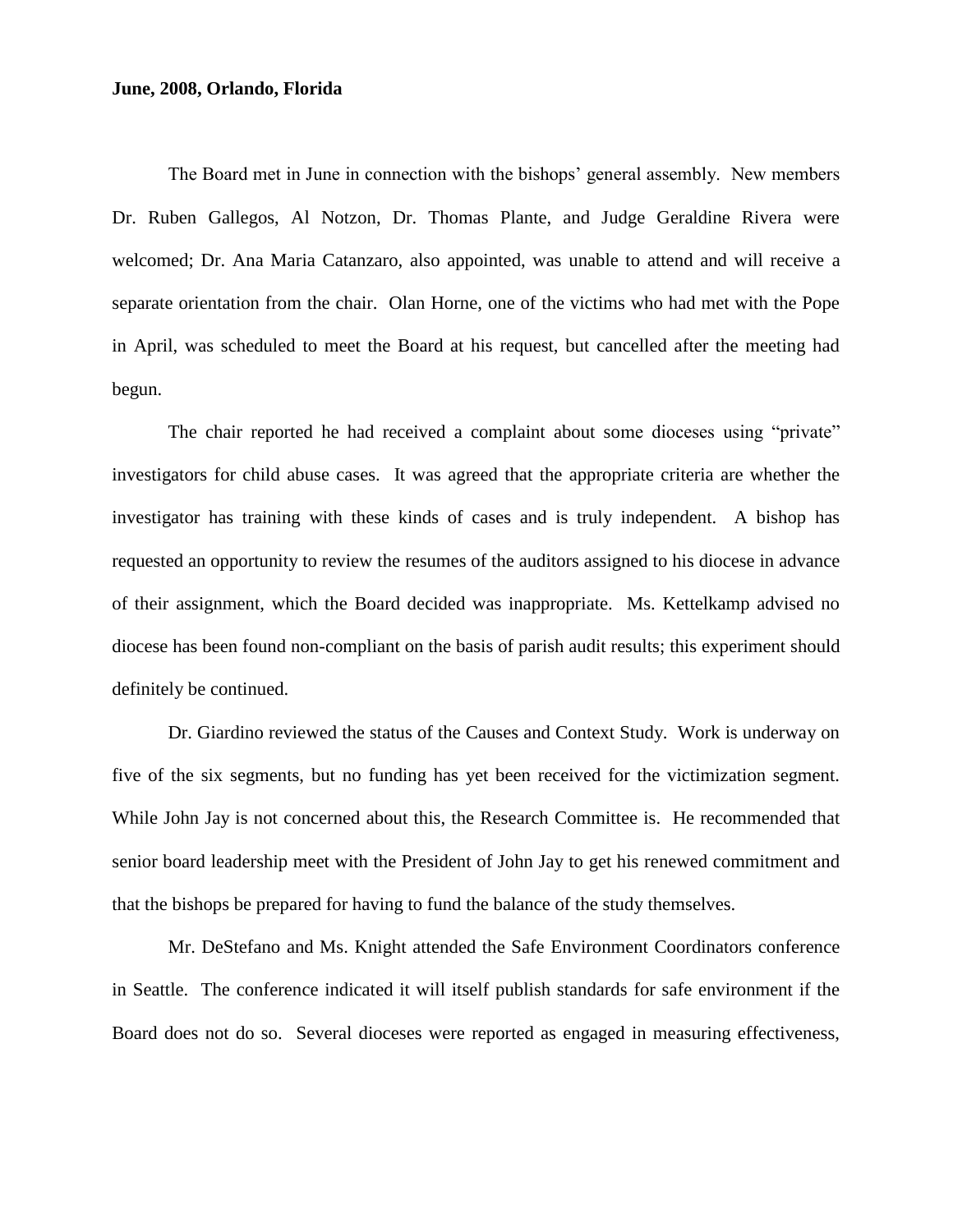#### **June, 2008, Orlando, Florida**

The Board met in June in connection with the bishops' general assembly. New members Dr. Ruben Gallegos, Al Notzon, Dr. Thomas Plante, and Judge Geraldine Rivera were welcomed; Dr. Ana Maria Catanzaro, also appointed, was unable to attend and will receive a separate orientation from the chair. Olan Horne, one of the victims who had met with the Pope in April, was scheduled to meet the Board at his request, but cancelled after the meeting had begun.

The chair reported he had received a complaint about some dioceses using "private" investigators for child abuse cases. It was agreed that the appropriate criteria are whether the investigator has training with these kinds of cases and is truly independent. A bishop has requested an opportunity to review the resumes of the auditors assigned to his diocese in advance of their assignment, which the Board decided was inappropriate. Ms. Kettelkamp advised no diocese has been found non-compliant on the basis of parish audit results; this experiment should definitely be continued.

Dr. Giardino reviewed the status of the Causes and Context Study. Work is underway on five of the six segments, but no funding has yet been received for the victimization segment. While John Jay is not concerned about this, the Research Committee is. He recommended that senior board leadership meet with the President of John Jay to get his renewed commitment and that the bishops be prepared for having to fund the balance of the study themselves.

Mr. DeStefano and Ms. Knight attended the Safe Environment Coordinators conference in Seattle. The conference indicated it will itself publish standards for safe environment if the Board does not do so. Several dioceses were reported as engaged in measuring effectiveness,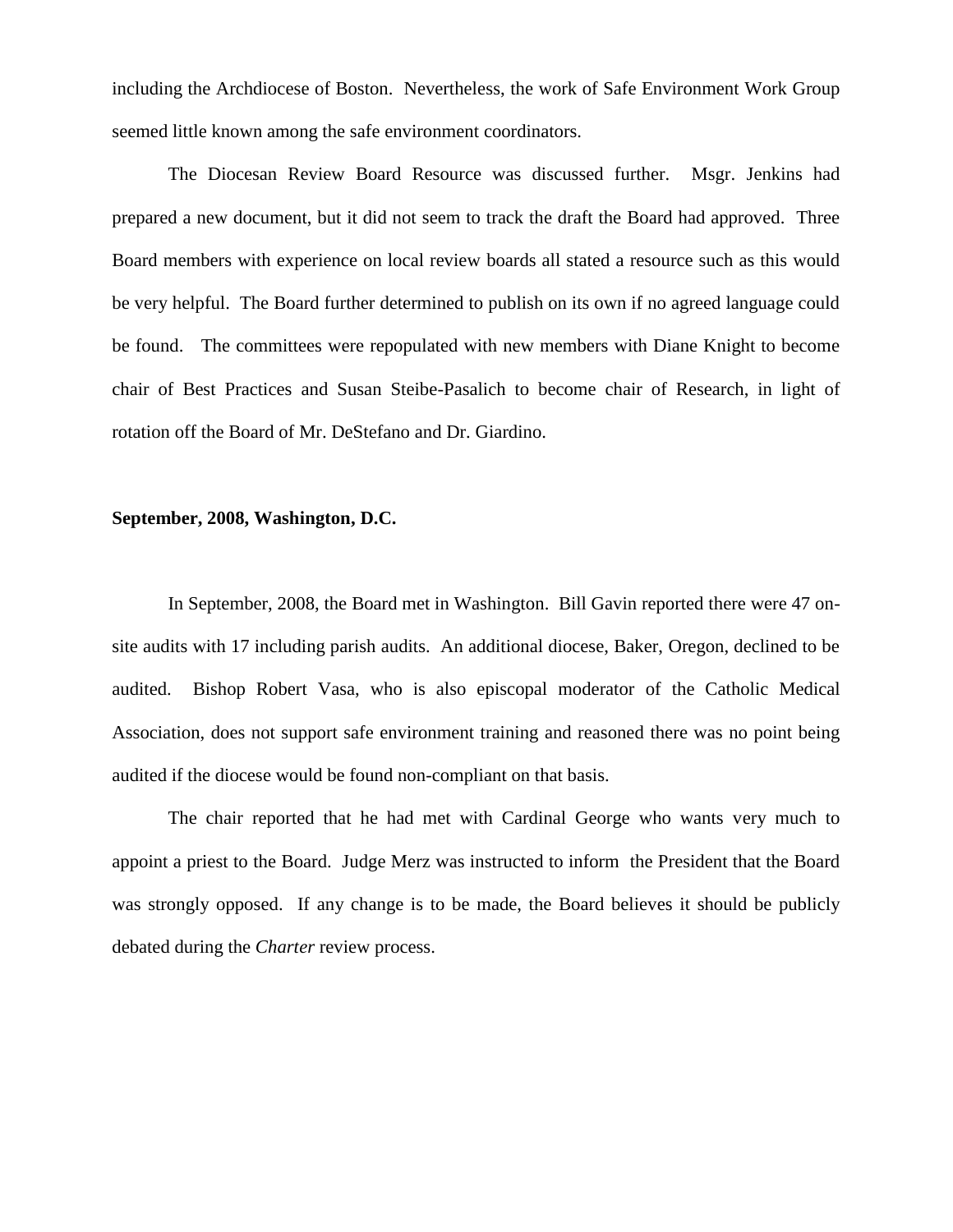including the Archdiocese of Boston. Nevertheless, the work of Safe Environment Work Group seemed little known among the safe environment coordinators.

The Diocesan Review Board Resource was discussed further. Msgr. Jenkins had prepared a new document, but it did not seem to track the draft the Board had approved. Three Board members with experience on local review boards all stated a resource such as this would be very helpful. The Board further determined to publish on its own if no agreed language could be found. The committees were repopulated with new members with Diane Knight to become chair of Best Practices and Susan Steibe-Pasalich to become chair of Research, in light of rotation off the Board of Mr. DeStefano and Dr. Giardino.

# **September, 2008, Washington, D.C.**

In September, 2008, the Board met in Washington. Bill Gavin reported there were 47 onsite audits with 17 including parish audits. An additional diocese, Baker, Oregon, declined to be audited. Bishop Robert Vasa, who is also episcopal moderator of the Catholic Medical Association, does not support safe environment training and reasoned there was no point being audited if the diocese would be found non-compliant on that basis.

The chair reported that he had met with Cardinal George who wants very much to appoint a priest to the Board. Judge Merz was instructed to inform the President that the Board was strongly opposed. If any change is to be made, the Board believes it should be publicly debated during the *Charter* review process.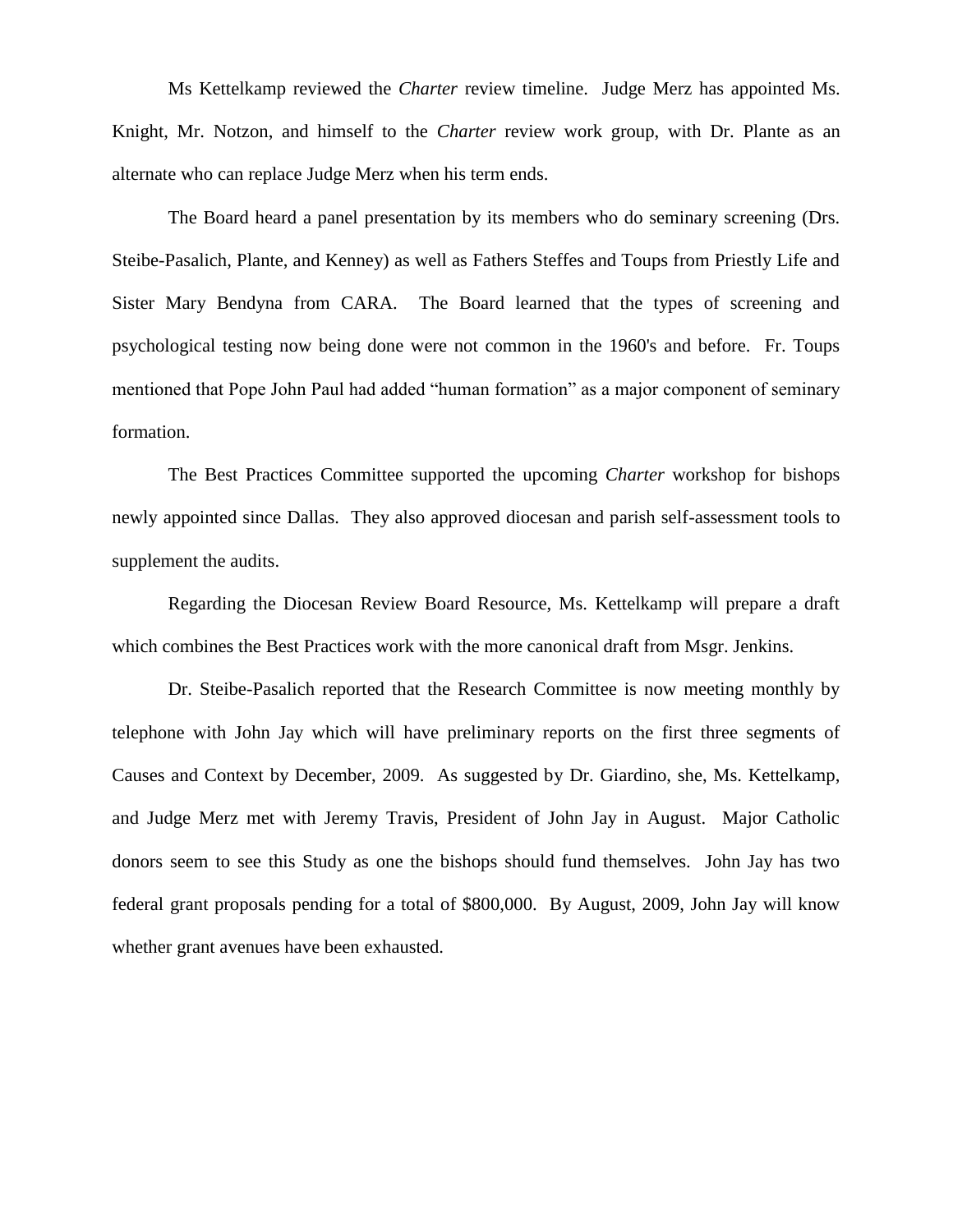Ms Kettelkamp reviewed the *Charter* review timeline. Judge Merz has appointed Ms. Knight, Mr. Notzon, and himself to the *Charter* review work group, with Dr. Plante as an alternate who can replace Judge Merz when his term ends.

The Board heard a panel presentation by its members who do seminary screening (Drs. Steibe-Pasalich, Plante, and Kenney) as well as Fathers Steffes and Toups from Priestly Life and Sister Mary Bendyna from CARA. The Board learned that the types of screening and psychological testing now being done were not common in the 1960's and before. Fr. Toups mentioned that Pope John Paul had added "human formation" as a major component of seminary formation.

The Best Practices Committee supported the upcoming *Charter* workshop for bishops newly appointed since Dallas. They also approved diocesan and parish self-assessment tools to supplement the audits.

Regarding the Diocesan Review Board Resource, Ms. Kettelkamp will prepare a draft which combines the Best Practices work with the more canonical draft from Msgr. Jenkins.

Dr. Steibe-Pasalich reported that the Research Committee is now meeting monthly by telephone with John Jay which will have preliminary reports on the first three segments of Causes and Context by December, 2009. As suggested by Dr. Giardino, she, Ms. Kettelkamp, and Judge Merz met with Jeremy Travis, President of John Jay in August. Major Catholic donors seem to see this Study as one the bishops should fund themselves. John Jay has two federal grant proposals pending for a total of \$800,000. By August, 2009, John Jay will know whether grant avenues have been exhausted.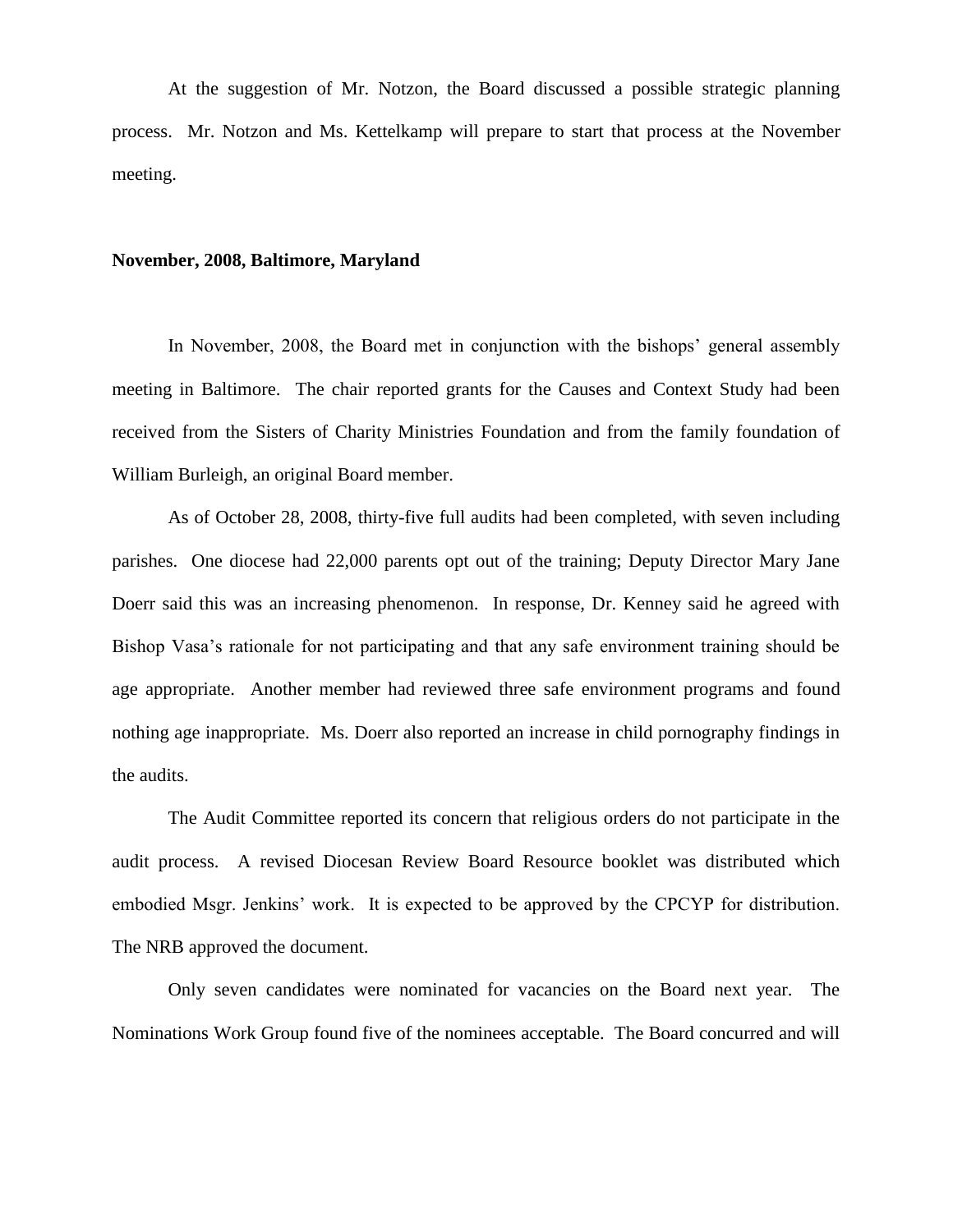At the suggestion of Mr. Notzon, the Board discussed a possible strategic planning process. Mr. Notzon and Ms. Kettelkamp will prepare to start that process at the November meeting.

#### **November, 2008, Baltimore, Maryland**

In November, 2008, the Board met in conjunction with the bishops' general assembly meeting in Baltimore. The chair reported grants for the Causes and Context Study had been received from the Sisters of Charity Ministries Foundation and from the family foundation of William Burleigh, an original Board member.

As of October 28, 2008, thirty-five full audits had been completed, with seven including parishes. One diocese had 22,000 parents opt out of the training; Deputy Director Mary Jane Doerr said this was an increasing phenomenon. In response, Dr. Kenney said he agreed with Bishop Vasa's rationale for not participating and that any safe environment training should be age appropriate. Another member had reviewed three safe environment programs and found nothing age inappropriate. Ms. Doerr also reported an increase in child pornography findings in the audits.

The Audit Committee reported its concern that religious orders do not participate in the audit process. A revised Diocesan Review Board Resource booklet was distributed which embodied Msgr. Jenkins' work. It is expected to be approved by the CPCYP for distribution. The NRB approved the document.

Only seven candidates were nominated for vacancies on the Board next year. The Nominations Work Group found five of the nominees acceptable. The Board concurred and will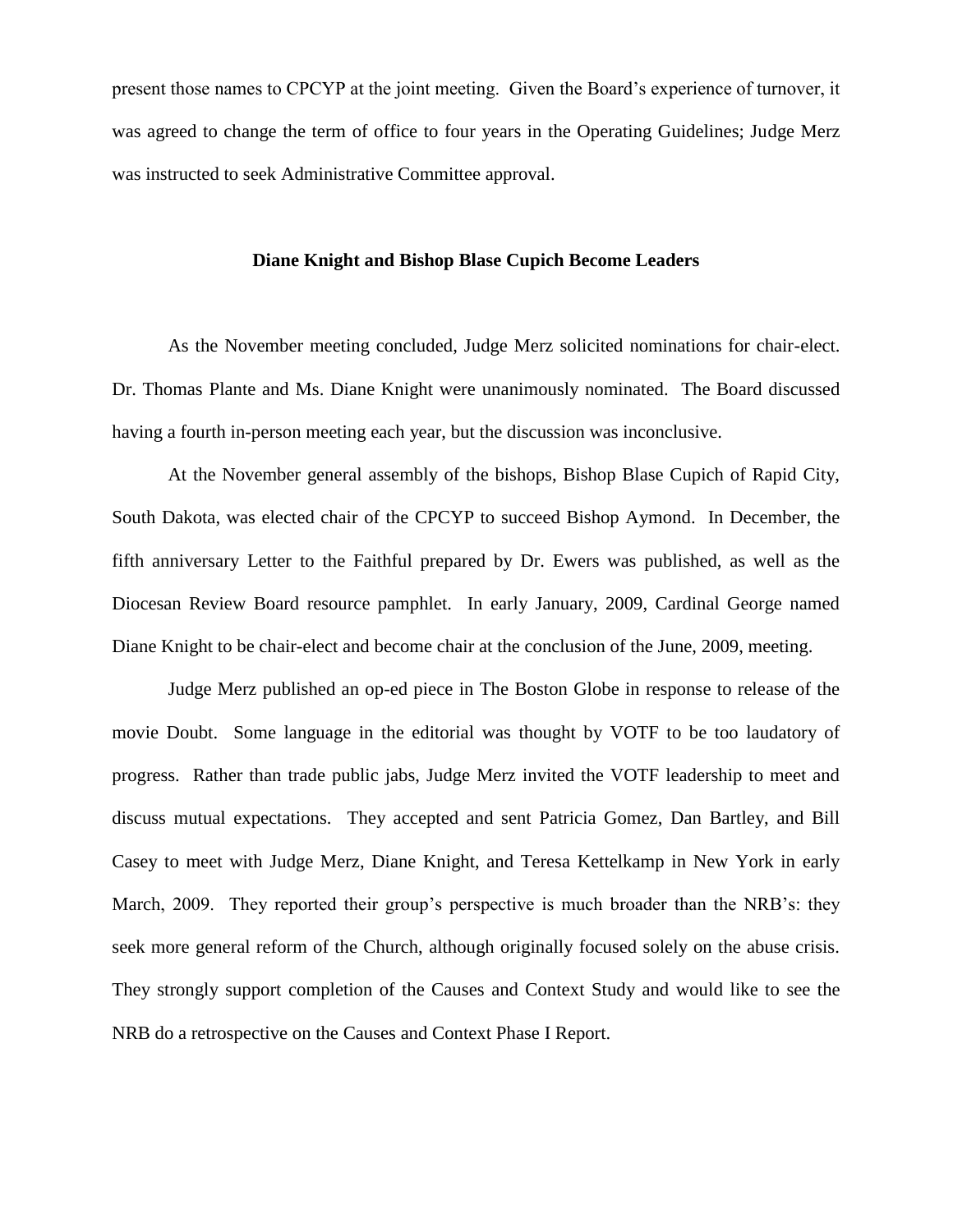present those names to CPCYP at the joint meeting. Given the Board's experience of turnover, it was agreed to change the term of office to four years in the Operating Guidelines; Judge Merz was instructed to seek Administrative Committee approval.

#### **Diane Knight and Bishop Blase Cupich Become Leaders**

As the November meeting concluded, Judge Merz solicited nominations for chair-elect. Dr. Thomas Plante and Ms. Diane Knight were unanimously nominated. The Board discussed having a fourth in-person meeting each year, but the discussion was inconclusive.

At the November general assembly of the bishops, Bishop Blase Cupich of Rapid City, South Dakota, was elected chair of the CPCYP to succeed Bishop Aymond. In December, the fifth anniversary Letter to the Faithful prepared by Dr. Ewers was published, as well as the Diocesan Review Board resource pamphlet. In early January, 2009, Cardinal George named Diane Knight to be chair-elect and become chair at the conclusion of the June, 2009, meeting.

Judge Merz published an op-ed piece in The Boston Globe in response to release of the movie Doubt. Some language in the editorial was thought by VOTF to be too laudatory of progress. Rather than trade public jabs, Judge Merz invited the VOTF leadership to meet and discuss mutual expectations. They accepted and sent Patricia Gomez, Dan Bartley, and Bill Casey to meet with Judge Merz, Diane Knight, and Teresa Kettelkamp in New York in early March, 2009. They reported their group's perspective is much broader than the NRB's: they seek more general reform of the Church, although originally focused solely on the abuse crisis. They strongly support completion of the Causes and Context Study and would like to see the NRB do a retrospective on the Causes and Context Phase I Report.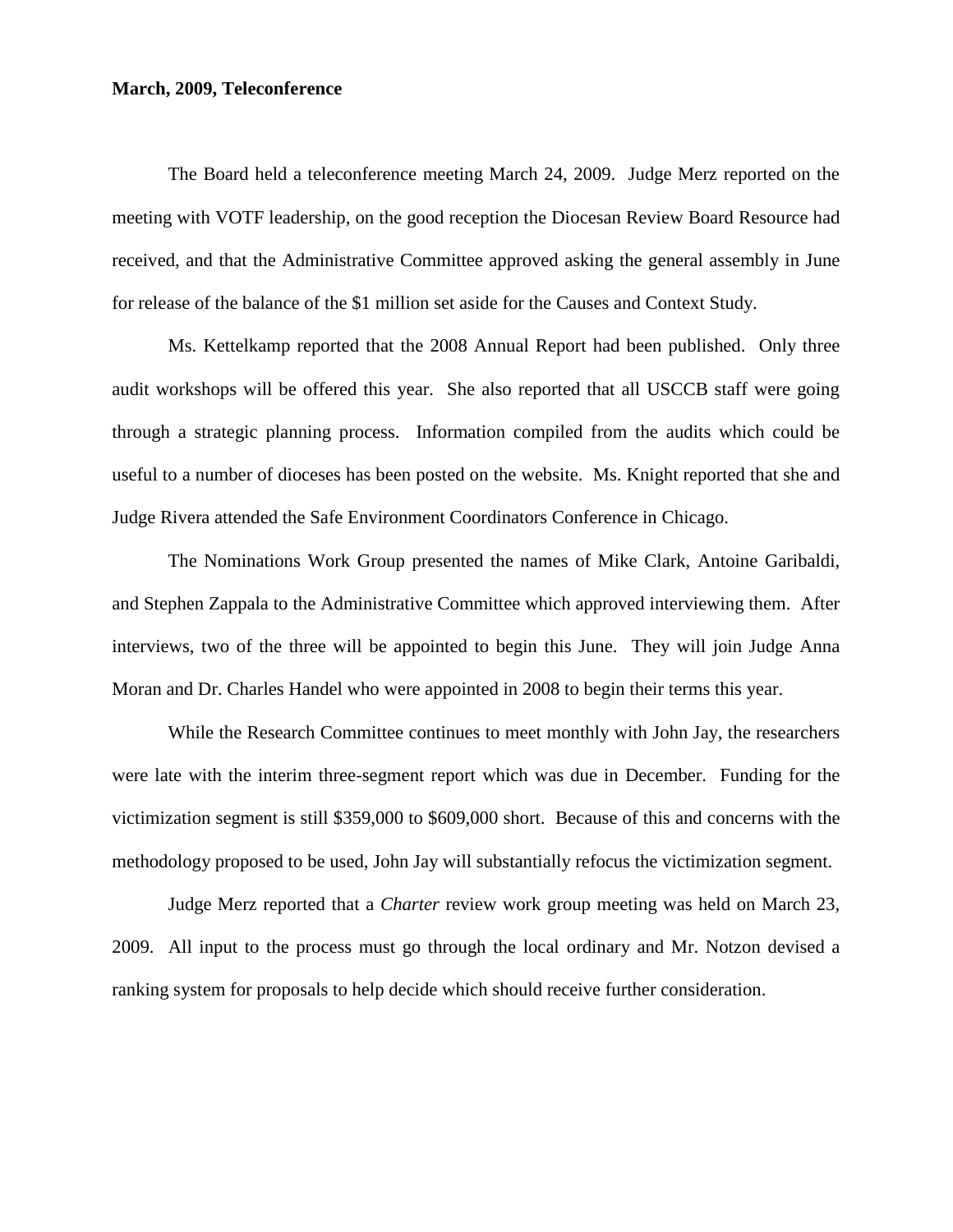# **March, 2009, Teleconference**

The Board held a teleconference meeting March 24, 2009. Judge Merz reported on the meeting with VOTF leadership, on the good reception the Diocesan Review Board Resource had received, and that the Administrative Committee approved asking the general assembly in June for release of the balance of the \$1 million set aside for the Causes and Context Study.

Ms. Kettelkamp reported that the 2008 Annual Report had been published. Only three audit workshops will be offered this year. She also reported that all USCCB staff were going through a strategic planning process. Information compiled from the audits which could be useful to a number of dioceses has been posted on the website. Ms. Knight reported that she and Judge Rivera attended the Safe Environment Coordinators Conference in Chicago.

The Nominations Work Group presented the names of Mike Clark, Antoine Garibaldi, and Stephen Zappala to the Administrative Committee which approved interviewing them. After interviews, two of the three will be appointed to begin this June. They will join Judge Anna Moran and Dr. Charles Handel who were appointed in 2008 to begin their terms this year.

While the Research Committee continues to meet monthly with John Jay, the researchers were late with the interim three-segment report which was due in December. Funding for the victimization segment is still \$359,000 to \$609,000 short. Because of this and concerns with the methodology proposed to be used, John Jay will substantially refocus the victimization segment.

Judge Merz reported that a *Charter* review work group meeting was held on March 23, 2009. All input to the process must go through the local ordinary and Mr. Notzon devised a ranking system for proposals to help decide which should receive further consideration.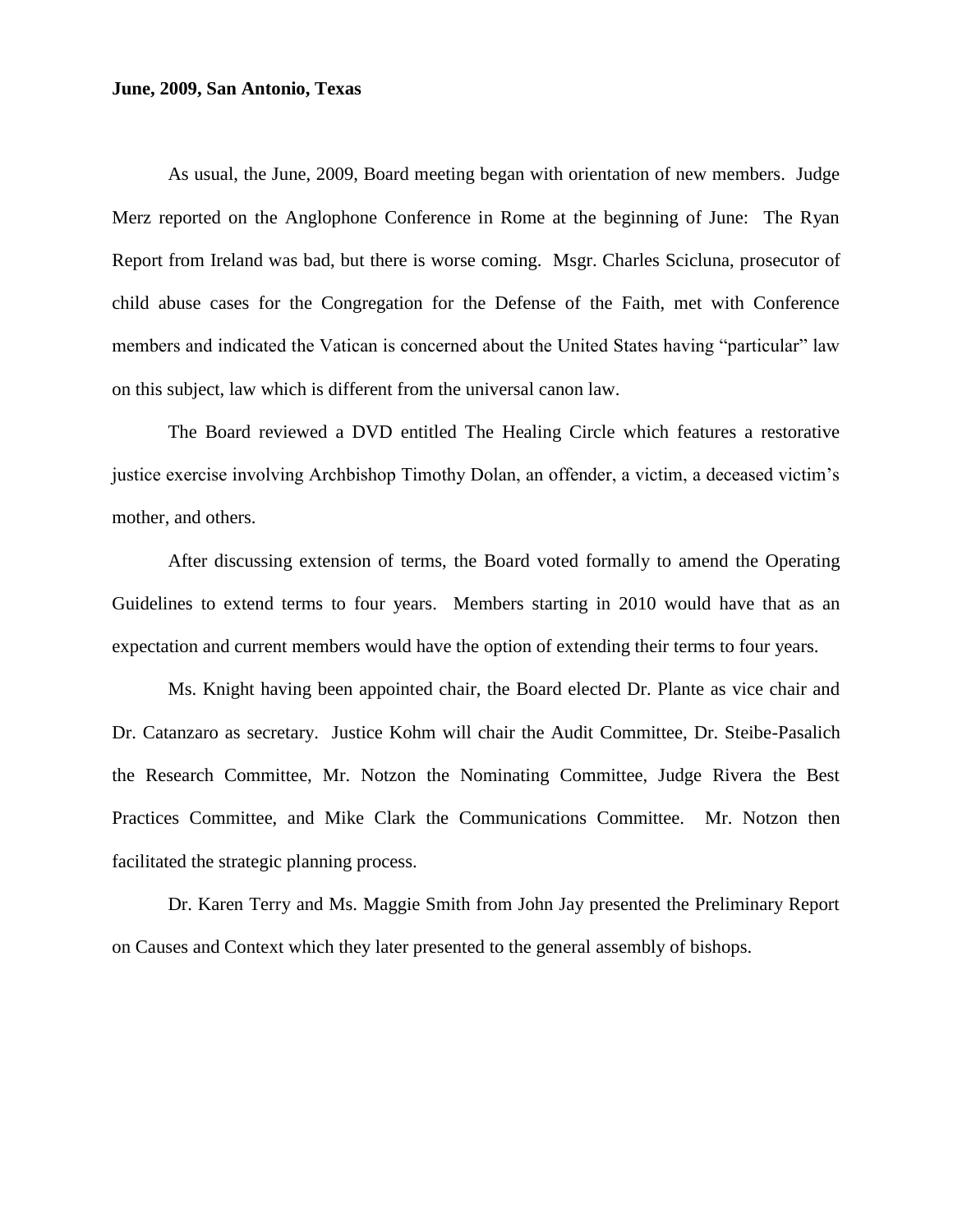#### **June, 2009, San Antonio, Texas**

As usual, the June, 2009, Board meeting began with orientation of new members. Judge Merz reported on the Anglophone Conference in Rome at the beginning of June: The Ryan Report from Ireland was bad, but there is worse coming. Msgr. Charles Scicluna, prosecutor of child abuse cases for the Congregation for the Defense of the Faith, met with Conference members and indicated the Vatican is concerned about the United States having "particular" law on this subject, law which is different from the universal canon law.

The Board reviewed a DVD entitled The Healing Circle which features a restorative justice exercise involving Archbishop Timothy Dolan, an offender, a victim, a deceased victim's mother, and others.

After discussing extension of terms, the Board voted formally to amend the Operating Guidelines to extend terms to four years. Members starting in 2010 would have that as an expectation and current members would have the option of extending their terms to four years.

Ms. Knight having been appointed chair, the Board elected Dr. Plante as vice chair and Dr. Catanzaro as secretary. Justice Kohm will chair the Audit Committee, Dr. Steibe-Pasalich the Research Committee, Mr. Notzon the Nominating Committee, Judge Rivera the Best Practices Committee, and Mike Clark the Communications Committee. Mr. Notzon then facilitated the strategic planning process.

Dr. Karen Terry and Ms. Maggie Smith from John Jay presented the Preliminary Report on Causes and Context which they later presented to the general assembly of bishops.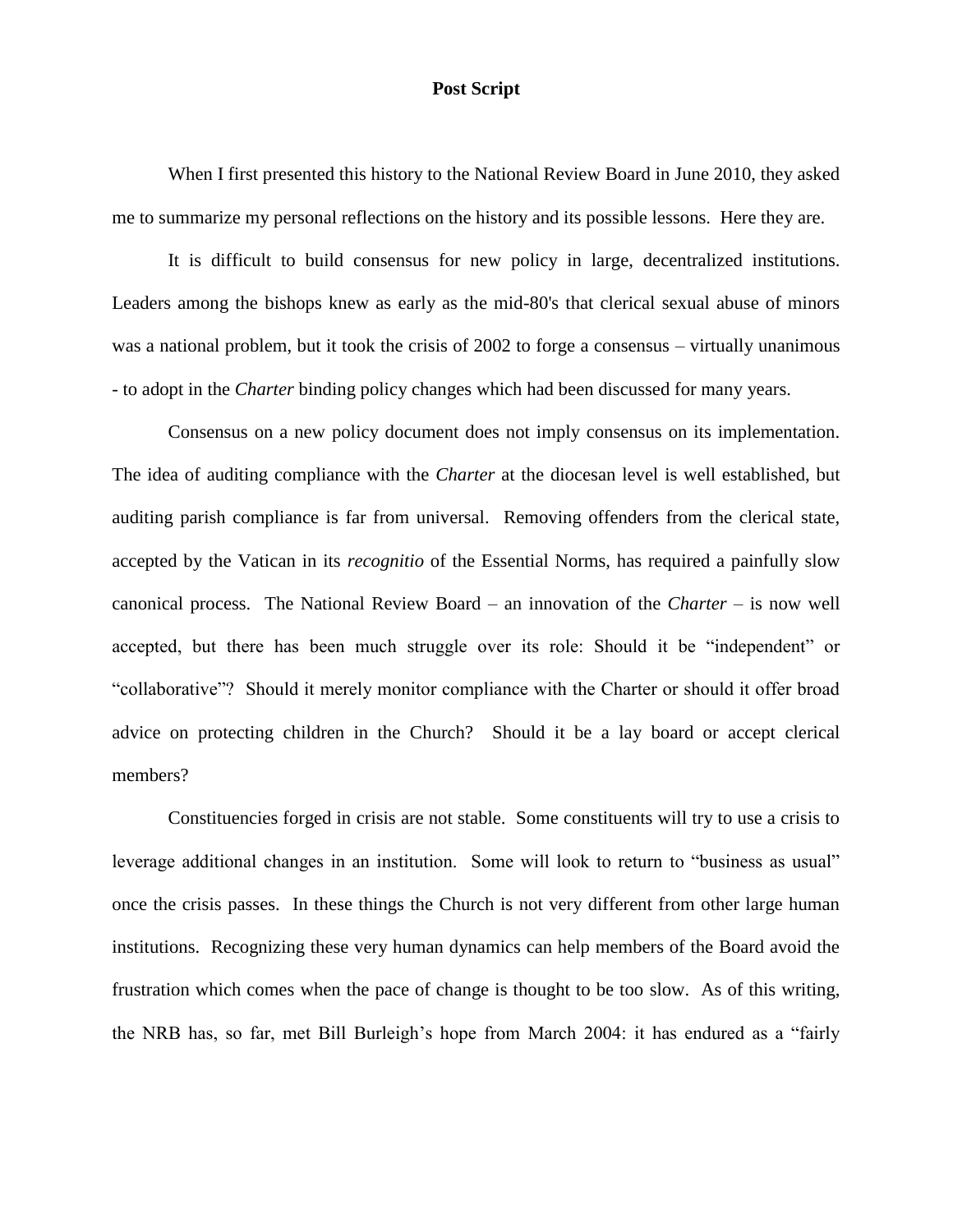#### **Post Script**

When I first presented this history to the National Review Board in June 2010, they asked me to summarize my personal reflections on the history and its possible lessons. Here they are.

It is difficult to build consensus for new policy in large, decentralized institutions. Leaders among the bishops knew as early as the mid-80's that clerical sexual abuse of minors was a national problem, but it took the crisis of 2002 to forge a consensus – virtually unanimous - to adopt in the *Charter* binding policy changes which had been discussed for many years.

Consensus on a new policy document does not imply consensus on its implementation. The idea of auditing compliance with the *Charter* at the diocesan level is well established, but auditing parish compliance is far from universal. Removing offenders from the clerical state, accepted by the Vatican in its *recognitio* of the Essential Norms, has required a painfully slow canonical process. The National Review Board – an innovation of the *Charter* – is now well accepted, but there has been much struggle over its role: Should it be "independent" or "collaborative"? Should it merely monitor compliance with the Charter or should it offer broad advice on protecting children in the Church? Should it be a lay board or accept clerical members?

Constituencies forged in crisis are not stable. Some constituents will try to use a crisis to leverage additional changes in an institution. Some will look to return to "business as usual" once the crisis passes. In these things the Church is not very different from other large human institutions. Recognizing these very human dynamics can help members of the Board avoid the frustration which comes when the pace of change is thought to be too slow. As of this writing, the NRB has, so far, met Bill Burleigh's hope from March 2004: it has endured as a "fairly